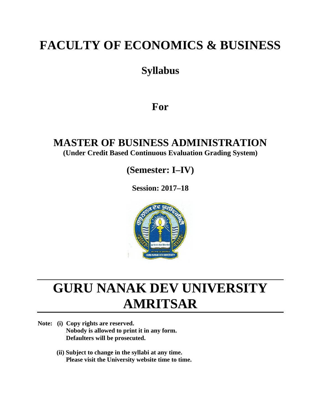# **FACULTY OF ECONOMICS & BUSINESS**

## **Syllabus**

## **For**

## **MASTER OF BUSINESS ADMINISTRATION (Under Credit Based Continuous Evaluation Grading System)**

**(Semester: I–IV)**

**Session: 2017–18**



# **GURU NANAK DEV UNIVERSITY AMRITSAR**

- **Note: (i) Copy rights are reserved. Nobody is allowed to print it in any form. Defaulters will be prosecuted.**
	- **(ii) Subject to change in the syllabi at any time. Please visit the University website time to time.**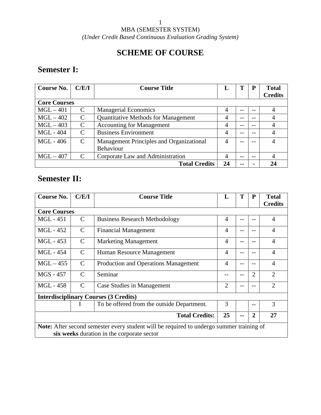### 1 MBA (SEMESTER SYSTEM) *(Under Credit Based Continuous Evaluation Grading System)*

## **SCHEME OF COURSE**

## **Semester I:**

| Course No.          | C/E/I         | <b>Course Title</b>                        | L  | Т     | P  | <b>Total</b><br><b>Credits</b> |
|---------------------|---------------|--------------------------------------------|----|-------|----|--------------------------------|
| <b>Core Courses</b> |               |                                            |    |       |    |                                |
| $MGL - 401$         | C             | <b>Managerial Economics</b>                | 4  | --    |    |                                |
| $MGL - 402$         | $\mathcal{C}$ | <b>Quantitative Methods for Management</b> | 4  | --    | -- |                                |
| $MGL-403$           | C             | <b>Accounting for Management</b>           | 4  | --    |    |                                |
| <b>MGL</b> - 404    | C             | <b>Business Environment</b>                | 4  | --    |    |                                |
| MGL - 406           | $\mathcal{C}$ | Management Principles and Organizational   | 4  | --    |    |                                |
|                     |               | <b>Behaviour</b>                           |    |       |    |                                |
| $MGL - 407$         | C             | Corporate Law and Administration           | 4  | --    |    |                                |
|                     |               | <b>Total Credits</b>                       | 24 | $- -$ |    | 24                             |

## **Semester II:**

| <b>Course No.</b>   | C/E/I         | <b>Course Title</b>                                                                             | L              | T    | P     | <b>Total</b><br><b>Credits</b> |
|---------------------|---------------|-------------------------------------------------------------------------------------------------|----------------|------|-------|--------------------------------|
| <b>Core Courses</b> |               |                                                                                                 |                |      |       |                                |
| <b>MGL</b> - 451    | $\mathcal{C}$ | <b>Business Research Methodology</b>                                                            | 4              | $-$  | --    | $\overline{4}$                 |
| MGL - 452           | $\mathcal{C}$ | <b>Financial Management</b>                                                                     | $\overline{4}$ |      |       | $\overline{4}$                 |
| MGL - 453           | $\mathcal{C}$ | <b>Marketing Management</b>                                                                     | $\overline{4}$ | $ -$ |       | $\overline{4}$                 |
| MGL - 454           | $\mathcal{C}$ | Human Resource Management                                                                       | $\overline{4}$ | $-$  |       | $\overline{4}$                 |
| $MGL - 455$         | $\mathcal{C}$ | Production and Operations Management                                                            | $\overline{4}$ | --   |       | $\overline{4}$                 |
| MGS - 457           | $\mathcal{C}$ | Seminar                                                                                         |                | --   | 2     | $\overline{2}$                 |
| <b>MGL</b> - 458    | $\mathcal{C}$ | Case Studies in Management                                                                      | $\overline{2}$ |      |       | $\overline{2}$                 |
|                     |               | <b>Interdisciplinary Courses (3 Credits)</b>                                                    |                |      |       |                                |
|                     | I             | To be offered from the outside Department.                                                      | 3              |      | $- -$ | 3                              |
|                     |               | <b>Total Credits:</b>                                                                           | 25             | --   | 2     | 27                             |
|                     |               | <b>Note:</b> After second semester every student will be required to undergo summer training of |                |      |       |                                |
|                     |               | six weeks duration in the corporate sector                                                      |                |      |       |                                |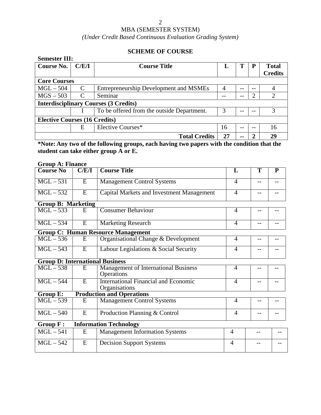### MBA (SEMESTER SYSTEM)

### *(Under Credit Based Continuous Evaluation Grading System)*

### **SCHEME OF COURSE**

| <b>Semester III:</b>                 |       |                                              |    |       |    |                |
|--------------------------------------|-------|----------------------------------------------|----|-------|----|----------------|
| Course No.                           | C/E/I | <b>Course Title</b>                          | L  | Т     | P  | <b>Total</b>   |
|                                      |       |                                              |    |       |    | <b>Credits</b> |
| <b>Core Courses</b>                  |       |                                              |    |       |    |                |
| $MGL - 504$                          | C     | Entrepreneurship Development and MSMEs       | 4  | --    | -- |                |
| $MGS - 503$                          | C     | Seminar                                      |    | --    | ി  | ◠              |
|                                      |       | <b>Interdisciplinary Courses (3 Credits)</b> |    |       |    |                |
|                                      |       | To be offered from the outside Department.   | 3  |       |    | 3              |
| <b>Elective Courses (16 Credits)</b> |       |                                              |    |       |    |                |
|                                      | E     | Elective Courses*                            | 16 | --    | -- | 16             |
|                                      |       | <b>Total Credits</b>                         | 27 | $- -$ |    | 29             |

**\*Note: Any two of the following groups, each having two papers with the condition that the student can take either group A or E.**

### **Group A: Finance**

| <b>Course No</b>                       | C/E/I          | <b>Course Title</b>                                          | L              | $\overline{\text{T}}$ | P     |  |
|----------------------------------------|----------------|--------------------------------------------------------------|----------------|-----------------------|-------|--|
| $MGL-531$                              | E              | <b>Management Control Systems</b>                            | 4              | --                    |       |  |
| $MGL - 532$                            | $\overline{E}$ | <b>Capital Markets and Investment Management</b>             | $\overline{4}$ |                       | --    |  |
| <b>Group B: Marketing</b>              |                |                                                              |                |                       |       |  |
| $MGL - 533$                            | E              | <b>Consumer Behaviour</b>                                    | 4              | $-$                   | --    |  |
| $MGL - 534$                            | $\overline{E}$ | <b>Marketing Research</b>                                    | $\overline{4}$ | --                    | --    |  |
|                                        |                | <b>Group C: Human Resource Management</b>                    |                |                       |       |  |
| $MGL - 536$                            | E              | Organisational Change & Development                          | 4              | $-$                   |       |  |
| $MGL - 543$                            | $\overline{E}$ | Labour Legislations & Social Security                        | $\overline{4}$ | --                    |       |  |
| <b>Group D: International Business</b> |                |                                                              |                |                       |       |  |
| $MGL - 538$                            | E              | <b>Management of International Business</b><br>Operations    | $\overline{4}$ | $-$                   |       |  |
| $MGL - 544$                            | $\overline{E}$ | <b>International Financial and Economic</b><br>Organisations | $\overline{4}$ | --                    | --    |  |
| <b>Group E:</b>                        |                | <b>Production and Operations</b>                             |                |                       |       |  |
| $MGL - 539$                            | $\overline{E}$ | <b>Management Control Systems</b>                            | 4              |                       |       |  |
| $MGL - 540$                            | E              | Production Planning & Control                                | 4              | --                    |       |  |
| Group F:                               |                | <b>Information Technology</b>                                |                |                       |       |  |
| $MGL - 541$                            | E              | <b>Management Information Systems</b>                        | $\overline{4}$ | $-$                   | $-$ - |  |
| $MGL - 542$                            | E              | <b>Decision Support Systems</b>                              | $\overline{4}$ | --                    | --    |  |
|                                        |                |                                                              |                |                       |       |  |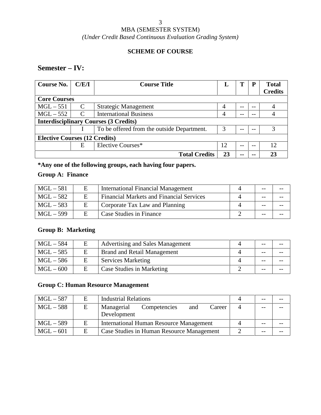## MBA (SEMESTER SYSTEM)

*(Under Credit Based Continuous Evaluation Grading System)*

### **SCHEME OF COURSE**

### **Semester – IV:**

| <b>Course No.</b>                    | C/E/I | <b>Course Title</b>                          | L  |    | P  | <b>Total</b><br><b>Credits</b> |
|--------------------------------------|-------|----------------------------------------------|----|----|----|--------------------------------|
| <b>Core Courses</b>                  |       |                                              |    |    |    |                                |
| $MGL - 551$                          | C     | <b>Strategic Management</b>                  |    | -- | -- |                                |
| $MGL-552$                            | C     | <b>International Business</b>                |    | -- | -- |                                |
|                                      |       | <b>Interdisciplinary Courses (3 Credits)</b> |    |    |    |                                |
|                                      |       | To be offered from the outside Department.   | 3  |    |    |                                |
| <b>Elective Courses (12 Credits)</b> |       |                                              |    |    |    |                                |
|                                      | E     | Elective Courses*                            | 12 | -- | -- | 12                             |
|                                      |       | <b>Total Credits</b>                         | 23 | -- |    |                                |

**\*Any one of the following groups, each having four papers.**

### **Group A: Finance**

| $MGL - 581$ |   | <b>International Financial Management</b>       | $- -$ |  |
|-------------|---|-------------------------------------------------|-------|--|
| $MGL - 582$ |   | <b>Financial Markets and Financial Services</b> | $- -$ |  |
| $MGL - 583$ | E | Corporate Tax Law and Planning                  | $- -$ |  |
| $MGL - 599$ | E | Case Studies in Finance                         | $- -$ |  |

### **Group B: Marketing**

| $MGL - 584$ | Е | Advertising and Sales Management   | $- -$ | $- -$ |
|-------------|---|------------------------------------|-------|-------|
| $MGL - 585$ | E | <b>Brand and Retail Management</b> | $ -$  | $- -$ |
| $MGL - 586$ | Е | <b>Services Marketing</b>          | $ -$  | $- -$ |
| $MGL-600$   | Ε | Case Studies in Marketing          | $- -$ | $- -$ |

### **Group C: Human Resource Management**

| $MGL - 587$ | E | <b>Industrial Relations</b>                                |   | $- -$ | $- -$ |
|-------------|---|------------------------------------------------------------|---|-------|-------|
| $MGL-588$   | E | Managerial<br>Career<br>Competencies<br>and<br>Development | 4 | $ -$  |       |
| $MGL - 589$ | E | <b>International Human Resource Management</b>             |   | $ -$  |       |
| $MGL - 601$ | E | Case Studies in Human Resource Management                  |   | $- -$ |       |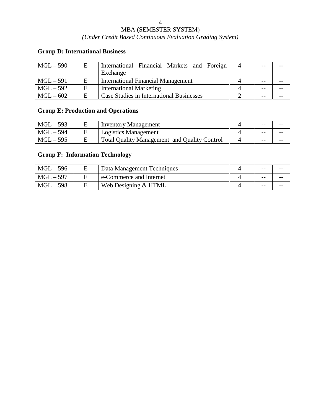### MBA (SEMESTER SYSTEM)

### *(Under Credit Based Continuous Evaluation Grading System)*

### **Group D: International Business**

| $MGL - 590$ | Е | International Financial Markets and Foreign<br>Exchange | $ -$  | $- -$ |
|-------------|---|---------------------------------------------------------|-------|-------|
| $MGL - 591$ | Е | <b>International Financial Management</b>               | $- -$ |       |
| $MGL-592$   | Е | <b>International Marketing</b>                          | $ -$  | $- -$ |
| $MGL-602$   | E | Case Studies in International Businesses                | $- -$ |       |

## **Group E: Production and Operations**

| $MGL - 593$ | <b>Inventory Management</b>                         | $- -$ | $- -$ |
|-------------|-----------------------------------------------------|-------|-------|
| $MGL - 594$ | Logistics Management                                | $- -$ | $- -$ |
| $MGL - 595$ | <b>Total Quality Management and Quality Control</b> | $- -$ | $- -$ |

### **Group F: Information Technology**

| $MGL - 596$ | Data Management Techniques | $- -$ | $- -$ |
|-------------|----------------------------|-------|-------|
| $MGL - 597$ | e-Commerce and Internet    | $- -$ | $- -$ |
| $MGL - 598$ | Web Designing & HTML       | $- -$ | $- -$ |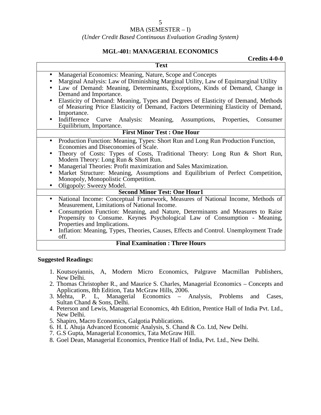#### *(Under Credit Based Continuous Evaluation Grading System)*

### **MGL-401: MANAGERIAL ECONOMICS**

| Credits 4-0-0                                                                                                                                                                                                                                                                        |
|--------------------------------------------------------------------------------------------------------------------------------------------------------------------------------------------------------------------------------------------------------------------------------------|
| <b>Text</b>                                                                                                                                                                                                                                                                          |
| Managerial Economics: Meaning, Nature, Scope and Concepts<br>$\bullet$<br>Marginal Analysis: Law of Diminishing Marginal Utility, Law of Equimarginal Utility<br>Law of Demand: Meaning, Determinants, Exceptions, Kinds of Demand, Change in<br>$\bullet$<br>Demand and Importance. |
| Elasticity of Demand: Meaning, Types and Degrees of Elasticity of Demand, Methods<br>$\bullet$<br>of Measuring Price Elasticity of Demand, Factors Determining Elasticity of Demand,<br>Importance.                                                                                  |
| Indifference Curve Analysis: Meaning,<br>Assumptions,<br>Properties,<br>Consumer<br>$\bullet$<br>Equilibrium, Importance.                                                                                                                                                            |
| <b>First Minor Test: One Hour</b>                                                                                                                                                                                                                                                    |
| Production Function: Meaning, Types: Short Run and Long Run Production Function,<br>$\bullet$<br>Economies and Diseconomies of Scale.<br>Theory of Costs: Types of Costs, Traditional Theory: Long Run & Short Run,<br>$\bullet$<br>Modern Theory: Long Run & Short Run.             |
| Managerial Theories: Profit maximization and Sales Maximization.<br>٠<br>Market Structure: Meaning, Assumptions and Equilibrium of Perfect Competition,<br>$\bullet$<br>Monopoly, Monopolistic Competition.<br>Oligopoly: Sweezy Model.<br>$\bullet$                                 |
| <b>Second Minor Test: One Hour1</b>                                                                                                                                                                                                                                                  |
| National Income: Conceptual Framework, Measures of National Income, Methods of<br>$\bullet$<br>Measurement, Limitations of National Income.                                                                                                                                          |
| Consumption Function: Meaning, and Nature, Determinants and Measures to Raise<br>$\bullet$<br>Propensity to Consume. Keynes Psychological Law of Consumption - Meaning,<br>Properties and Implications.                                                                              |
| Inflation: Meaning, Types, Theories, Causes, Effects and Control. Unemployment Trade<br>$\bullet$<br>off.                                                                                                                                                                            |
| <b>Final Examination: Three Hours</b>                                                                                                                                                                                                                                                |

- 1. Koutsoyiannis, A, Modern Micro Economics, Palgrave Macmillan Publishers, New Delhi.
- 2. Thomas Christopher R., and Maurice S. Charles, Managerial Economics Concepts and Applications, 8th Edition, Tata McGraw Hills, 2006.
- 3. Mehta, P. L, Managerial Economics Analysis, Problems and Cases, Sultan Chand & Sons, Delhi.
- 4. Peterson and Lewis, Managerial Economics, 4th Edition, Prentice Hall of India Pvt. Ltd., New Delhi.
- 5. Shapiro, Macro Economics, Galgotia Publications.
- 6. H. L Ahuja Advanced Economic Analysis, S. Chand & Co. Ltd, New Delhi.
- 7. G.S Gupta, Managerial Economics, Tata McGraw Hill.
- 8. Goel Dean, Managerial Economics, Prentice Hall of India, Pvt. Ltd., New Delhi.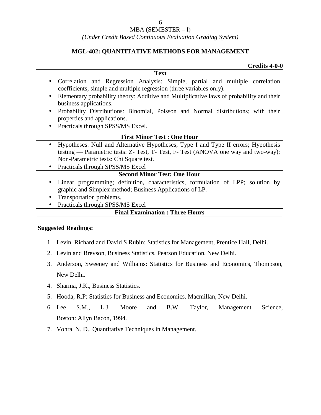### *(Under Credit Based Continuous Evaluation Grading System)*

### **MGL-402: QUANTITATIVE METHODS FOR MANAGEMENT**

### **Credits 4-0-0**

|                                               | <b>Text</b>                                                                                                                                                              |
|-----------------------------------------------|--------------------------------------------------------------------------------------------------------------------------------------------------------------------------|
| $\bullet$                                     | Correlation and Regression Analysis: Simple, partial and multiple correlation<br>coefficients; simple and multiple regression (three variables only).                    |
| business applications.                        | Elementary probability theory: Additive and Multiplicative laws of probability and their                                                                                 |
| properties and applications.                  | Probability Distributions: Binomial, Poisson and Normal distributions; with their                                                                                        |
| Practicals through SPSS/MS Excel.             |                                                                                                                                                                          |
|                                               | <b>First Minor Test: One Hour</b>                                                                                                                                        |
|                                               | Hypotheses: Null and Alternative Hypotheses, Type I and Type II errors; Hypothesis<br>testing — Parametric tests: Z- Test, T- Test, F- Test (ANOVA one way and two-way); |
| Non-Parametric tests: Chi Square test.        |                                                                                                                                                                          |
| Practicals through SPSS/MS Excel<br>$\bullet$ |                                                                                                                                                                          |
|                                               | <b>Second Minor Test: One Hour</b>                                                                                                                                       |
| $\bullet$                                     | Linear programming; definition, characteristics, formulation of LPP; solution by<br>graphic and Simplex method; Business Applications of LP.                             |
| Transportation problems.                      |                                                                                                                                                                          |
| Practicals through SPSS/MS Excel              |                                                                                                                                                                          |
|                                               | <b>Final Examination: Three Hours</b>                                                                                                                                    |

- 1. Levin, Richard and David S Rubin: Statistics for Management, Prentice Hall, Delhi.
- 2. Levin and Brevson, Business Statistics, Pearson Education, New Delhi.
- 3. Anderson, Sweeney and Williams: Statistics for Business and Economics, Thompson, New Delhi.
- 4. Sharma, J.K., Business Statistics.
- 5. Hooda, R.P: Statistics for Business and Economics. Macmillan, New Delhi.
- 6. Lee S.M., L.J. Moore and B.W. Taylor, Management Science, Boston: Allyn Bacon, 1994.
- 7. Vohra, N. D., Quantitative Techniques in Management.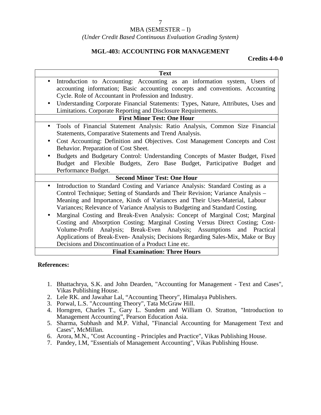### *(Under Credit Based Continuous Evaluation Grading System)*

### **MGL-403: ACCOUNTING FOR MANAGEMENT**

**Credits 4-0-0**

| <b>Text</b>                                                                                                                                                                                                                                                                                                                                                                         |
|-------------------------------------------------------------------------------------------------------------------------------------------------------------------------------------------------------------------------------------------------------------------------------------------------------------------------------------------------------------------------------------|
| Introduction to Accounting: Accounting as an information system, Users of<br>$\bullet$<br>accounting information; Basic accounting concepts and conventions. Accounting                                                                                                                                                                                                             |
| Cycle. Role of Accountant in Profession and Industry.                                                                                                                                                                                                                                                                                                                               |
| Understanding Corporate Financial Statements: Types, Nature, Attributes, Uses and<br>$\bullet$                                                                                                                                                                                                                                                                                      |
| Limitations. Corporate Reporting and Disclosure Requirements.                                                                                                                                                                                                                                                                                                                       |
| <b>First Minor Test: One Hour</b>                                                                                                                                                                                                                                                                                                                                                   |
| Tools of Financial Statement Analysis: Ratio Analysis, Common Size Financial<br>$\bullet$                                                                                                                                                                                                                                                                                           |
| Statements, Comparative Statements and Trend Analysis.                                                                                                                                                                                                                                                                                                                              |
| Cost Accounting: Definition and Objectives. Cost Management Concepts and Cost<br>$\bullet$                                                                                                                                                                                                                                                                                          |
| Behavior. Preparation of Cost Sheet.                                                                                                                                                                                                                                                                                                                                                |
| Budgets and Budgetary Control: Understanding Concepts of Master Budget, Fixed<br>Budget and Flexible Budgets, Zero Base Budget, Participative Budget and                                                                                                                                                                                                                            |
| Performance Budget.                                                                                                                                                                                                                                                                                                                                                                 |
| <b>Second Minor Test: One Hour</b>                                                                                                                                                                                                                                                                                                                                                  |
| Introduction to Standard Costing and Variance Analysis: Standard Costing as a<br>$\bullet$<br>Control Technique; Setting of Standards and Their Revision; Variance Analysis –<br>Meaning and Importance, Kinds of Variances and Their Uses-Material, Labour<br>Variances; Relevance of Variance Analysis to Budgeting and Standard Costing.                                         |
| Marginal Costing and Break-Even Analysis: Concept of Marginal Cost; Marginal<br>Costing and Absorption Costing; Marginal Costing Versus Direct Costing; Cost-<br>Volume-Profit Analysis; Break-Even Analysis; Assumptions and Practical<br>Applications of Break-Even- Analysis; Decisions Regarding Sales-Mix, Make or Buy<br>Decisions and Discontinuation of a Product Line etc. |
| <b>Final Examination: Three Hours</b>                                                                                                                                                                                                                                                                                                                                               |

### **References:**

- 1. Bhattachrya, S.K. and John Dearden, "Accounting for Management Text and Cases", Vikas Publishing House.
- 2. Lele RK. and Jawahar Lal, "Accounting Theory", Himalaya Publishers.
- 3. Porwal, L.S. "Accounting Theory", Tata McGraw Hill.
- 4. Horngren, Charles T., Gary L. Sundem and William O. Stratton, "Introduction to Management Accounting", Pearson Education Asia.
- 5. Sharma, Subhash and M.P. Vithal, "Financial Accounting for Management Text and Cases", McMillan.
- 6. Arora, M.N., "Cost Accounting Principles and Practice", Vikas Publishing House.
- 7. Pandey, I.M, "Essentials of Management Accounting", Vikas Publishing House.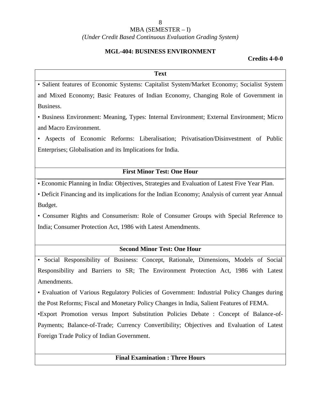### MBA (SEMESTER – I)

#### *(Under Credit Based Continuous Evaluation Grading System)*

#### **MGL-404: BUSINESS ENVIRONMENT**

### **Credits 4-0-0**

#### **Text**

• Salient features of Economic Systems: Capitalist System/Market Economy; Socialist System and Mixed Economy; Basic Features of Indian Economy, Changing Role of Government in Business.

• Business Environment: Meaning, Types: Internal Environment; External Environment; Micro and Macro Environment.

• Aspects of Economic Reforms: Liberalisation; Privatisation/Disinvestment of Public Enterprises; Globalisation and its Implications for India.

### **First Minor Test: One Hour**

• Economic Planning in India: Objectives, Strategies and Evaluation of Latest Five Year Plan.

• Deficit Financing and its implications for the Indian Economy; Analysis of current year Annual Budget.

• Consumer Rights and Consumerism: Role of Consumer Groups with Special Reference to India; Consumer Protection Act, 1986 with Latest Amendments.

### **Second Minor Test: One Hour**

• Social Responsibility of Business: Concept, Rationale, Dimensions, Models of Social Responsibility and Barriers to SR; The Environment Protection Act, 1986 with Latest Amendments.

• Evaluation of Various Regulatory Policies of Government: Industrial Policy Changes during the Post Reforms; Fiscal and Monetary Policy Changes in India, Salient Features of FEMA.

•Export Promotion versus Import Substitution Policies Debate : Concept of Balance-of- Payments; Balance-of-Trade; Currency Convertibility; Objectives and Evaluation of Latest Foreign Trade Policy of Indian Government.

### **Final Examination : Three Hours**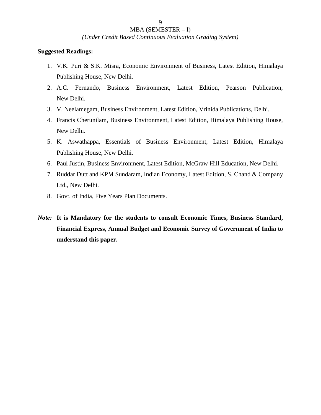*(Under Credit Based Continuous Evaluation Grading System)*

- 1. V.K. Puri & S.K. Misra, Economic Environment of Business, Latest Edition, Himalaya Publishing House, New Delhi.
- 2. A.C. Fernando, Business Environment, Latest Edition, Pearson Publication, New Delhi.
- 3. V. Neelamegam, Business Environment, Latest Edition, Vrinida Publications, Delhi.
- 4. Francis Cherunilam, Business Environment, Latest Edition, Himalaya Publishing House, New Delhi.
- 5. K. Aswathappa, Essentials of Business Environment, Latest Edition, Himalaya Publishing House, New Delhi.
- 6. Paul Justin, Business Environment, Latest Edition, McGraw Hill Education, New Delhi.
- 7. Ruddar Dutt and KPM Sundaram, Indian Economy, Latest Edition, S. Chand & Company Ltd., New Delhi.
- 8. Govt. of India, Five Years Plan Documents.
- *Note:* **It is Mandatory for the students to consult Economic Times, Business Standard, Financial Express, Annual Budget and Economic Survey of Government of India to understand this paper.**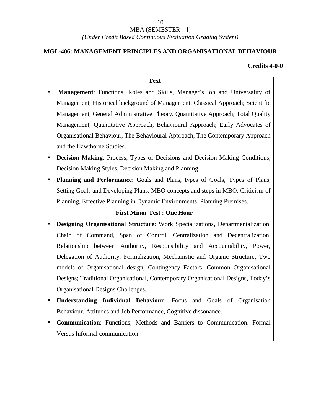### *(Under Credit Based Continuous Evaluation Grading System)*

### **MGL-406: MANAGEMENT PRINCIPLES AND ORGANISATIONAL BEHAVIOUR**

### **Credits 4-0-0**

## **Text Management**: Functions, Roles and Skills, Manager's job and Universality of Management, Historical background of Management: Classical Approach; Scientific Management, General Administrative Theory. Quantitative Approach; Total Quality Management, Quantitative Approach, Behavioural Approach; Early Advocates of Organisational Behaviour, The Behavioural Approach, The Contemporary Approach and the Hawthorne Studies.

- **Decision Making:** Process, Types of Decisions and Decision Making Conditions, Decision Making Styles, Decision Making and Planning.
- **Planning and Performance**: Goals and Plans, types of Goals, Types of Plans, Setting Goals and Developing Plans, MBO concepts and steps in MBO, Criticism of Planning, Effective Planning in Dynamic Environments, Planning Premises.

### **First Minor Test : One Hour**

- **Designing Organisational Structure**: Work Specializations, Departmentalization. Chain of Command, Span of Control, Centralization and Decentralization. Relationship between Authority, Responsibility and Accountability, Power, Delegation of Authority. Formalization, Mechanistic and Organic Structure; Two models of Organisational design, Contingency Factors. Common Organisational Designs; Traditional Organisational, Contemporary Organisational Designs, Today's Organisational Designs Challenges.
- **Understanding Individual Behaviour:** Focus and Goals of Organisation Behaviour. Attitudes and Job Performance, Cognitive dissonance.
- **Communication**: Functions, Methods and Barriers to Communication. Formal Versus Informal communication.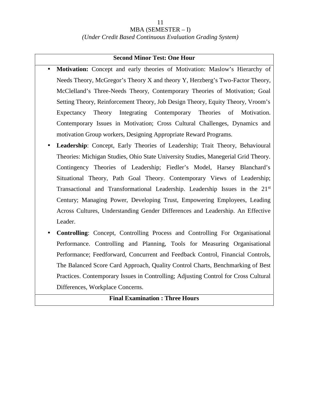### *(Under Credit Based Continuous Evaluation Grading System)*

#### **Second Minor Test: One Hour**

- **Motivation:** Concept and early theories of Motivation: Maslow's Hierarchy of Needs Theory, McGregor's Theory X and theory Y, Herzberg's Two-Factor Theory, McClelland's Three-Needs Theory, Contemporary Theories of Motivation; Goal Setting Theory, Reinforcement Theory, Job Design Theory, Equity Theory, Vroom's Expectancy Theory Integrating Contemporary Theories of Motivation. Contemporary Issues in Motivation; Cross Cultural Challenges, Dynamics and motivation Group workers, Designing Appropriate Reward Programs.
- **Leadership**: Concept, Early Theories of Leadership; Trait Theory, Behavioural Theories: Michigan Studies, Ohio State University Studies, Manegerial Grid Theory. Contingency Theories of Leadership; Fiedler's Model, Harsey Blanchard's Situational Theory, Path Goal Theory. Contemporary Views of Leadership; Transactional and Transformational Leadership. Leadership Issues in the 21<sup>st</sup> Century; Managing Power, Developing Trust, Empowering Employees, Leading Across Cultures, Understanding Gender Differences and Leadership. An Effective Leader.
- **Controlling**: Concept, Controlling Process and Controlling For Organisational Performance. Controlling and Planning, Tools for Measuring Organisational Performance; Feedforward, Concurrent and Feedback Control, Financial Controls, The Balanced Score Card Approach, Quality Control Charts, Benchmarking of Best Practices. Contemporary Issues in Controlling; Adjusting Control for Cross Cultural Differences, Workplace Concerns.

### **Final Examination : Three Hours**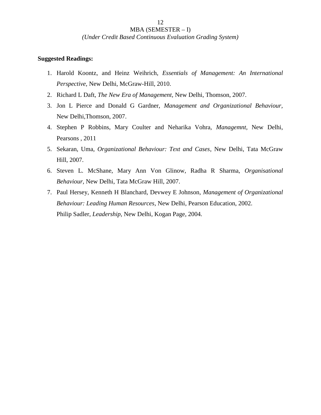#### *(Under Credit Based Continuous Evaluation Grading System)*

12

- 1. Harold Koontz, and Heinz Weihrich, *Essentials of Management: An International Perspective,* New Delhi, McGraw-Hill, 2010.
- 2. Richard L Daft, *The New Era of Management*, New Delhi, Thomson, 2007.
- 3. Jon L Pierce and Donald G Gardner, *Management and Organizational Behaviour,* New Delhi,Thomson, 2007.
- 4. Stephen P Robbins, Mary Coulter and Neharika Vohra, *Managemnt,* New Delhi, Pearsons , 2011
- 5. Sekaran, Uma, *Organizational Behaviour: Text and Cases*, New Delhi, Tata McGraw Hill, 2007.
- 6. Steven L. McShane, Mary Ann Von Glinow, Radha R Sharma, *Organisational Behaviour,* New Delhi, Tata McGraw Hill, 2007.
- 7. Paul Hersey, Kenneth H Blanchard, Devwey E Johnson, *Management of Organizational Behaviour: Leading Human Resources*, New Delhi, Pearson Education, 2002. Philip Sadler, *Leadership,* New Delhi, Kogan Page, 2004.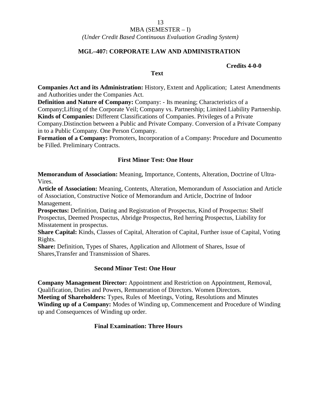### MBA (SEMESTER – I)

#### *(Under Credit Based Continuous Evaluation Grading System)*

### **MGL–407: CORPORATE LAW AND ADMINISTRATION**

#### **Credits 4-0-0**

#### **Text**

**Companies Act and its Administration:** History, Extent and Application; Latest Amendments and Authorities under the Companies Act.

**Definition and Nature of Company:** Company: - Its meaning; Characteristics of a

Company;Lifting of the Corporate Veil; Company vs. Partnership; Limited Liability Partnership. **Kinds of Companies:** Different Classifications of Companies. Privileges of a Private

Company.Distinction between a Public and Private Company. Conversion of a Private Company in to a Public Company. One Person Company.

**Formation of a Company:** Promoters, Incorporation of a Company: Procedure and Documentto be Filled. Preliminary Contracts.

### **First Minor Test: One Hour**

**Memorandum of Association:** Meaning, Importance, Contents, Alteration, Doctrine of Ultra- Vires.

**Article of Association:** Meaning, Contents, Alteration, Memorandum of Association and Article of Association, Constructive Notice of Memorandum and Article, Doctrine of Indoor Management.

**Prospectus:** Definition, Dating and Registration of Prospectus, Kind of Prospectus: Shelf Prospectus, Deemed Prospectus, Abridge Prospectus, Red herring Prospectus, Liability for Misstatement in prospectus.

**Share Capital:** Kinds, Classes of Capital, Alteration of Capital, Further issue of Capital, Voting Rights.

**Share:** Definition, Types of Shares, Application and Allotment of Shares, Issue of Shares,Transfer and Transmission of Shares.

#### **Second Minor Test: One Hour**

**Company Management Director:** Appointment and Restriction on Appointment, Removal, Qualification, Duties and Powers, Remuneration of Directors. Women Directors. **Meeting of Shareholders:** Types, Rules of Meetings, Voting, Resolutions and Minutes **Winding up of a Company:** Modes of Winding up, Commencement and Procedure of Winding up and Consequences of Winding up order.

#### **Final Examination: Three Hours**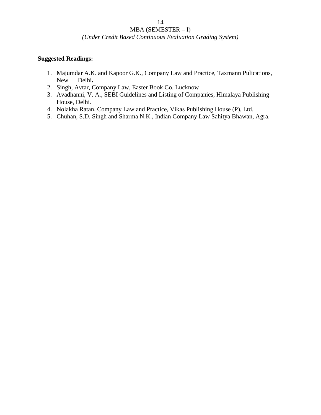### *(Under Credit Based Continuous Evaluation Grading System)*

- 1. Majumdar A.K. and Kapoor G.K., Company Law and Practice, Taxmann Pulications, New Delhi**.**
- 2. Singh, Avtar, Company Law, Easter Book Co. Lucknow
- 3. Avadhanni, V. A., SEBI Guidelines and Listing of Companies, Himalaya Publishing House, Delhi.
- 4. Nolakha Ratan, Company Law and Practice, Vikas Publishing House (P), Ltd.
- 5. Chuhan, S.D. Singh and Sharma N.K., Indian Company Law Sahitya Bhawan, Agra.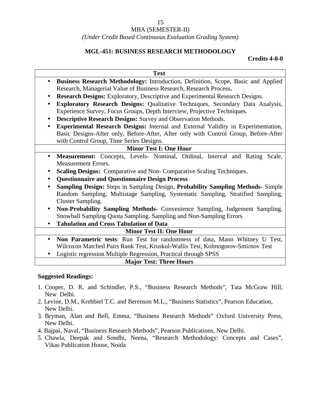### *(Under Credit Based Continuous Evaluation Grading System)*

### **MGL-451: BUSINESS RESEARCH METHODOLOGY**

### **Credits 4-0-0**

|           | <b>Text</b>                                                                                    |
|-----------|------------------------------------------------------------------------------------------------|
| $\bullet$ | Business Research Methodology: Introduction, Definition, Scope, Basic and Applied              |
|           | Research, Managerial Value of Business Research, Research Process.                             |
| $\bullet$ | <b>Research Designs:</b> Exploratory, Descriptive and Experimental Research Designs.           |
|           | <b>Exploratory Research Designs:</b> Qualitative Techniques, Secondary Data Analysis,          |
|           | Experience Survey, Focus Groups, Depth Interview, Projective Techniques.                       |
| $\bullet$ | Descriptive Research Designs: Survey and Observation Methods.                                  |
|           | <b>Experimental Research Designs:</b> Internal and External Validity in Experimentation,       |
|           | Basic Designs-After only, Before-After, After only with Control Group, Before-After            |
|           | with Control Group, Time Series Designs.                                                       |
|           | <b>Minor Test I: One Hour</b>                                                                  |
| $\bullet$ | Measurement: Concepts, Levels- Nominal, Ordinal, Interval and Rating Scale,                    |
|           | <b>Measurement Errors.</b>                                                                     |
| ٠         | <b>Scaling Designs:</b> Comparative and Non-Comparative Scaling Techniques.                    |
|           | <b>Questionnaire and Questionnaire Design Process</b>                                          |
|           | <b>Sampling Design:</b> Steps in Sampling Design, <b>Probability Sampling Methods</b> - Simple |
|           | Random Sampling, Multistage Sampling, Systematic Sampling, Stratified Sampling,                |
|           | Cluster Sampling.                                                                              |
| $\bullet$ | Non-Probability Sampling Methods- Convenience Sampling, Judgement Sampling,                    |
|           | Snowball Sampling Quota Sampling. Sampling and Non-Sampling Errors                             |
|           | <b>Tabulation and Cross Tabulation of Data</b>                                                 |
|           | <b>Minor Test II: One Hour</b>                                                                 |
|           | Non Poromotric tosts: Dun Tost for randomness of data Mann Whitney II Tost                     |

- **Non Parametric tests**: Run Test for randomness of data, Mann Whitney U Test, Wilcoxon Matched Pairs Rank Test, Kruskul-Wallis Test, Kolmogorov-Smirnov Test
- Logistic regression Multiple Regression, Practical through SPSS

### **Major Test: Three Hours**

- 1. Cooper, D. R. and Schindler, P.S., "Business Research Methods", Tata McGraw Hill, New Delhi.
- 2. Levine, D.M., Krehbiel T.C. and Berenson M.L., "Business Statistics", Pearson Education, New Delhi.
- 3. Bryman, Alan and Bell, Emma, "Business Research Methods" Oxford University Press, New Delhi.
- 4. Bajpai, Naval, "Business Research Methods", Pearson Publications, New Delhi.
- 5. Chawla, Deepak and Sondhi, Neena, "Research Methodology: Concepts and Cases", Vikas Publication House, Noida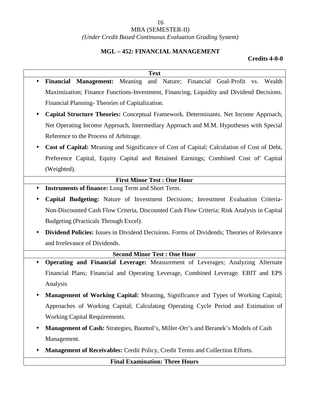### MBA (SEMESTER-II)

### *(Under Credit Based Continuous Evaluation Grading System)*

### **MGL – 452: FINANCIAL MANAGEMENT**

### **Credits 4-0-0**

|           | <b>Text</b>                                                                                       |
|-----------|---------------------------------------------------------------------------------------------------|
|           | Financial Management: Meaning<br>and Nature; Financial Goal-Profit vs. Wealth                     |
|           | Maximization; Finance Functions-Investment, Financing, Liquidity and Dividend Decisions.          |
|           | Financial Planning-Theories of Capitalization.                                                    |
|           | Capital Structure Theories: Conceptual Framework. Determinants. Net Income Approach,              |
|           | Net Operating Income Approach, Intermediary Approach and M.M. Hypotheses with Special             |
|           | Reference to the Process of Arbitrage.                                                            |
| $\bullet$ | Cost of Capital: Meaning and Significance of Cost of Capital; Calculation of Cost of Debt,        |
|           | Preference Capital, Equity Capital and Retained Earnings; Combined Cost of Capital                |
|           | (Weighted).                                                                                       |
|           | <b>First Minor Test : One Hour</b>                                                                |
|           | <b>Instruments of finance:</b> Long Term and Short Term.                                          |
|           | Capital Budgeting: Nature of Investment Decisions; Investment Evaluation Criteria-                |
|           | Non-Discounted Cash Flow Criteria, Discounted Cash Flow Criteria; Risk Analysis in Capital        |
|           | Budgeting (Practicals Through Excel).                                                             |
|           | <b>Dividend Policies:</b> Issues in Dividend Decisions. Forms of Dividends; Theories of Relevance |
|           | and Irrelevance of Dividends.                                                                     |
|           | <b>Second Minor Test: One Hour</b>                                                                |
|           | Operating and Financial Leverage: Measurement of Leverages; Analyzing Alternate                   |
|           | Financial Plans; Financial and Operating Leverage, Combined Leverage. EBIT and EPS                |
|           | Analysis                                                                                          |
|           | Management of Working Capital: Meaning, Significance and Types of Working Capital;                |
|           | Approaches of Working Capital; Calculating Operating Cycle Period and Estimation of               |
|           | Working Capital Requirements.                                                                     |
|           | Management of Cash: Strategies, Baumol's, Miller-Orr's and Beranek's Models of Cash               |
|           | Management.                                                                                       |
|           | Management of Receivables: Credit Policy, Credit Terms and Collection Efforts.                    |
|           | <b>Final Examination: Three Hours</b>                                                             |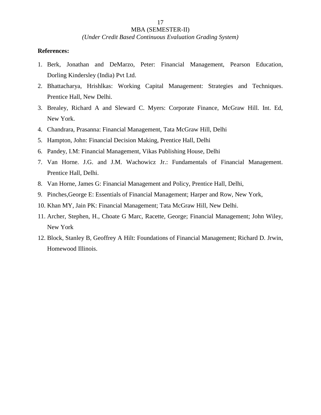*(Under Credit Based Continuous Evaluation Grading System)*

#### **References:**

- 1. Berk, Jonathan and DeMarzo, Peter: Financial Management, Pearson Education, Dorling Kindersley (India) Pvt Ltd.
- 2. Bhattacharya, Hrishlkas: Working Capital Management: Strategies and Techniques. Prentice Hall, New Delhi.
- 3. Brealey, Richard A and Sleward C. Myers: Corporate Finance, McGraw Hill. Int. Ed, New York.
- 4. Chandrara, Prasanna: Financial Management, Tata McGraw Hill, Delhi
- 5. Hampton, John: Financial Decision Making, Prentice Hall, Delhi
- 6. Pandey, I.M: Financial Management, Vikas Publishing House, Delhi
- 7. Van Horne. J.G. and J.M. Wachowicz Jr.: Fundamentals of Financial Management. Prentice Hall, Delhi.
- 8. Van Horne, James G: Financial Management and Policy, Prentice Hall, Delhi,
- 9. Pinches,George E: Essentials of Financial Management; Harper and Row, New York,
- 10. Khan MY, Jain PK: Financial Management; Tata McGraw Hill, New Delhi.
- 11. Archer, Stephen, H., Choate G Marc, Racette, George; Financial Management; John Wiley, New York
- 12. Block, Stanley B, Geoffrey A Hilt: Foundations of Financial Management; Richard D. Jrwin, Homewood Illinois.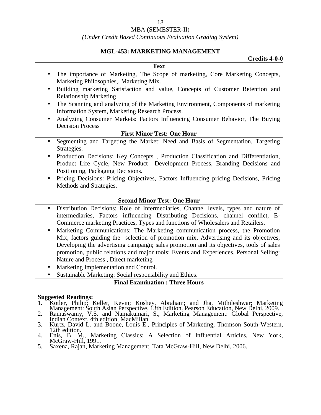#### MBA (SEMESTER-II)

#### *(Under Credit Based Continuous Evaluation Grading System)*

## **MGL-453: MARKETING MANAGEMENT**

| <b>Text</b>                                                                                                                                                                                                                                                                                                                                                                                                                                                                                                                                                                                                                                       |
|---------------------------------------------------------------------------------------------------------------------------------------------------------------------------------------------------------------------------------------------------------------------------------------------------------------------------------------------------------------------------------------------------------------------------------------------------------------------------------------------------------------------------------------------------------------------------------------------------------------------------------------------------|
|                                                                                                                                                                                                                                                                                                                                                                                                                                                                                                                                                                                                                                                   |
| The importance of Marketing, The Scope of marketing, Core Marketing Concepts,<br>Marketing Philosophies,, Marketing Mix.                                                                                                                                                                                                                                                                                                                                                                                                                                                                                                                          |
| Building marketing Satisfaction and value, Concepts of Customer Retention and<br>$\bullet$<br><b>Relationship Marketing</b>                                                                                                                                                                                                                                                                                                                                                                                                                                                                                                                       |
| The Scanning and analyzing of the Marketing Environment, Components of marketing<br>$\bullet$<br>Information System, Marketing Research Process.                                                                                                                                                                                                                                                                                                                                                                                                                                                                                                  |
| Analyzing Consumer Markets: Factors Influencing Consumer Behavior, The Buying<br><b>Decision Process</b>                                                                                                                                                                                                                                                                                                                                                                                                                                                                                                                                          |
| <b>First Minor Test: One Hour</b>                                                                                                                                                                                                                                                                                                                                                                                                                                                                                                                                                                                                                 |
| Segmenting and Targeting the Market: Need and Basis of Segmentation, Targeting<br>$\bullet$<br>Strategies.                                                                                                                                                                                                                                                                                                                                                                                                                                                                                                                                        |
| Production Decisions: Key Concepts, Production Classification and Differentiation,<br>$\bullet$<br>Product Life Cycle, New Product Development Process, Branding Decisions and                                                                                                                                                                                                                                                                                                                                                                                                                                                                    |
| Positioning, Packaging Decisions.                                                                                                                                                                                                                                                                                                                                                                                                                                                                                                                                                                                                                 |
| Pricing Decisions: Pricing Objectives, Factors Influencing pricing Decisions, Pricing<br>$\bullet$<br>Methods and Strategies.                                                                                                                                                                                                                                                                                                                                                                                                                                                                                                                     |
| <b>Second Minor Test: One Hour</b>                                                                                                                                                                                                                                                                                                                                                                                                                                                                                                                                                                                                                |
| Distribution Decisions: Role of Intermediaries, Channel levels, types and nature of<br>$\bullet$<br>intermediaries, Factors influencing Distributing Decisions, channel conflict, E-<br>Commerce marketing Practices, Types and functions of Wholesalers and Retailers.<br>Marketing Communications: The Marketing communication process, the Promotion<br>$\bullet$<br>Mix, factors guiding the selection of promotion mix, Advertising and its objectives,<br>Developing the advertising campaign; sales promotion and its objectives, tools of sales<br>promotion, public relations and major tools; Events and Experiences. Personal Selling: |
| Nature and Process, Direct marketing<br>Marketing Implementation and Control.<br>Sustainable Marketing: Social responsibility and Ethics.                                                                                                                                                                                                                                                                                                                                                                                                                                                                                                         |

- 1. Kotler, Philip; Keller, Kevin; Koshey, Abraham; and Jha, Mithileshwar; Marketing<br>Management: South Asian Perspective. 13th Edition. Pearson Education, New Delhi, 2009.<br>2. Ramaswamy, V.S. and Namakumari, S., Marketing Ma
- 
- 3. Kurtz, David L. and Boone, Louis E., Principles of Marketing, Thomson South-Western, 12th edition.
- 4. Enis, B. M., Marketing Classics: A Selection of Influential Articles, New York, McGraw-Hill, 1991.
- 5. Saxena, Rajan, Marketing Management, Tata McGraw-Hill, New Delhi, 2006.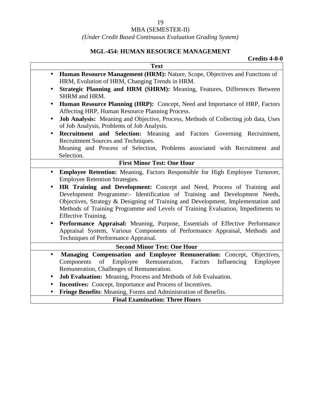### *(Under Credit Based Continuous Evaluation Grading System)*

### **MGL-454: HUMAN RESOURCE MANAGEMENT**

|           | <b>Credits 4-0-0</b>                                                                                                           |
|-----------|--------------------------------------------------------------------------------------------------------------------------------|
|           | <b>Text</b>                                                                                                                    |
|           | Human Resource Management (HRM): Nature, Scope, Objectives and Functions of                                                    |
|           | HRM, Evolution of HRM, Changing Trends in HRM.                                                                                 |
| $\bullet$ | Strategic Planning and HRM (SHRM): Meaning, Features, Differences Between                                                      |
|           | SHRM and HRM.                                                                                                                  |
|           | Human Resource Planning (HRP): Concept, Need and Importance of HRP, Factors<br>Affecting HRP, Human Resource Planning Process. |
| $\bullet$ | Job Analysis: Meaning and Objective, Process, Methods of Collecting job data, Uses                                             |
|           | of Job Analysis, Problems of Job Analysis.                                                                                     |
| $\bullet$ | Recruitment and Selection: Meaning and Factors Governing Recruitment,                                                          |
|           | Recruitment Sources and Techniques.                                                                                            |
|           | Meaning and Process of Selection, Problems associated with Recruitment and                                                     |
|           | Selection.                                                                                                                     |
|           | <b>First Minor Test: One Hour</b>                                                                                              |
| $\bullet$ | Employee Retention: Meaning, Factors Responsible for High Employee Turnover,                                                   |
|           | <b>Employee Retention Strategies.</b>                                                                                          |
| $\bullet$ | HR Training and Development: Concept and Need, Process of Training and                                                         |
|           | Development Programme:- Identification of Training and Development Needs,                                                      |
|           | Objectives, Strategy & Designing of Training and Development, Implementation and                                               |
|           | Methods of Training Programme and Levels of Training Evaluation, Impediments to                                                |
|           | <b>Effective Training.</b>                                                                                                     |
|           | Performance Appraisal: Meaning, Purpose, Essentials of Effective Performance                                                   |
|           | Appraisal System, Various Components of Performance Appraisal, Methods and                                                     |
|           | Techniques of Performance Appraisal.                                                                                           |
|           | <b>Second Minor Test: One Hour</b>                                                                                             |
| $\bullet$ | Managing Compensation and Employee Remuneration: Concept,<br>Objectives,                                                       |
|           | Remuneration,<br>Factors<br>Components<br>of<br>Employee<br>Influencing<br>Employee                                            |
|           | Remuneration, Challenges of Remuneration.                                                                                      |
| $\bullet$ | Job Evaluation: Meaning, Process and Methods of Job Evaluation.                                                                |
| ٠         | <b>Incentives:</b> Concept, Importance and Process of Incentives.                                                              |
| $\bullet$ | Fringe Benefits: Meaning, Forms and Administration of Benefits.                                                                |
|           | <b>Final Examination: Three Hours</b>                                                                                          |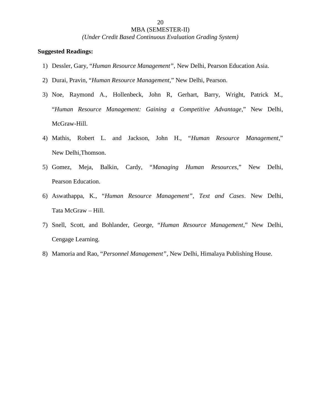*(Under Credit Based Continuous Evaluation Grading System)*

- 1) Dessler, Gary, "*Human Resource Management"*, New Delhi, Pearson Education Asia.
- 2) Durai, Pravin, "*Human Resource Management*," New Delhi, Pearson.
- 3) Noe, Raymond A., Hollenbeck, John R, Gerhart, Barry, Wright, Patrick M., "*Human Resource Management: Gaining a Competitive Advantage*," New Delhi, McGraw-Hill.
- 4) Mathis, Robert L. and Jackson, John H., "*Human Resource Management*," New Delhi,Thomson.
- 5) Gomez, Meja, Balkin, Cardy, "*Managing Human Resources*," New Delhi, Pearson Education.
- 6) Aswathappa, K., "*Human Resource Management", Text and Cases*. New Delhi, Tata McGraw – Hill.
- 7) Snell, Scott, and Bohlander, George, "*Human Resource Management*," New Delhi, Cengage Learning.
- 8) Mamoria and Rao, "*Personnel Management"*, New Delhi, Himalaya Publishing House.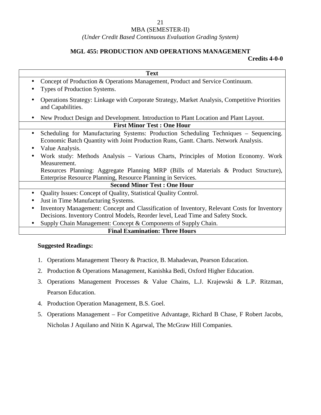### MBA (SEMESTER-II)

#### *(Under Credit Based Continuous Evaluation Grading System)*

### **MGL 455: PRODUCTION AND OPERATIONS MANAGEMENT**

### **Credits 4-0-0**

| <b>Text</b>                                                                                                        |
|--------------------------------------------------------------------------------------------------------------------|
| Concept of Production & Operations Management, Product and Service Continuum.                                      |
| Types of Production Systems.                                                                                       |
| Operations Strategy: Linkage with Corporate Strategy, Market Analysis, Competitive Priorities<br>and Capabilities. |
| New Product Design and Development. Introduction to Plant Location and Plant Layout.                               |
| <b>First Minor Test: One Hour</b>                                                                                  |
| Scheduling for Manufacturing Systems: Production Scheduling Techniques - Sequencing.                               |
| Economic Batch Quantity with Joint Production Runs, Gantt. Charts. Network Analysis.                               |
| Value Analysis.                                                                                                    |
| Work study: Methods Analysis – Various Charts, Principles of Motion Economy. Work                                  |
| Measurement.                                                                                                       |
| Resources Planning: Aggregate Planning MRP (Bills of Materials & Product Structure),                               |
| Enterprise Resource Planning, Resource Planning in Services.                                                       |
| <b>Second Minor Test: One Hour</b>                                                                                 |
| Quality Issues: Concept of Quality, Statistical Quality Control.                                                   |
| Just in Time Manufacturing Systems.                                                                                |
| Inventory Management: Concept and Classification of Inventory, Relevant Costs for Inventory                        |
| Decisions. Inventory Control Models, Reorder level, Lead Time and Safety Stock.                                    |
| Supply Chain Management: Concept & Components of Supply Chain.                                                     |
| <b>Final Examination: Three Hours</b>                                                                              |

- 1. Operations Management Theory & Practice, B. Mahadevan, Pearson Education.
- 2. Production & Operations Management, Kanishka Bedi, Oxford Higher Education.
- 3. Operations Management Processes & Value Chains, L.J. Krajewski & L.P. Ritzman, Pearson Education.
- 4. Production Operation Management, B.S. Goel.
- 5. Operations Management For Competitive Advantage, Richard B Chase, F Robert Jacobs, Nicholas J Aquilano and Nitin K Agarwal, The McGraw Hill Companies.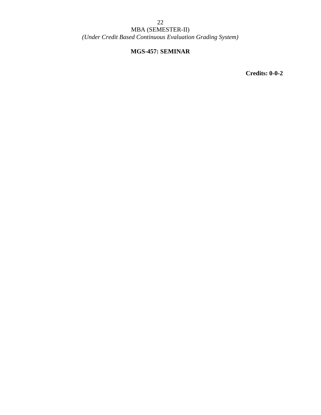### MBA (SEMESTER-II) *(Under Credit Based Continuous Evaluation Grading System)*

### **MGS-457: SEMINAR**

**Credits: 0-0-2**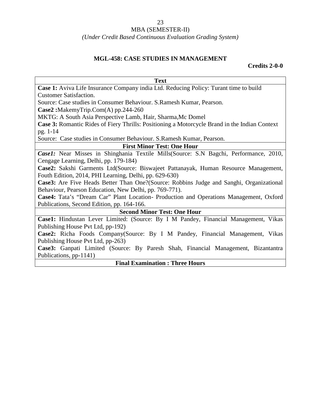### MBA (SEMESTER-II)

### *(Under Credit Based Continuous Evaluation Grading System)*

### **MGL-458: CASE STUDIES IN MANAGEMENT**

### **Credits 2-0-0**

| <b>Text</b>                                                                                   |
|-----------------------------------------------------------------------------------------------|
| Case 1: Aviva Life Insurance Company india Ltd. Reducing Policy: Turant time to build         |
| <b>Customer Satisfaction.</b>                                                                 |
| Source: Case studies in Consumer Behaviour. S. Ramesh Kumar, Pearson.                         |
| $Case2:$ MakemyTrip.Com(A) pp.244-260                                                         |
| MKTG: A South Asia Perspective Lamb, Hair, Sharma, Mc Domel                                   |
| Case 3: Romantic Rides of Fiery Thrills: Positioning a Motorcycle Brand in the Indian Context |
| pg. 1-14                                                                                      |
| Source: Case studies in Consumer Behaviour. S. Ramesh Kumar, Pearson.                         |
| <b>First Minor Test: One Hour</b>                                                             |
| Case1: Near Misses in Shinghania Textile Mills (Source: S.N Bagchi, Performance, 2010,        |
| Cengage Learning, Delhi, pp. 179-184)                                                         |
| Case2: Sakshi Garments Ltd(Source: Biswajeet Pattanayak, Human Resource Management,           |
| Fouth Edition, 2014, PHI Learning, Delhi, pp. 629-630)                                        |
| Case3: Are Five Heads Better Than One?(Source: Robbins Judge and Sanghi, Organizational       |
| Behaviour, Pearson Education, New Delhi, pp. 769-771).                                        |
| Case4: Tata's "Dream Car" Plant Location- Production and Operations Management, Oxford        |
| Publications, Second Edition, pp. 164-166.                                                    |
| <b>Second Minor Test: One Hour</b>                                                            |
| Case1: Hindustan Lever Limited: (Source: By I M Pandey, Financial Management, Vikas           |
| Publishing House Pvt Ltd, pp-192)                                                             |
| Case2: Richa Foods Company(Source: By I M Pandey, Financial Management, Vikas                 |
| Publishing House Pvt Ltd, pp-263)                                                             |
| Case3: Ganpati Limited (Source: By Paresh Shah, Financial Management, Bizantantra             |
| Publications, pp-1141)                                                                        |
| <b>Final Examination: Three Hours</b>                                                         |
|                                                                                               |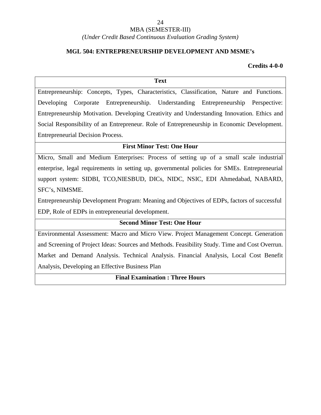*(Under Credit Based Continuous Evaluation Grading System)*

### **MGL 504: ENTREPRENEURSHIP DEVELOPMENT AND MSME's**

**Credits 4-0-0**

#### **Text**

Entrepreneurship: Concepts, Types, Characteristics, Classification, Nature and Functions. Developing Corporate Entrepreneurship. Understanding Entrepreneurship Perspective: Entrepreneurship Motivation. Developing Creativity and Understanding Innovation. Ethics and Social Responsibility of an Entrepreneur. Role of Entrepreneurship in Economic Development. Entrepreneurial Decision Process.

### **First Minor Test: One Hour**

Micro, Small and Medium Enterprises: Process of setting up of a small scale industrial enterprise, legal requirements in setting up, governmental policies for SMEs. Entrepreneurial support system: SIDBI, TCO,NIESBUD, DICs, NIDC, NSIC, EDI Ahmedabad, NABARD, SFC's, NIMSME.

Entrepreneurship Development Program: Meaning and Objectives of EDPs, factors of successful EDP, Role of EDPs in entrepreneurial development.

### **Second Minor Test: One Hour**

Environmental Assessment: Macro and Micro View. Project Management Concept. Generation and Screening of Project Ideas: Sources and Methods. Feasibility Study. Time and Cost Overrun. Market and Demand Analysis. Technical Analysis. Financial Analysis, Local Cost Benefit Analysis, Developing an Effective Business Plan

**Final Examination : Three Hours**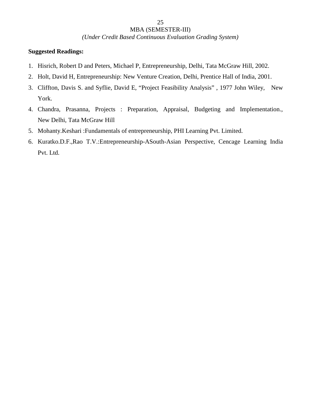*(Under Credit Based Continuous Evaluation Grading System)*

- 1. Hisrich, Robert D and Peters, Michael P, Entrepreneurship, Delhi, Tata McGraw Hill, 2002.
- 2. Holt, David H, Entrepreneurship: New Venture Creation, Delhi, Prentice Hall of India, 2001.
- 3. Cliffton, Davis S. and Syflie, David E, "Project Feasibility Analysis" , 1977 John Wiley, New York.
- 4. Chandra, Prasanna, Projects : Preparation, Appraisal, Budgeting and Implementation., New Delhi, Tata McGraw Hill
- 5. Mohanty.Keshari :Fundamentals of entrepreneurship, PHI Learning Pvt. Limited.
- 6. Kuratko.D.F.,Rao T.V.:Entrepreneurship-ASouth-Asian Perspective, Cencage Learning India Pvt. Ltd.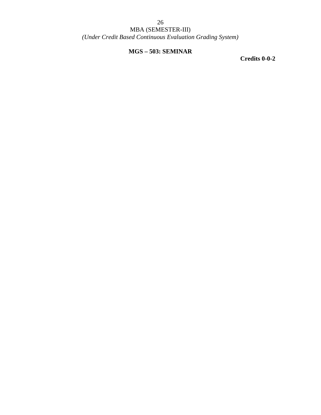*(Under Credit Based Continuous Evaluation Grading System)*

### **MGS – 503: SEMINAR**

**Credits 0-0-2**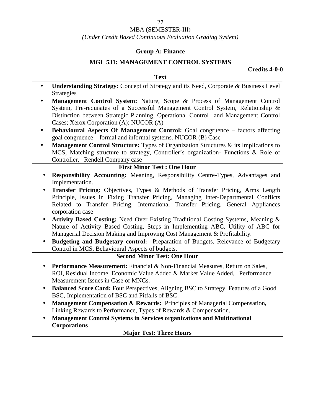### *(Under Credit Based Continuous Evaluation Grading System)*

### **Group A: Finance**

### **MGL 531: MANAGEMENT CONTROL SYSTEMS**

**Credits 4-0-0**

| <b>Text</b>                                                                                                                                                                                                                                                                                                                                                                    |
|--------------------------------------------------------------------------------------------------------------------------------------------------------------------------------------------------------------------------------------------------------------------------------------------------------------------------------------------------------------------------------|
| Understanding Strategy: Concept of Strategy and its Need, Corporate & Business Level<br>$\bullet$<br><b>Strategies</b>                                                                                                                                                                                                                                                         |
| Management Control System: Nature, Scope & Process of Management Control<br>System, Pre-requisites of a Successful Management Control System, Relationship &<br>Distinction between Strategic Planning, Operational Control and Management Control<br>Cases; Xerox Corporation (A); NUCOR (A)                                                                                  |
| Behavioural Aspects Of Management Control: Goal congruence - factors affecting<br>$\bullet$<br>goal congruence – formal and informal systems. NUCOR (B) Case                                                                                                                                                                                                                   |
| <b>Management Control Structure:</b> Types of Organization Structures & its Implications to<br>$\bullet$<br>MCS, Matching structure to strategy, Controller's organization- Functions & Role of<br>Controller, Rendell Company case                                                                                                                                            |
| <b>First Minor Test: One Hour</b>                                                                                                                                                                                                                                                                                                                                              |
| Responsibility Accounting: Meaning, Responsibility Centre-Types, Advantages and<br>$\bullet$<br>Implementation.                                                                                                                                                                                                                                                                |
| Transfer Pricing: Objectives, Types & Methods of Transfer Pricing, Arms Length<br>Principle, Issues in Fixing Transfer Pricing, Managing Inter-Departmental Conflicts<br>Related to Transfer Pricing, International Transfer Pricing. General Appliances<br>corporation case<br>Activity Based Costing: Need Over Existing Traditional Costing Systems, Meaning &<br>$\bullet$ |
| Nature of Activity Based Costing, Steps in Implementing ABC, Utility of ABC for<br>Managerial Decision Making and Improving Cost Management & Profitability.<br>Budgeting and Budgetary control: Preparation of Budgets, Relevance of Budgetary                                                                                                                                |
| Control in MCS, Behavioural Aspects of budgets.<br><b>Second Minor Test: One Hour</b>                                                                                                                                                                                                                                                                                          |
| Performance Measurement: Financial & Non-Financial Measures, Return on Sales,<br>$\bullet$<br>ROI, Residual Income, Economic Value Added & Market Value Added, Performance<br>Measurement Issues in Case of MNCs.                                                                                                                                                              |
| Balanced Score Card: Four Perspectives, Aligning BSC to Strategy, Features of a Good<br>$\bullet$<br>BSC, Implementation of BSC and Pitfalls of BSC.                                                                                                                                                                                                                           |
| Management Compensation & Rewards: Principles of Managerial Compensation,<br>Linking Rewards to Performance, Types of Rewards & Compensation.                                                                                                                                                                                                                                  |
| <b>Management Control Systems in Services organizations and Multinational</b><br><b>Corporations</b>                                                                                                                                                                                                                                                                           |
| <b>Major Test: Three Hours</b>                                                                                                                                                                                                                                                                                                                                                 |
|                                                                                                                                                                                                                                                                                                                                                                                |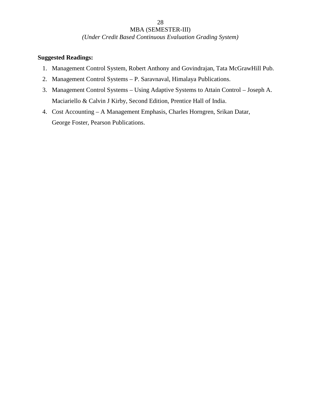*(Under Credit Based Continuous Evaluation Grading System)*

- 1. Management Control System, Robert Anthony and Govindrajan, Tata McGrawHill Pub.
- 2. Management Control Systems P. Saravnaval, Himalaya Publications.
- 3. Management Control Systems Using Adaptive Systems to Attain Control Joseph A. Maciariello & Calvin J Kirby, Second Edition, Prentice Hall of India.
- 4. Cost Accounting A Management Emphasis, Charles Horngren, Srikan Datar, George Foster, Pearson Publications.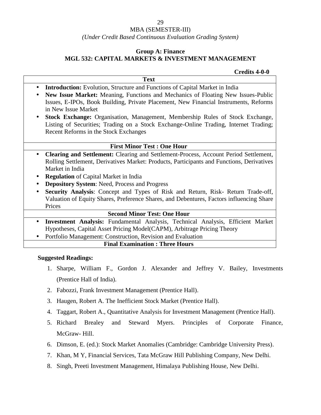### MBA (SEMESTER-III)

*(Under Credit Based Continuous Evaluation Grading System)*

#### **Group A: Finance**

### **MGL 532: CAPITAL MARKETS & INVESTMENT MANAGEMENT**

#### **Credits 4-0-0**

|           | <b>Text</b>                                                                                                                                                                                          |
|-----------|------------------------------------------------------------------------------------------------------------------------------------------------------------------------------------------------------|
| $\bullet$ | <b>Introduction:</b> Evolution, Structure and Functions of Capital Market in India                                                                                                                   |
| $\bullet$ | New Issue Market: Meaning, Functions and Mechanics of Floating New Issues-Public                                                                                                                     |
|           | Issues, E-IPOs, Book Building, Private Placement, New Financial Instruments, Reforms<br>in New Issue Market                                                                                          |
|           | <b>Stock Exchange:</b> Organisation, Management, Membership Rules of Stock Exchange,                                                                                                                 |
|           | Listing of Securities; Trading on a Stock Exchange-Online Trading, Internet Trading;<br>Recent Reforms in the Stock Exchanges                                                                        |
|           | <b>First Minor Test: One Hour</b>                                                                                                                                                                    |
|           | Clearing and Settlement: Clearing and Settlement-Process, Account Period Settlement,<br>Rolling Settlement, Derivatives Market: Products, Participants and Functions, Derivatives<br>Market in India |
|           | <b>Regulation</b> of Capital Market in India                                                                                                                                                         |
|           | <b>Depository System: Need, Process and Progress</b>                                                                                                                                                 |
|           | Security Analysis: Concept and Types of Risk and Return, Risk- Return Trade-off,                                                                                                                     |
|           | Valuation of Equity Shares, Preference Shares, and Debentures, Factors influencing Share                                                                                                             |
|           | Prices                                                                                                                                                                                               |
|           | <b>Second Minor Test: One Hour</b>                                                                                                                                                                   |
| $\bullet$ | Investment Analysis: Fundamental Analysis, Technical Analysis, Efficient Market                                                                                                                      |
|           | Hypotheses, Capital Asset Pricing Model(CAPM), Arbitrage Pricing Theory                                                                                                                              |
|           | Portfolio Management: Construction, Revision and Evaluation                                                                                                                                          |
|           | <b>Final Examination: Three Hours</b>                                                                                                                                                                |

- 1. Sharpe, William F., Gordon J. Alexander and Jeffrey V. Bailey, Investments (Prentice Hall of India).
- 2. Fabozzi, Frank Investment Management (Prentice Hall).
- 3. Haugen, Robert A. The Inefficient Stock Market (Prentice Hall).
- 4. Taggart, Robert A., Quantitative Analysis for Investment Management (Prentice Hall).
- 5. Richard Brealey and Steward Myers. Principles of Corporate Finance, McGraw- Hill.
- 6. Dimson, E. (ed.): Stock Market Anomalies (Cambridge: Cambridge University Press).
- 7. Khan, M Y, Financial Services, Tata McGraw Hill Publishing Company, New Delhi.
- 8. Singh, Preeti Investment Management, Himalaya Publishing House, New Delhi.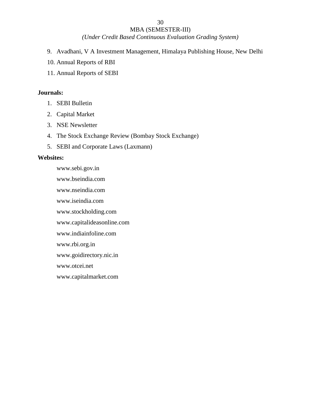*(Under Credit Based Continuous Evaluation Grading System)*

- 9. Avadhani, V A Investment Management, Himalaya Publishing House, New Delhi
- 10. Annual Reports of RBI
- 11. Annual Reports of SEBI

### **Journals:**

- 1. SEBI Bulletin
- 2. Capital Market
- 3. NSE Newsletter
- 4. The Stock Exchange Review (Bombay Stock Exchange)
- 5. SEBI and Corporate Laws (Laxmann)

#### **Websites:**

www.sebi.gov.in www.bseindia.com www.nseindia.com www.iseindia.com www.stockholding.com www.capitalideasonline.com www.indiainfoline.com www.rbi.org.in www.goidirectory.nic.in www.otcei.net www.capitalmarket.com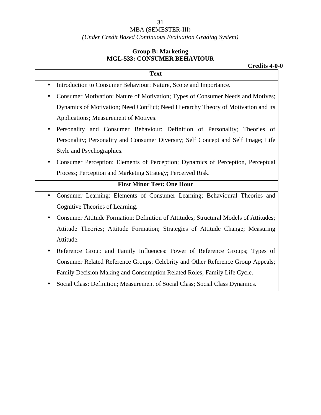### MBA (SEMESTER-III) *(Under Credit Based Continuous Evaluation Grading System)*

### **Group B: Marketing MGL-533: CONSUMER BEHAVIOUR**

| <b>Text</b>                                                                                        |
|----------------------------------------------------------------------------------------------------|
|                                                                                                    |
| Introduction to Consumer Behaviour: Nature, Scope and Importance.<br>$\bullet$                     |
| Consumer Motivation: Nature of Motivation; Types of Consumer Needs and Motives;<br>$\bullet$       |
| Dynamics of Motivation; Need Conflict; Need Hierarchy Theory of Motivation and its                 |
| Applications; Measurement of Motives.                                                              |
| Personality and Consumer Behaviour: Definition of Personality; Theories of<br>$\bullet$            |
| Personality; Personality and Consumer Diversity; Self Concept and Self Image; Life                 |
| Style and Psychographics.                                                                          |
| Consumer Perception: Elements of Perception; Dynamics of Perception, Perceptual<br>$\bullet$       |
| Process; Perception and Marketing Strategy; Perceived Risk.                                        |
| <b>First Minor Test: One Hour</b>                                                                  |
| Consumer Learning: Elements of Consumer Learning; Behavioural Theories and<br>$\bullet$            |
| Cognitive Theories of Learning.                                                                    |
| Consumer Attitude Formation: Definition of Attitudes; Structural Models of Attitudes;<br>$\bullet$ |
| Attitude Theories; Attitude Formation; Strategies of Attitude Change; Measuring                    |
| Attitude.                                                                                          |
| Reference Group and Family Influences: Power of Reference Groups; Types of                         |

- Consumer Related Reference Groups; Celebrity and Other Reference Group Appeals; Family Decision Making and Consumption Related Roles; Family Life Cycle.
- Social Class: Definition; Measurement of Social Class; Social Class Dynamics.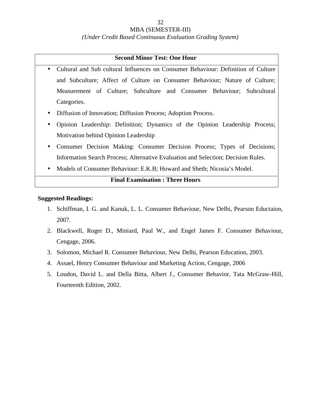#### MBA (SEMESTER-III)

*(Under Credit Based Continuous Evaluation Grading System)*

#### **Second Minor Test: One Hour**

- Cultural and Sub cultural Influences on Consumer Behaviour: Definition of Culture and Subculture; Affect of Culture on Consumer Behaviour; Nature of Culture; Measurement of Culture; Subculture and Consumer Behaviour; Subcultural Categories.
- Diffusion of Innovation; Diffusion Process; Adoption Process.
- Opinion Leadership: Definition; Dynamics of the Opinion Leadership Process; Motivation behind Opinion Leadership
- Consumer Decision Making: Consumer Decision Process; Types of Decisions; Information Search Process; Alternative Evaluation and Selection; Decision Rules.
- Models of Consumer Behaviour: E.K.B; Howard and Sheth; Nicosia's Model.

### **Final Examination : Three Hours**

- 1. Schiffman, I. G. and Kanuk, L. L. Consumer Behaviour, New Delhi, Pearson Eductaion, 2007.
- 2. Blackwell, Roger D., Miniard, Paul W., and Engel James F. Consumer Behaviour, Cengage, 2006.
- 3. Solomon, Michael R. Consumer Behaviour, New Delhi, Pearson Education, 2003.
- 4. Assael, Henry Consumer Behaviour and Marketing Action, Cengage, 2006
- 5. Loudon, David L. and Della Bitta, Albert J., Consumer Behavior, Tata McGraw-Hill, Fourteenth Edition, 2002.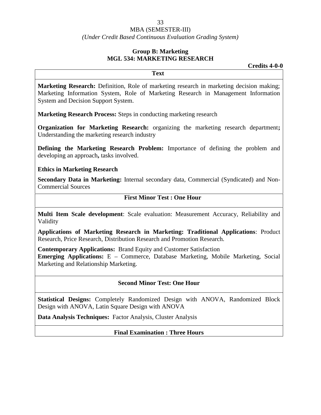### *(Under Credit Based Continuous Evaluation Grading System)*

### **Group B: Marketing MGL 534: MARKETING RESEARCH**

**Credits 4-0-0**

**Marketing Research:** Definition, Role of marketing research in marketing decision making; Marketing Information System, Role of Marketing Research in Management Information System and Decision Support System.

**Text**

**Marketing Research Process:** Steps in conducting marketing research

**Organization for Marketing Research:** organizing the marketing research department**;** Understanding the marketing research industry

**Defining the Marketing Research Problem:** Importance of defining the problem and developing an approach**,** tasks involved.

**Ethics in Marketing Research**

**Secondary Data in Marketing:** Internal secondary data, Commercial (Syndicated) and Non- Commercial Sources

### **First Minor Test : One Hour**

**Multi Item Scale development**: Scale evaluation: Measurement Accuracy, Reliability and Validity

**Applications of Marketing Research in Marketing: Traditional Applications**: Product Research, Price Research, Distribution Research and Promotion Research.

**Contemporary Applications:** Brand Equity and Customer Satisfaction **Emerging Applications:** E – Commerce, Database Marketing, Mobile Marketing, Social Marketing and Relationship Marketing.

### **Second Minor Test: One Hour**

**Statistical Designs:** Completely Randomized Design with ANOVA, Randomized Block Design with ANOVA, Latin Square Design with ANOVA

**Data Analysis Techniques:** Factor Analysis, Cluster Analysis

#### **Final Examination : Three Hours**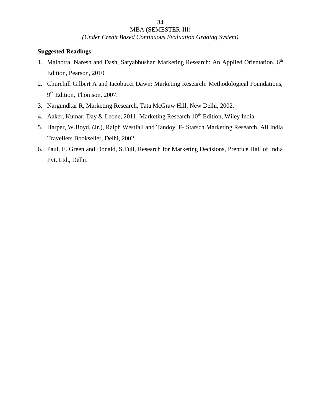*(Under Credit Based Continuous Evaluation Grading System)*

- 1. Malhotra, Naresh and Dash, Satyabhushan Marketing Research: An Applied Orientation, 6<sup>th</sup> Edition, Pearson, 2010
- 2. Churchill Gilbert A and Iacobucci Dawn: Marketing Research: Methodological Foundations, 9 th Edition, Thomson, 2007.
- 3. Nargundkar R, Marketing Research, Tata McGraw Hill, New Delhi, 2002.
- 4. Aaker, Kumar, Day & Leone, 2011, Marketing Research  $10^{th}$  Edition, Wiley India.
- 5. Harper, W.Boyd, (Jr.), Ralph Westfall and Tandoy, F- Starsch Marketing Research, All India Travellers Bookseller, Delhi, 2002.
- 6. Paul, E. Green and Donald, S.Tull, Research for Marketing Decisions, Prentice Hall of India Pvt. Ltd., Delhi.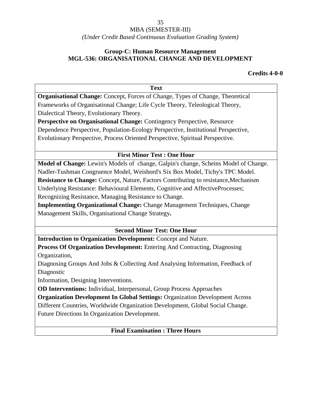### *(Under Credit Based Continuous Evaluation Grading System)*

### **Group-C: Human Resource Management MGL-536: ORGANISATIONAL CHANGE AND DEVELOPMENT**

### **Credits 4-0-0**

| <b>Text</b>                                                                          |
|--------------------------------------------------------------------------------------|
| Organisational Change: Concept, Forces of Change, Types of Change, Theoretical       |
| Frameworks of Organisational Change; Life Cycle Theory, Teleological Theory,         |
| Dialectical Theory, Evolutionary Theory.                                             |
| Perspective on Organisational Change: Contingency Perspective, Resource              |
| Dependence Perspective, Population-Ecology Perspective, Institutional Perspective,   |
| Evolutionary Perspective, Process Oriented Perspective, Spiritual Perspective.       |
| <b>First Minor Test: One Hour</b>                                                    |
| Model of Change: Lewin's Models of change, Galpin's change, Scheins Model of Change. |
| Nadler-Tushman Congruence Model, Weisbord's Six Box Model, Tichy's TPC Model.        |
| Resistance to Change: Concept, Nature, Factors Contributing to resistance, Mechanism |
| Underlying Resistance: Behavioural Elements, Cognitive and AffectiveProcesses;       |
| Recognizing Resistance, Managing Resistance to Change.                               |
| <b>Implementing Organizational Change: Change Management Techniques, Change</b>      |
| Management Skills, Organisational Change Strategy.                                   |
| <b>Second Minor Test: One Hour</b>                                                   |
| Introduction to Organization Development: Concept and Nature.                        |
| Process Of Organization Development: Entering And Contracting, Diagnosing            |
| Organization,                                                                        |
| Diagnosing Groups And Jobs & Collecting And Analysing Information, Feedback of       |
| Diagnostic                                                                           |
| Information, Designing Interventions.                                                |
| <b>OD Interventions:</b> Individual, Interpersonal, Group Process Approaches         |
| <b>Organization Development In Global Settings: Organization Development Across</b>  |
| Different Countries, Worldwide Organization Development, Global Social Change.       |
| Future Directions In Organization Development.                                       |
| <b>Final Examination: Three Hours</b>                                                |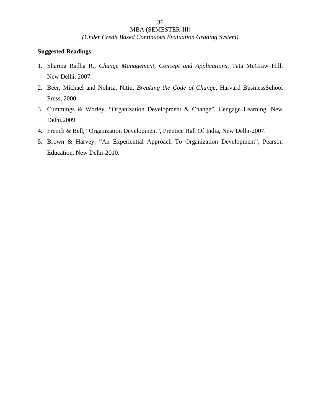*(Under Credit Based Continuous Evaluation Grading System)*

- 1. Sharma Radha R., *Change Management, Concept and Applications*, Tata McGraw Hill, New Delhi, 2007.
- 2. Beer, Michael and Nohria, Nitin, *Breaking the Code of Change*, Harvard BusinessSchool Press, 2000.
- 3. Cummings & Worley, "Organization Development & Change", Cengage Learning, New Delhi,2009
- 4. French & Bell, "Organization Development", Prentice Hall Of India, New Delhi-2007.
- 5. Brown & Harvey, "An Experiential Approach To Organization Development", Pearson Education, New Delhi-2010.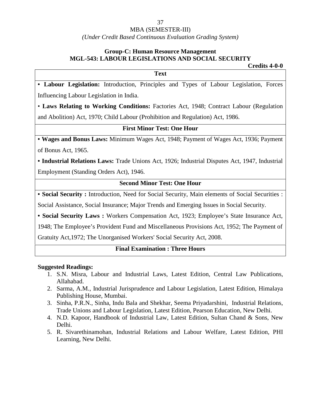### MBA (SEMESTER-III)

*(Under Credit Based Continuous Evaluation Grading System)*

# **Group-C: Human Resource Management MGL-543: LABOUR LEGISLATIONS AND SOCIAL SECURITY**

**Credits 4-0-0 Text** • **Labour Legislation:** Introduction, Principles and Types of Labour Legislation, Forces Influencing Labour Legislation in India.

• **Laws Relating to Working Conditions:** Factories Act, 1948; Contract Labour (Regulation and Abolition) Act, 1970; Child Labour (Prohibition and Regulation) Act, 1986.

#### **First Minor Test: One Hour**

• **Wages and Bonus Laws:** Minimum Wages Act, 1948; Payment of Wages Act, 1936; Payment of Bonus Act, 1965.

• **Industrial Relations Laws:** Trade Unions Act, 1926; Industrial Disputes Act, 1947, Industrial Employment (Standing Orders Act), 1946.

### **Second Minor Test: One Hour**

• **Social Security :** Introduction, Need for Social Security, Main elements of Social Securities :

Social Assistance, Social Insurance; Major Trends and Emerging Issues in Social Security.

• **Social Security Laws :** Workers Compensation Act, 1923; Employee's State Insurance Act,

1948; The Employee's Provident Fund and Miscellaneous Provisions Act, 1952; The Payment of

Gratuity Act,1972; The Unorganised Workers' Social Security Act, 2008.

### **Final Examination : Three Hours**

- 1. S.N. Misra, Labour and Industrial Laws, Latest Edition, Central Law Publications, Allahabad.
- 2. Sarma, A.M., Industrial Jurisprudence and Labour Legislation, Latest Edition, Himalaya Publishing House, Mumbai.
- 3. Sinha, P.R.N., Sinha, Indu Bala and Shekhar, Seema Priyadarshini, Industrial Relations, Trade Unions and Labour Legislation, Latest Edition, Pearson Education, New Delhi.
- 4. N.D. Kapoor, Handbook of Industrial Law, Latest Edition, Sultan Chand & Sons, New Delhi.
- 5. R. Sivarethinamohan, Industrial Relations and Labour Welfare, Latest Edition, PHI Learning, New Delhi.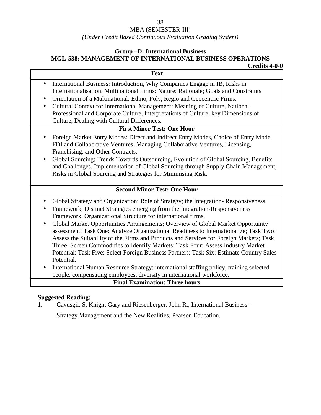### MBA (SEMESTER-III)

### *(Under Credit Based Continuous Evaluation Grading System)*

#### **Group –D: International Business MGL-538: MANAGEMENT OF INTERNATIONAL BUSINESS OPERATIONS Credits 4-0-0**

| International Business: Introduction, Why Companies Engage in IB, Risks in<br>Internationalisation. Multinational Firms: Nature; Rationale; Goals and Constraints<br>Orientation of a Multinational: Ethno, Poly, Regio and Geocentric Firms.<br>Cultural Context for International Management: Meaning of Culture, National,<br>Professional and Corporate Culture, Interpretations of Culture, key Dimensions of<br>Culture, Dealing with Cultural Differences.<br><b>First Minor Test: One Hour</b><br>Foreign Market Entry Modes: Direct and Indirect Entry Modes, Choice of Entry Mode,<br>FDI and Collaborative Ventures, Managing Collaborative Ventures, Licensing,<br>Franchising, and Other Contracts.<br>Global Sourcing: Trends Towards Outsourcing, Evolution of Global Sourcing, Benefits<br>and Challenges, Implementation of Global Sourcing through Supply Chain Management,<br>Risks in Global Sourcing and Strategies for Minimising Risk.<br><b>Second Minor Test: One Hour</b><br>Global Strategy and Organization: Role of Strategy; the Integration-Responsiveness<br>Framework; Distinct Strategies emerging from the Integration-Responsiveness<br>Framework. Organizational Structure for international firms.<br>Global Market Opportunities Arrangements; Overview of Global Market Opportunity<br>assessment; Task One: Analyze Organizational Readiness to Internationalize; Task Two:<br>Assess the Suitability of the Firms and Products and Services for Foreign Markets; Task<br>Three: Screen Commodities to Identify Markets; Task Four: Assess Industry Market<br>Potential; Task Five: Select Foreign Business Partners; Task Six: Estimate Country Sales<br>Potential. |           | ULTUILS 4-V-V<br><b>Text</b> |
|---------------------------------------------------------------------------------------------------------------------------------------------------------------------------------------------------------------------------------------------------------------------------------------------------------------------------------------------------------------------------------------------------------------------------------------------------------------------------------------------------------------------------------------------------------------------------------------------------------------------------------------------------------------------------------------------------------------------------------------------------------------------------------------------------------------------------------------------------------------------------------------------------------------------------------------------------------------------------------------------------------------------------------------------------------------------------------------------------------------------------------------------------------------------------------------------------------------------------------------------------------------------------------------------------------------------------------------------------------------------------------------------------------------------------------------------------------------------------------------------------------------------------------------------------------------------------------------------------------------------------------------------------------------------------------------------------------------|-----------|------------------------------|
|                                                                                                                                                                                                                                                                                                                                                                                                                                                                                                                                                                                                                                                                                                                                                                                                                                                                                                                                                                                                                                                                                                                                                                                                                                                                                                                                                                                                                                                                                                                                                                                                                                                                                                               |           |                              |
| $\bullet$<br>$\bullet$<br>$\bullet$<br>$\bullet$<br>$\bullet$<br>$\bullet$                                                                                                                                                                                                                                                                                                                                                                                                                                                                                                                                                                                                                                                                                                                                                                                                                                                                                                                                                                                                                                                                                                                                                                                                                                                                                                                                                                                                                                                                                                                                                                                                                                    | $\bullet$ |                              |
|                                                                                                                                                                                                                                                                                                                                                                                                                                                                                                                                                                                                                                                                                                                                                                                                                                                                                                                                                                                                                                                                                                                                                                                                                                                                                                                                                                                                                                                                                                                                                                                                                                                                                                               |           |                              |
|                                                                                                                                                                                                                                                                                                                                                                                                                                                                                                                                                                                                                                                                                                                                                                                                                                                                                                                                                                                                                                                                                                                                                                                                                                                                                                                                                                                                                                                                                                                                                                                                                                                                                                               |           |                              |
|                                                                                                                                                                                                                                                                                                                                                                                                                                                                                                                                                                                                                                                                                                                                                                                                                                                                                                                                                                                                                                                                                                                                                                                                                                                                                                                                                                                                                                                                                                                                                                                                                                                                                                               |           |                              |
|                                                                                                                                                                                                                                                                                                                                                                                                                                                                                                                                                                                                                                                                                                                                                                                                                                                                                                                                                                                                                                                                                                                                                                                                                                                                                                                                                                                                                                                                                                                                                                                                                                                                                                               |           |                              |
|                                                                                                                                                                                                                                                                                                                                                                                                                                                                                                                                                                                                                                                                                                                                                                                                                                                                                                                                                                                                                                                                                                                                                                                                                                                                                                                                                                                                                                                                                                                                                                                                                                                                                                               |           |                              |
|                                                                                                                                                                                                                                                                                                                                                                                                                                                                                                                                                                                                                                                                                                                                                                                                                                                                                                                                                                                                                                                                                                                                                                                                                                                                                                                                                                                                                                                                                                                                                                                                                                                                                                               |           |                              |
|                                                                                                                                                                                                                                                                                                                                                                                                                                                                                                                                                                                                                                                                                                                                                                                                                                                                                                                                                                                                                                                                                                                                                                                                                                                                                                                                                                                                                                                                                                                                                                                                                                                                                                               |           |                              |
|                                                                                                                                                                                                                                                                                                                                                                                                                                                                                                                                                                                                                                                                                                                                                                                                                                                                                                                                                                                                                                                                                                                                                                                                                                                                                                                                                                                                                                                                                                                                                                                                                                                                                                               |           |                              |
|                                                                                                                                                                                                                                                                                                                                                                                                                                                                                                                                                                                                                                                                                                                                                                                                                                                                                                                                                                                                                                                                                                                                                                                                                                                                                                                                                                                                                                                                                                                                                                                                                                                                                                               |           |                              |
|                                                                                                                                                                                                                                                                                                                                                                                                                                                                                                                                                                                                                                                                                                                                                                                                                                                                                                                                                                                                                                                                                                                                                                                                                                                                                                                                                                                                                                                                                                                                                                                                                                                                                                               |           |                              |
|                                                                                                                                                                                                                                                                                                                                                                                                                                                                                                                                                                                                                                                                                                                                                                                                                                                                                                                                                                                                                                                                                                                                                                                                                                                                                                                                                                                                                                                                                                                                                                                                                                                                                                               |           |                              |
|                                                                                                                                                                                                                                                                                                                                                                                                                                                                                                                                                                                                                                                                                                                                                                                                                                                                                                                                                                                                                                                                                                                                                                                                                                                                                                                                                                                                                                                                                                                                                                                                                                                                                                               |           |                              |
|                                                                                                                                                                                                                                                                                                                                                                                                                                                                                                                                                                                                                                                                                                                                                                                                                                                                                                                                                                                                                                                                                                                                                                                                                                                                                                                                                                                                                                                                                                                                                                                                                                                                                                               |           |                              |
|                                                                                                                                                                                                                                                                                                                                                                                                                                                                                                                                                                                                                                                                                                                                                                                                                                                                                                                                                                                                                                                                                                                                                                                                                                                                                                                                                                                                                                                                                                                                                                                                                                                                                                               |           |                              |
|                                                                                                                                                                                                                                                                                                                                                                                                                                                                                                                                                                                                                                                                                                                                                                                                                                                                                                                                                                                                                                                                                                                                                                                                                                                                                                                                                                                                                                                                                                                                                                                                                                                                                                               |           |                              |
|                                                                                                                                                                                                                                                                                                                                                                                                                                                                                                                                                                                                                                                                                                                                                                                                                                                                                                                                                                                                                                                                                                                                                                                                                                                                                                                                                                                                                                                                                                                                                                                                                                                                                                               |           |                              |
|                                                                                                                                                                                                                                                                                                                                                                                                                                                                                                                                                                                                                                                                                                                                                                                                                                                                                                                                                                                                                                                                                                                                                                                                                                                                                                                                                                                                                                                                                                                                                                                                                                                                                                               |           |                              |
|                                                                                                                                                                                                                                                                                                                                                                                                                                                                                                                                                                                                                                                                                                                                                                                                                                                                                                                                                                                                                                                                                                                                                                                                                                                                                                                                                                                                                                                                                                                                                                                                                                                                                                               |           |                              |
|                                                                                                                                                                                                                                                                                                                                                                                                                                                                                                                                                                                                                                                                                                                                                                                                                                                                                                                                                                                                                                                                                                                                                                                                                                                                                                                                                                                                                                                                                                                                                                                                                                                                                                               |           |                              |
|                                                                                                                                                                                                                                                                                                                                                                                                                                                                                                                                                                                                                                                                                                                                                                                                                                                                                                                                                                                                                                                                                                                                                                                                                                                                                                                                                                                                                                                                                                                                                                                                                                                                                                               |           |                              |
|                                                                                                                                                                                                                                                                                                                                                                                                                                                                                                                                                                                                                                                                                                                                                                                                                                                                                                                                                                                                                                                                                                                                                                                                                                                                                                                                                                                                                                                                                                                                                                                                                                                                                                               |           |                              |
|                                                                                                                                                                                                                                                                                                                                                                                                                                                                                                                                                                                                                                                                                                                                                                                                                                                                                                                                                                                                                                                                                                                                                                                                                                                                                                                                                                                                                                                                                                                                                                                                                                                                                                               |           |                              |
|                                                                                                                                                                                                                                                                                                                                                                                                                                                                                                                                                                                                                                                                                                                                                                                                                                                                                                                                                                                                                                                                                                                                                                                                                                                                                                                                                                                                                                                                                                                                                                                                                                                                                                               |           |                              |
| International Human Resource Strategy: international staffing policy, training selected                                                                                                                                                                                                                                                                                                                                                                                                                                                                                                                                                                                                                                                                                                                                                                                                                                                                                                                                                                                                                                                                                                                                                                                                                                                                                                                                                                                                                                                                                                                                                                                                                       |           |                              |
| people, compensating employees, diversity in international workforce.                                                                                                                                                                                                                                                                                                                                                                                                                                                                                                                                                                                                                                                                                                                                                                                                                                                                                                                                                                                                                                                                                                                                                                                                                                                                                                                                                                                                                                                                                                                                                                                                                                         |           |                              |
| <b>Final Examination: Three hours</b>                                                                                                                                                                                                                                                                                                                                                                                                                                                                                                                                                                                                                                                                                                                                                                                                                                                                                                                                                                                                                                                                                                                                                                                                                                                                                                                                                                                                                                                                                                                                                                                                                                                                         |           |                              |

### **Suggested Reading:**

1. Cavusgil, S. Knight Gary and Riesenberger, John R., International Business –

Strategy Management and the New Realities, Pearson Education.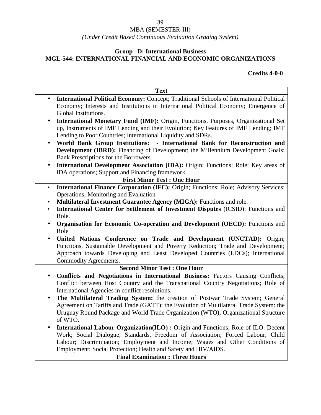### *(Under Credit Based Continuous Evaluation Grading System)*

### **Group –D: International Business MGL-544: INTERNATIONAL FINANCIAL AND ECONOMIC ORGANIZATIONS**

### **Credits 4-0-0**

|           | <b>Text</b>                                                                                                                                                                                                                                |
|-----------|--------------------------------------------------------------------------------------------------------------------------------------------------------------------------------------------------------------------------------------------|
| $\bullet$ | International Political Economy: Concept; Traditional Schools of International Political<br>Economy; Interests and Institutions in International Political Economy; Emergence of<br>Global Institutions.                                   |
| $\bullet$ | International Monetary Fund (IMF): Origin, Functions, Purposes, Organizational Set<br>up, Instruments of IMF Lending and their Evolution; Key Features of IMF Lending; IMF<br>Lending to Poor Countries; International Liquidity and SDRs. |
| $\bullet$ | World Bank Group Institutions: - International Bank for Reconstruction and<br><b>Development (IBRD):</b> Financing of Development; the Millennium Development Goals;<br>Bank Prescriptions for the Borrowers.                              |
| $\bullet$ | International Development Association (IDA): Origin; Functions; Role; Key areas of<br>IDA operations; Support and Financing framework.                                                                                                     |
|           | <b>First Minor Test: One Hour</b>                                                                                                                                                                                                          |
| $\bullet$ | International Finance Corporation (IFC): Origin; Functions; Role; Advisory Services;<br>Operations; Monitoring and Evaluation                                                                                                              |
| $\bullet$ | Multilateral Investment Guarantee Agency (MIGA): Functions and role.                                                                                                                                                                       |
| $\bullet$ | International Center for Settlement of Investment Disputes (ICSID): Functions and<br>Role.                                                                                                                                                 |
| $\bullet$ | Organisation for Economic Co-operation and Development (OECD): Functions and                                                                                                                                                               |
|           | Role                                                                                                                                                                                                                                       |
| $\bullet$ | United Nations Conference on Trade and Development (UNCTAD): Origin;                                                                                                                                                                       |
|           | Functions, Sustainable Development and Poverty Reduction; Trade and Development;<br>Approach towards Developing and Least Developed Countries (LDCs); International<br>Commodity Agreements.                                               |
|           | <b>Second Minor Test: One Hour</b>                                                                                                                                                                                                         |
| $\bullet$ | Conflicts and Negotiations in International Business: Factors Causing Conflicts;<br>Conflict between Host Country and the Transnational Country Negotiations; Role of<br>International Agencies in conflict resolutions.                   |
| $\bullet$ | The Multilateral Trading System: the creation of Postwar Trade System; General                                                                                                                                                             |
|           | Agreement on Tariffs and Trade (GATT); the Evolution of Multilateral Trade System: the<br>Uruguay Round Package and World Trade Organization (WTO); Organizational Structure<br>of WTO.                                                    |
| $\bullet$ | <b>International Labour Organization(ILO):</b> Origin and Functions; Role of ILO: Decent                                                                                                                                                   |
|           | Work; Social Dialogue; Standards, Freedom of Association; Forced Labour; Child                                                                                                                                                             |
|           | Labour; Discrimination; Employment and Income; Wages and Other Conditions of                                                                                                                                                               |
|           | Employment; Social Protection; Health and Safety and HIV/AIDS.                                                                                                                                                                             |
|           | <b>Final Examination: Three Hours</b>                                                                                                                                                                                                      |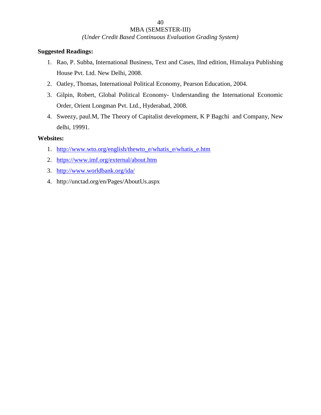# *(Under Credit Based Continuous Evaluation Grading System)*

#### **Suggested Readings:**

- 1. Rao, P. Subba, International Business, Text and Cases, IInd edition, Himalaya Publishing House Pvt. Ltd. New Delhi, 2008.
- 2. Oatley, Thomas, International Political Economy, Pearson Education, 2004.
- 3. Gilpin, Robert, Global Political Economy- Understanding the International Economic Order, Orient Longman Pvt. Ltd., Hyderabad, 2008.
- 4. Sweezy, paul.M, The Theory of Capitalist development, K P Bagchi and Company, New delhi, 19991.

### **Websites:**

- 1. http://www.wto.org/english/thewto\_e/whatis\_e/whatis\_e.htm
- 2. https://www.imf.org/external/about.htm
- 3. http://www.worldbank.org/ida/
- 4. http://unctad.org/en/Pages/AboutUs.aspx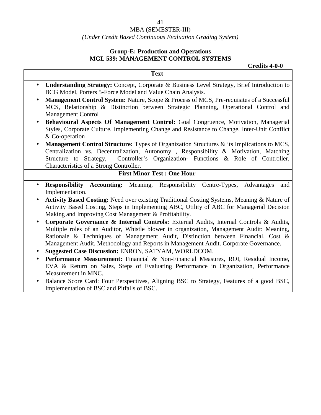#### MBA (SEMESTER-III)

### *(Under Credit Based Continuous Evaluation Grading System)*

### **Group-E: Production and Operations MGL 539: MANAGEMENT CONTROL SYSTEMS**

 $\Gamma$ 

**Credits 4-0-0**

| <b>Text</b>                                                                                                                                                                                                                                                                                                                                                                                 |
|---------------------------------------------------------------------------------------------------------------------------------------------------------------------------------------------------------------------------------------------------------------------------------------------------------------------------------------------------------------------------------------------|
| Understanding Strategy: Concept, Corporate & Business Level Strategy, Brief Introduction to<br>$\bullet$<br>BCG Model, Porters 5-Force Model and Value Chain Analysis.                                                                                                                                                                                                                      |
| Management Control System: Nature, Scope & Process of MCS, Pre-requisites of a Successful<br>$\bullet$<br>MCS, Relationship & Distinction between Strategic Planning, Operational Control and<br><b>Management Control</b>                                                                                                                                                                  |
| Behavioural Aspects Of Management Control: Goal Congruence, Motivation, Managerial<br>$\bullet$<br>Styles, Corporate Culture, Implementing Change and Resistance to Change, Inter-Unit Conflict<br>& Co-operation                                                                                                                                                                           |
| Management Control Structure: Types of Organization Structures & its Implications to MCS,<br>$\bullet$<br>Centralization vs. Decentralization, Autonomy, Responsibility & Motivation, Matching<br>Controller's Organization- Functions & Role of Controller,<br>Structure to Strategy,<br>Characteristics of a Strong Controller.                                                           |
| <b>First Minor Test: One Hour</b>                                                                                                                                                                                                                                                                                                                                                           |
| <b>Responsibility Accounting:</b> Meaning, Responsibility Centre-Types, Advantages<br>$\bullet$<br>and<br>Implementation.<br>Activity Based Costing: Need over existing Traditional Costing Systems, Meaning & Nature of<br>$\bullet$<br>Activity Based Costing, Steps in Implementing ABC, Utility of ABC for Managerial Decision<br>Making and Improving Cost Management & Profitability. |
| Corporate Governance & Internal Controls: External Audits, Internal Controls & Audits,<br>$\bullet$<br>Multiple roles of an Auditor, Whistle blower in organization, Management Audit: Meaning,<br>Rationale & Techniques of Management Audit, Distinction between Financial, Cost &<br>Management Audit, Methodology and Reports in Management Audit. Corporate Governance.                |
| Suggested Case Discussion: ENRON, SATYAM, WORLDCOM.<br>$\bullet$                                                                                                                                                                                                                                                                                                                            |
| Performance Measurement: Financial & Non-Financial Measures, ROI, Residual Income,<br>$\bullet$<br>EVA & Return on Sales, Steps of Evaluating Performance in Organization, Performance<br>Measurement in MNC.                                                                                                                                                                               |
| Balance Score Card: Four Perspectives, Aligning BSC to Strategy, Features of a good BSC,<br>$\bullet$<br>Implementation of BSC and Pitfalls of BSC.                                                                                                                                                                                                                                         |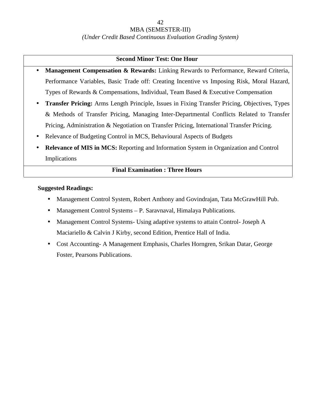#### MBA (SEMESTER-III)

#### *(Under Credit Based Continuous Evaluation Grading System)*

### **Second Minor Test: One Hour**

- **Management Compensation & Rewards:** Linking Rewards to Performance, Reward Criteria, Performance Variables, Basic Trade off: Creating Incentive vs Imposing Risk, Moral Hazard, Types of Rewards & Compensations, Individual, Team Based & Executive Compensation
- **Transfer Pricing:** Arms Length Principle, Issues in Fixing Transfer Pricing, Objectives, Types & Methods of Transfer Pricing, Managing Inter-Departmental Conflicts Related to Transfer Pricing, Administration & Negotiation on Transfer Pricing, International Transfer Pricing.
- Relevance of Budgeting Control in MCS, Behavioural Aspects of Budgets
- **Relevance of MIS in MCS:** Reporting and Information System in Organization and Control Implications

### **Final Examination : Three Hours**

- Management Control System, Robert Anthony and Govindrajan, Tata McGrawHill Pub.
- Management Control Systems P. Saravnaval, Himalaya Publications.
- Management Control Systems- Using adaptive systems to attain Control- Joseph A Maciariello & Calvin J Kirby, second Edition, Prentice Hall of India.
- Cost Accounting- A Management Emphasis, Charles Horngren, Srikan Datar, George Foster, Pearsons Publications.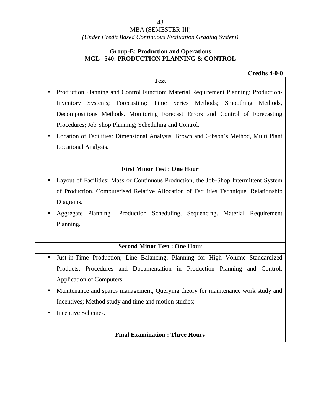#### MBA (SEMESTER-III)

### *(Under Credit Based Continuous Evaluation Grading System)*

### **Group-E: Production and Operations MGL –540: PRODUCTION PLANNING & CONTROL**

#### **Credits 4-0-0**

| <b>Text</b>                                                                                        |  |
|----------------------------------------------------------------------------------------------------|--|
| Production Planning and Control Function: Material Requirement Planning; Production-<br>$\bullet$  |  |
| Inventory Systems; Forecasting: Time Series Methods; Smoothing Methods,                            |  |
| Decompositions Methods. Monitoring Forecast Errors and Control of Forecasting                      |  |
| Procedures; Job Shop Planning; Scheduling and Control.                                             |  |
| Location of Facilities: Dimensional Analysis. Brown and Gibson's Method, Multi Plant<br>$\bullet$  |  |
| Locational Analysis.                                                                               |  |
|                                                                                                    |  |
| <b>First Minor Test : One Hour</b>                                                                 |  |
| Layout of Facilities: Mass or Continuous Production, the Job-Shop Intermittent System<br>$\bullet$ |  |
| of Production. Computerised Relative Allocation of Facilities Technique. Relationship              |  |
| Diagrams.                                                                                          |  |
| Aggregate Planning- Production Scheduling, Sequencing. Material Requirement<br>$\bullet$           |  |
| Planning.                                                                                          |  |
|                                                                                                    |  |
| <b>Second Minor Test: One Hour</b>                                                                 |  |
|                                                                                                    |  |

- Products; Procedures and Documentation in Production Planning and Control; Application of Computers;
- Maintenance and spares management; Querying theory for maintenance work study and Incentives; Method study and time and motion studies;
- Incentive Schemes.

### **Final Examination : Three Hours**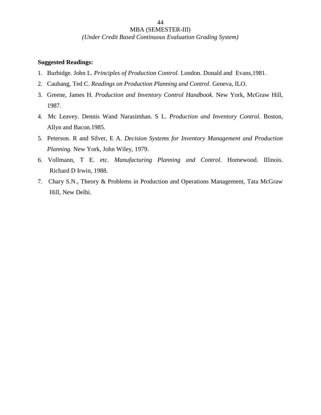*(Under Credit Based Continuous Evaluation Grading System)*

44

- 1. Burbidge. John L. *Principles of Production Control.* London. Donald and Evans,1981.
- 2. Caubang, Ted C. *Readings on Production Planning and Control.* Geneva, ILO.
- 3. Greene, James H. *Production and Inventory Control Handbook.* New York, McGraw Hill, 1987.
- 4. Mc Leavey. Dennis Wand Narasimhan. S L. *Production and Inventory Control.* Boston, Allyn and Bacon.1985.
- 5. Peterson. R and Silver, E A. *Decision Systems for Inventory Management and Production Planning.* New York, John Wiley, 1979.
- 6. Vollmann, T E. etc. *Manufacturing Planning and Control.* Homewood. Illinois. Richard D Irwin, 1988.
- 7. Chary S.N., Theory & Problems in Production and Operations Management, Tata McGraw Hill, New Delhi.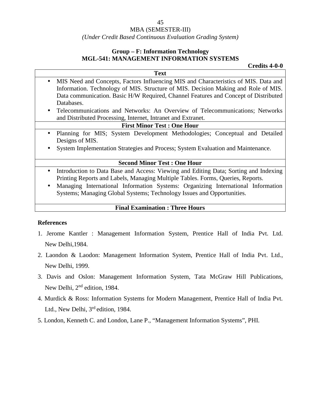#### MBA (SEMESTER-III)

#### *(Under Credit Based Continuous Evaluation Grading System)*

### **Group – F: Information Technology MGL-541: MANAGEMENT INFORMATION SYSTEMS**

**Credits 4-0-0**

- **Text** • MIS Need and Concepts, Factors Influencing MIS and Characteristics of MIS. Data and Information. Technology of MIS. Structure of MIS. Decision Making and Role of MIS. Data communication. Basic H/W Required, Channel Features and Concept of Distributed Databases.
	- Telecommunications and Networks: An Overview of Telecommunications; Networks and Distributed Processing, Internet, Intranet and Extranet.

### **First Minor Test : One Hour**

- Planning for MIS; System Development Methodologies; Conceptual and Detailed Designs of MIS.
- System Implementation Strategies and Process; System Evaluation and Maintenance.

#### **Second Minor Test : One Hour**

- Introduction to Data Base and Access: Viewing and Editing Data; Sorting and Indexing Printing Reports and Labels, Managing Multiple Tables. Forms, Queries, Reports.
- Managing International Information Systems: Organizing International Information Systems; Managing Global Systems; Technology Issues and Opportunities.

#### **Final Examination : Three Hours**

#### **References**

- 1. Jerome Kantler : Management Information System, Prentice Hall of India Pvt. Ltd. New Delhi,1984.
- 2. Laondon & Laodon: Management Information System, Prentice Hall of India Pvt. Ltd., New Delhi, 1999.
- 3. Davis and Oslon: Management Information System, Tata McGraw Hill Publications, New Delhi, 2<sup>nd</sup> edition, 1984.
- 4. Murdick & Ross: Information Systems for Modern Management, Prentice Hall of India Pvt. Ltd., New Delhi, 3<sup>rd</sup> edition, 1984.
- 5. London, Kenneth C. and London, Lane P., "Management Information Systems", PHI.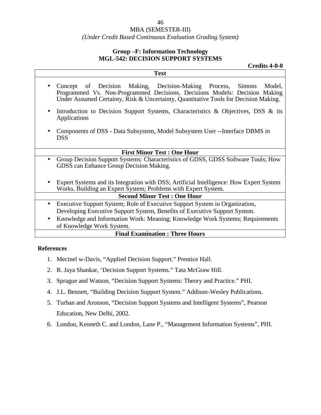### *(Under Credit Based Continuous Evaluation Grading System)*

### **Group –F: Information Technology MGL-542: DECISION SUPPORT SYSTEMS**

**Text**

**Credits 4-0-0**

- Concept of Decision Making, Decision-Making Process, Simons Model, Programmed Vs. Non-Programmed Decisions, Decisions Models: Decision Making Under Assumed Certainty, Risk & Uncertainty, Quantitative Tools for Decision Making.
- Introduction to Decision Support Systems, Characteristics & Objectives, DSS & its Applications
- Components of DSS Data Subsystem, Model Subsystem User --Interface DBMS in DSS

#### **First Minor Test : One Hour**

- Group Decision Support Systems: Characteristics of GDSS, GDSS Software Tools; How GDSS can Enhance Group Decision Making.
- Expert Systems and its Integration with DSS; Artificial Intelligence: How Expert System Works. Building an Expert System; Problems with Expert System.

### **Second Minor Test : One Hour**

- Executive Support System; Role of Executive Support System in Organization, Developing Executive Support System, Benefits of Executive Support System.
- Knowledge and Information Work: Meaning; Knowledge Work Systems; Requirements of Knowledge Work System.

#### **Final Examination : Three Hours**

#### **References**

- 1. Mecinel w-Davis, "Applied Decision Support." Prentice Hall.
- 2. R. Jaya Shankar, 'Decision Support Systems." Tata McGraw Hill.
- 3. Sprague and Watson, "Decision Support Systems: Theory and Practice." PHI.
- 4. J.L. Bennett, "Building Decision Support System." Addison-Wesley Publications.
- 5. Turban and Aronson, "Decision Support Systems and Intelligent Systems", Pearson Education, New Delhi, 2002.
- 6. London, Kenneth C. and London, Lane P., "Management Information Systems", PHI.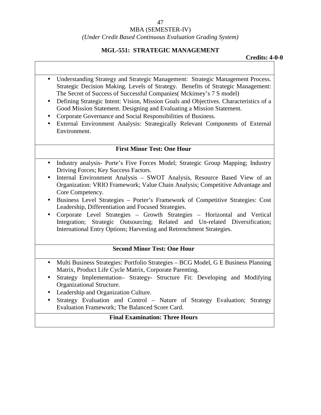#### MBA (SEMESTER-IV)

#### *(Under Credit Based Continuous Evaluation Grading System)*

#### **MGL-551: STRATEGIC MANAGEMENT**

**Credits: 4-0-0**

- Understanding Strategy and Strategic Management: Strategic Management Process. Strategic Decision Making. Levels of Strategy. Benefits of Strategic Management: The Secret of Success of Successful Companies( Mckinsey's 7 S model)
- Defining Strategic Intent: Vision, Mission Goals and Objectives. Characteristics of a Good Mission Statement. Designing and Evaluating a Mission Statement.
- Corporate Governance and Social Responsibilities of Business.
- External Environment Analysis: Strategically Relevant Components of External Environment.

#### **First Minor Test: One Hour**

- Industry analysis- Porte's Five Forces Model; Strategic Group Mapping; Industry Driving Forces; Key Success Factors.
- Internal Environment Analysis SWOT Analysis, Resource Based View of an Organization: VRIO Framework; Value Chain Analysis; Competitive Advantage and Core Competency.
- Business Level Strategies Porter's Framework of Competitive Strategies: Cost Leadership, Differentiation and Focused Strategies.
- Corporate Level Strategies Growth Strategies Horizontal and Vertical Integration; Strategic Outsourcing; Related and Un-related Diversification; International Entry Options; Harvesting and Retrenchment Strategies.

#### **Second Minor Test: One Hour**

- Multi Business Strategies: Portfolio Strategies BCG Model, G E Business Planning Matrix, Product Life Cycle Matrix, Corporate Parenting.
- Strategy Implementation– Strategy- Structure Fit: Developing and Modifying Organizational Structure.
- Leadership and Organization Culture.
- Strategy Evaluation and Control Nature of Strategy Evaluation; Strategy Evaluation Framework; The Balanced Score Card.

#### **Final Examination: Three Hours**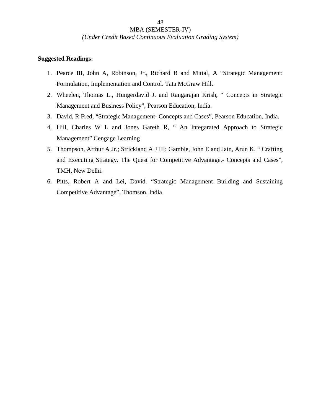#### *(Under Credit Based Continuous Evaluation Grading System)*

48

- 1. Pearce III, John A, Robinson, Jr., Richard B and Mittal, A "Strategic Management: Formulation, Implementation and Control. Tata McGraw Hill.
- 2. Wheelen, Thomas L., Hungerdavid J. and Rangarajan Krish, " Concepts in Strategic Management and Business Policy", Pearson Education, India.
- 3. David, R Fred, "Strategic Management- Concepts and Cases", Pearson Education, India.
- 4. Hill, Charles W L and Jones Gareth R, " An Integarated Approach to Strategic Management" Cengage Learning
- 5. Thompson, Arthur A Jr.; Strickland A J III; Gamble, John E and Jain, Arun K. " Crafting and Executing Strategy. The Quest for Competitive Advantage.- Concepts and Cases", TMH, New Delhi.
- 6. Pitts, Robert A and Lei, David. "Strategic Management Building and Sustaining Competitive Advantage", Thomson, India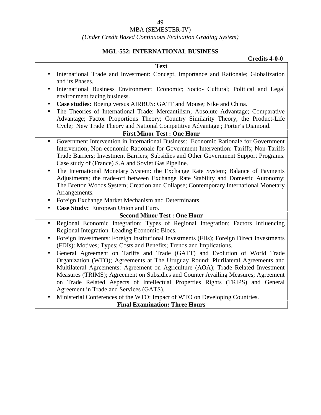### *(Under Credit Based Continuous Evaluation Grading System)*

## **MGL-552: INTERNATIONAL BUSINESS**

|           | <b>Credits 4-0-0</b>                                                                                                                                                                                                                                                                                                           |
|-----------|--------------------------------------------------------------------------------------------------------------------------------------------------------------------------------------------------------------------------------------------------------------------------------------------------------------------------------|
|           | <b>Text</b>                                                                                                                                                                                                                                                                                                                    |
|           | International Trade and Investment: Concept, Importance and Rationale; Globalization<br>and its Phases.                                                                                                                                                                                                                        |
|           | International Business Environment: Economic; Socio- Cultural; Political and Legal<br>environment facing business.                                                                                                                                                                                                             |
| $\bullet$ | Case studies: Boeing versus AIRBUS: GATT and Mouse; Nike and China.                                                                                                                                                                                                                                                            |
|           | The Theories of International Trade: Mercantilism; Absolute Advantage; Comparative<br>Advantage; Factor Proportions Theory; Country Similarity Theory, the Product-Life<br>Cycle; New Trade Theory and National Competitive Advantage ; Porter's Diamond.                                                                      |
|           | <b>First Minor Test: One Hour</b>                                                                                                                                                                                                                                                                                              |
| $\bullet$ | Government Intervention in International Business: Economic Rationale for Government<br>Intervention; Non-economic Rationale for Government Intervention: Tariffs; Non-Tariffs<br>Trade Barriers; Investment Barriers; Subsidies and Other Government Support Programs.<br>Case study of (France) S.A and Soviet Gas Pipeline. |
|           | The International Monetary System: the Exchange Rate System; Balance of Payments<br>Adjustments; the trade-off between Exchange Rate Stability and Domestic Autonomy:<br>The Bretton Woods System; Creation and Collapse; Contemporary International Monetary                                                                  |
|           | Arrangements.                                                                                                                                                                                                                                                                                                                  |
|           | Foreign Exchange Market Mechanism and Determinants                                                                                                                                                                                                                                                                             |
|           | Case Study: European Union and Euro.                                                                                                                                                                                                                                                                                           |
|           | <b>Second Minor Test: One Hour</b>                                                                                                                                                                                                                                                                                             |
| $\bullet$ | Regional Economic Integration: Types of Regional Integration; Factors Influencing<br>Regional Integration. Leading Economic Blocs.                                                                                                                                                                                             |
|           | Foreign Investments: Foreign Institutional Investments (FIIs); Foreign Direct Investments<br>(FDIs): Motives; Types; Costs and Benefits; Trends and Implications.                                                                                                                                                              |
| $\bullet$ | General Agreement on Tariffs and Trade (GATT) and Evolution of World Trade<br>Organization (WTO); Agreements at The Uruguay Round: Plurilateral Agreements and<br>Multilateral Agreements: Agreement on Agriculture (AOA); Trade Related Investment                                                                            |
|           | Measures (TRIMS); Agreement on Subsidies and Counter Availing Measures; Agreement<br>on Trade Related Aspects of Intellectual Properties Rights (TRIPS) and General<br>Agreement in Trade and Services (GATS).                                                                                                                 |
|           | Ministerial Conferences of the WTO: Impact of WTO on Developing Countries.                                                                                                                                                                                                                                                     |
|           | <b>Final Examination: Three Hours</b>                                                                                                                                                                                                                                                                                          |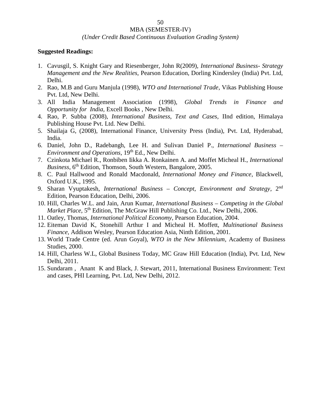#### *(Under Credit Based Continuous Evaluation Grading System)*

- 1. Cavusgil, S. Knight Gary and Riesenberger, John R(2009), *International Business Strategy Management and the New Realities,* Pearson Education, Dorling Kindersley (India) Pvt. Ltd, Delhi.
- 2. Rao, M.B and Guru Manjula (1998), *WTO and International Trade*, Vikas Publishing House Pvt. Ltd, New Delhi.
- 3. All India Management Association (1998), *Global Trends in Finance and Opportunity for India,* Excell Books , New Delhi.
- 4. Rao, P. Subba (2008), *International Business, Text and Cases,* IInd edition, Himalaya Publishing House Pvt. Ltd. New Delhi.
- 5. Shailaja G, (2008), International Finance, University Press (India), Pvt. Ltd, Hyderabad, India.
- 6. Daniel, John D., Radebangh, Lee H. and Sulivan Daniel P., *International Business – Environment and Operations*, 19<sup>th</sup> Ed., New Delhi.
- 7. Czinkota Michael R., Ronbiben Iikka A. Ronkainen A. and Moffet Micheal H., *International Business*,  $6<sup>th</sup>$  Edition, Thomson, South Western, Bangalore, 2005.
- 8. C. Paul Hallwood and Ronald Macdonald, *International Money and Finance*, Blackwell, Oxford U.K., 1995.
- 9. Sharan Vyuptakesh, *International Business – Concept, Environment and Strategy*, 2nd Edition, Pearson Education, Delhi, 2006.
- 10. Hill, Charles W.L. and Jain, Arun Kumar, *International Business – Competing in the Global Market Place*, 5<sup>th</sup> Edition, The McGraw Hill Publishing Co. Ltd., New Delhi, 2006.
- 11. Oatley, Thomas, *International Political Economy*, Pearson Education, 2004.
- 12. Eiteman David K, Stonehill Arthur I and Micheal H. Moffett, *Multinational Business Finance,* Addison Wesley, Pearson Education Asia, Ninth Edition, 2001.
- 13. World Trade Centre (ed. Arun Goyal), *WTO in the New Milennium*, Academy of Business Studies, 2000.
- 14. Hill, Charless W.L, Global Business Today, MC Graw Hill Education (India), Pvt. Ltd, New Delhi, 2011.
- 15. Sundaram , Anant K and Black, J. Stewart, 2011, International Business Environment: Text and cases, PHI Learning, Pvt. Ltd, New Delhi, 2012.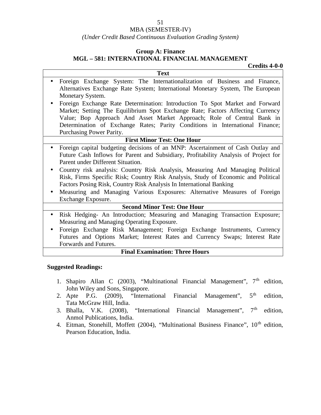### MBA (SEMESTER-IV)

### *(Under Credit Based Continuous Evaluation Grading System)*

#### **Group A: Finance**

#### **MGL – 581: INTERNATIONAL FINANCIAL MANAGEMENT**

**Credits 4-0-0**

| <b>Text</b>                                                                                                                                                                                                                                                                                                                                                                                                                                                                                                                                                                                          |
|------------------------------------------------------------------------------------------------------------------------------------------------------------------------------------------------------------------------------------------------------------------------------------------------------------------------------------------------------------------------------------------------------------------------------------------------------------------------------------------------------------------------------------------------------------------------------------------------------|
| Foreign Exchange System: The Internationalization of Business and Finance,<br>$\bullet$<br>Alternatives Exchange Rate System; International Monetary System, The European                                                                                                                                                                                                                                                                                                                                                                                                                            |
| Monetary System.                                                                                                                                                                                                                                                                                                                                                                                                                                                                                                                                                                                     |
| Foreign Exchange Rate Determination: Introduction To Spot Market and Forward<br>$\bullet$                                                                                                                                                                                                                                                                                                                                                                                                                                                                                                            |
| Market; Setting The Equilibrium Spot Exchange Rate; Factors Affecting Currency                                                                                                                                                                                                                                                                                                                                                                                                                                                                                                                       |
| Value; Bop Approach And Asset Market Approach; Role of Central Bank in                                                                                                                                                                                                                                                                                                                                                                                                                                                                                                                               |
| Determination of Exchange Rates; Parity Conditions in International Finance;                                                                                                                                                                                                                                                                                                                                                                                                                                                                                                                         |
| Purchasing Power Parity.                                                                                                                                                                                                                                                                                                                                                                                                                                                                                                                                                                             |
| <b>First Minor Test: One Hour</b>                                                                                                                                                                                                                                                                                                                                                                                                                                                                                                                                                                    |
| Foreign capital budgeting decisions of an MNP: Ascertainment of Cash Outlay and<br>$\bullet$<br>Future Cash Inflows for Parent and Subsidiary, Profitability Analysis of Project for<br>Parent under Different Situation.<br>Country risk analysis: Country Risk Analysis, Measuring And Managing Political<br>$\bullet$<br>Risk, Firms Specific Risk; Country Risk Analysis, Study of Economic and Political<br>Factors Posing Risk, Country Risk Analysis In International Banking<br>Measuring and Managing Various Exposures: Alternative Measures of Foreign<br>$\bullet$<br>Exchange Exposure. |
| <b>Second Minor Test: One Hour</b>                                                                                                                                                                                                                                                                                                                                                                                                                                                                                                                                                                   |
| Risk Hedging- An Introduction; Measuring and Managing Transaction Exposure;<br>$\bullet$<br>Measuring and Managing Operating Exposure.                                                                                                                                                                                                                                                                                                                                                                                                                                                               |
| Foreign Exchange Risk Management; Foreign Exchange Instruments, Currency<br>$\bullet$<br>Futures and Options Market; Interest Rates and Currency Swaps; Interest Rate<br>Forwards and Futures.                                                                                                                                                                                                                                                                                                                                                                                                       |
| <b>Einal Examination: Three Hours</b>                                                                                                                                                                                                                                                                                                                                                                                                                                                                                                                                                                |

#### **Final Examination: Three Hours**

- 1. Shapiro Allan C (2003), "Multinational Financial Management",  $7<sup>th</sup>$  edition, John Wiley and Sons, Singapore.<br>Apte P.G. (2009), "International
- 2. Apte P.G.  $(2009)$ , "International Financial Management",  $5<sup>th</sup>$  edition, Tata McGraw Hill, India.
- 3. Bhalla, V.K. (2008), "International Financial Management",  $7<sup>th</sup>$  edition, Anmol Publications, India.
- 4. Eitman, Stonehill, Moffett (2004), "Multinational Business Finance", 10<sup>th</sup> edition, Pearson Education, India.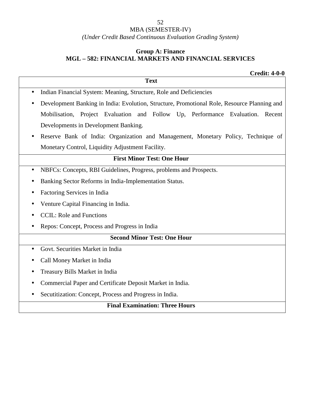### MBA (SEMESTER-IV)

*(Under Credit Based Continuous Evaluation Grading System)*

### **Group A: Finance MGL – 582: FINANCIAL MARKETS AND FINANCIAL SERVICES**

|           | <b>Credit: 4-0-0</b>                                                                        |
|-----------|---------------------------------------------------------------------------------------------|
|           | <b>Text</b>                                                                                 |
| $\bullet$ | Indian Financial System: Meaning, Structure, Role and Deficiencies                          |
|           | Development Banking in India: Evolution, Structure, Promotional Role, Resource Planning and |
|           | Mobilisation, Project Evaluation and Follow Up, Performance Evaluation. Recent              |
|           | Developments in Development Banking.                                                        |
|           | Reserve Bank of India: Organization and Management, Monetary Policy, Technique of           |
|           | Monetary Control, Liquidity Adjustment Facility.                                            |
|           | <b>First Minor Test: One Hour</b>                                                           |
|           | NBFCs: Concepts, RBI Guidelines, Progress, problems and Prospects.                          |
|           | Banking Sector Reforms in India-Implementation Status.                                      |
|           | Factoring Services in India                                                                 |
|           | Venture Capital Financing in India.                                                         |
|           | <b>CCIL:</b> Role and Functions                                                             |
| $\bullet$ | Repos: Concept, Process and Progress in India                                               |
|           | <b>Second Minor Test: One Hour</b>                                                          |
|           | Govt. Securities Market in India                                                            |
|           | Call Money Market in India                                                                  |
|           | Treasury Bills Market in India                                                              |
|           | Commercial Paper and Certificate Deposit Market in India.                                   |
|           | Secutitization: Concept, Process and Progress in India.                                     |
|           | <b>Final Examination: Three Hours</b>                                                       |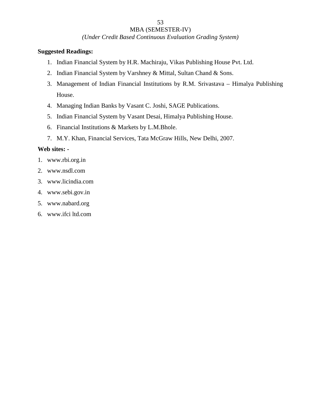### MBA (SEMESTER-IV)

*(Under Credit Based Continuous Evaluation Grading System)*

### **Suggested Readings:**

- 1. Indian Financial System by H.R. Machiraju, Vikas Publishing House Pvt. Ltd.
- 2. Indian Financial System by Varshney & Mittal, Sultan Chand & Sons.
- 3. Management of Indian Financial Institutions by R.M. Srivastava Himalya Publishing House.
- 4. Managing Indian Banks by Vasant C. Joshi, SAGE Publications.
- 5. Indian Financial System by Vasant Desai, Himalya Publishing House.
- 6. Financial Institutions & Markets by L.M.Bhole.
- 7. M.Y. Khan, Financial Services, Tata McGraw Hills, New Delhi, 2007.

### **Web sites: -**

- 1. www.rbi.org.in
- 2. www.nsdl.com
- 3. www.licindia.com
- 4. www.sebi.gov.in
- 5. www.nabard.org
- 6. www.ifci ltd.com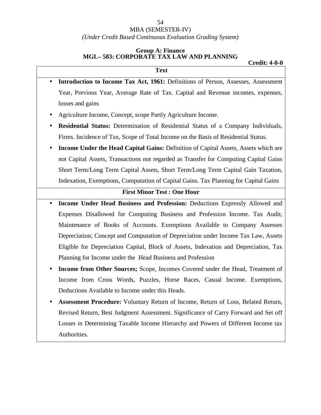#### MBA (SEMESTER-IV)

*(Under Credit Based Continuous Evaluation Grading System)*

#### **Group A: Finance MGL– 583: CORPORATE TAX LAW AND PLANNING**

#### **Credit: 4-0-0**

| <b>Text</b>                                                                           |
|---------------------------------------------------------------------------------------|
| Introduction to Income Tax Act, 1961: Definitions of Person, Assesses, Assessment     |
| Year, Previous Year, Average Rate of Tax. Capital and Revenue incomes, expenses,      |
| losses and gains                                                                      |
| Agriculture Income, Concept, scope Partly Agriculture Income.                         |
| Residential Status: Determination of Residential Status of a Company Individuals,     |
| Firms. Incidence of Tax, Scope of Total Income on the Basis of Residential Status.    |
| Income Under the Head Capital Gains: Definition of Capital Assets, Assets which are   |
| not Capital Assets, Transactions not regarded as Transfer for Computing Capital Gains |
| Short Term/Long Term Capital Assets, Short Term/Long Term Capital Gain Taxation,      |
| Indexation, Exemptions, Computation of Capital Gains. Tax Planning for Capital Gains  |
| <b>First Minor Test: One Hour</b>                                                     |
| Income Under Head Business and Profession: Deductions Expressly Allowed and           |
| Expenses Disallowed for Computing Business and Profession Income. Tax Audit,          |
| Maintenance of Books of Accounts. Exemptions Available to Company Assesses            |
| Depreciation; Concept and Computation of Depreciation under Income Tax Law, Assets    |
| Eligible for Depreciation Capital, Block of Assets, Indexation and Depreciation, Tax  |
| Planning for Income under the Head Business and Profession                            |
| Income from Other Sources; Scope, Incomes Covered under the Head, Treatment of        |
| Income from Cross Words, Puzzles, Horse Races, Casual Income. Exemptions,             |

Deductions Available to Income under this Heads.

 **Assessment Procedure:** Voluntary Return of Income, Return of Loss, Belated Return, Revised Return, Best Judgment Assessment. Significance of Carry Forward and Set off Losses in Determining Taxable Income Hierarchy and Powers of Different Income tax Authorities.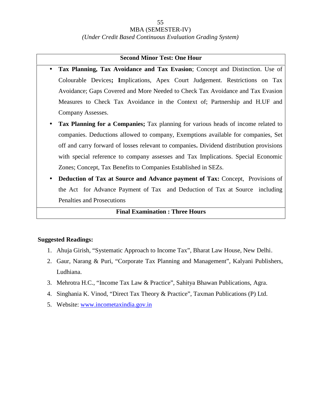#### MBA (SEMESTER-IV)

#### *(Under Credit Based Continuous Evaluation Grading System)*

#### **Second Minor Test: One Hour**

- **Tax Planning, Tax Avoidance and Tax Evasion**; Concept and Distinction. Use of Colourable Devices**; I**mplications, Apex Court Judgement. Restrictions on Tax Avoidance; Gaps Covered and More Needed to Check Tax Avoidance and Tax Evasion Measures to Check Tax Avoidance in the Context of; Partnership and H.UF and Company Assesses.
- **Tax Planning for a Companies;** Tax planning for various heads of income related to companies. Deductions allowed to company, Exemptions available for companies, Set off and carry forward of losses relevant to companies**.** Dividend distribution provisions with special reference to company assesses and Tax Implications. Special Economic Zones; Concept, Tax Benefits to Companies Established in SEZs.
- **Deduction of Tax at Source and Advance payment of Tax:** Concept, Provisions of the Act for Advance Payment of Tax and Deduction of Tax at Source including Penalties and Prosecutions

#### **Final Examination : Three Hours**

- 1. Ahuja Girish, "Systematic Approach to Income Tax", Bharat Law House, New Delhi.
- 2. Gaur, Narang & Puri, "Corporate Tax Planning and Management", Kalyani Publishers, Ludhiana.
- 3. Mehrotra H.C., "Income Tax Law & Practice", Sahitya Bhawan Publications, Agra.
- 4. Singhania K. Vinod, "Direct Tax Theory & Practice", Taxman Publications (P) Ltd.
- 5. Website: www.incometaxindia.gov.in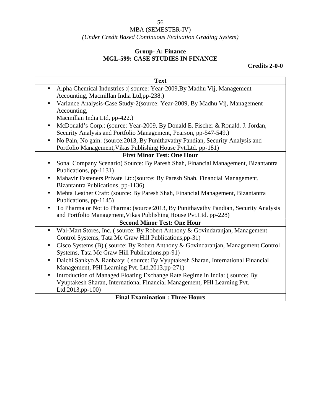# MBA (SEMESTER-IV)

*(Under Credit Based Continuous Evaluation Grading System)*

### **Group- A: Finance MGL-599: CASE STUDIES IN FINANCE**

### **Credits 2-0-0**

| <b>Text</b>                                                                                    |
|------------------------------------------------------------------------------------------------|
| Alpha Chemical Industries :(source: Year-2009, By Madhu Vij, Management                        |
| Accounting, Macmillan India Ltd,pp-238.)                                                       |
| Variance Analysis-Case Study-2(source: Year-2009, By Madhu Vij, Management                     |
| Accounting,                                                                                    |
| Macmillan India Ltd, pp-422.)                                                                  |
| McDonald's Corp.: (source: Year-2009, By Donald E. Fischer & Ronald. J. Jordan,                |
| Security Analysis and Portfolio Management, Pearson, pp-547-549.)                              |
| No Pain, No gain: (source: 2013, By Punithavathy Pandian, Security Analysis and<br>$\bullet$   |
| Portfolio Management, Vikas Publishing House Pvt.Ltd. pp-181)                                  |
| <b>First Minor Test: One Hour</b>                                                              |
| Sonal Company Scenario (Source: By Paresh Shah, Financial Management, Bizantantra<br>$\bullet$ |
| Publications, pp-1131)                                                                         |
| Mahavir Fasteners Private Ltd: (source: By Paresh Shah, Financial Management,<br>$\bullet$     |
| Bizantantra Publications, pp-1136)                                                             |
| Mehta Leather Craft: (source: By Paresh Shah, Financial Management, Bizantantra                |
| Publications, pp-1145)                                                                         |
| To Pharma or Not to Pharma: (source: 2013, By Punithavathy Pandian, Security Analysis          |
| and Portfolio Management, Vikas Publishing House Pvt. Ltd. pp-228)                             |
| <b>Second Minor Test: One Hour</b>                                                             |
| Wal-Mart Stores, Inc. (source: By Robert Anthony & Govindaranjan, Management                   |
| Control Systems, Tata Mc Graw Hill Publications, pp-31)                                        |
| Cisco Systems (B) (source: By Robert Anthony & Govindaranjan, Management Control               |
| Systems, Tata Mc Graw Hill Publications, pp-91)                                                |
| Daichi Sankyo & Ranbaxy: (source: By Vyuptakesh Sharan, International Financial<br>$\bullet$   |
| Management, PHI Learning Pvt. Ltd.2013,pp-271)                                                 |
| Introduction of Managed Floating Exchange Rate Regime in India: (source: By<br>$\bullet$       |
| Vyuptakesh Sharan, International Financial Management, PHI Learning Pvt.                       |
| Ltd.2013,pp-100)                                                                               |
| <b>Final Framination</b> • Throo Hours                                                         |

#### **Final Examination : Three Hours**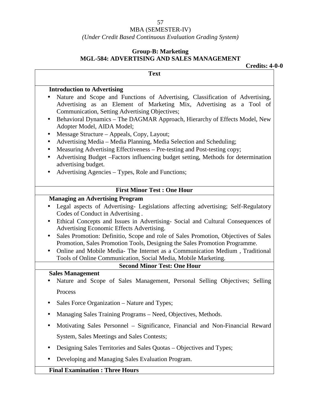### MBA (SEMESTER-IV)

*(Under Credit Based Continuous Evaluation Grading System)*

### **Group-B: Marketing MGL-584: ADVERTISING AND SALES MANAGEMENT**

**Credits: 4-0-0**

| <b>Text</b>                                                                                                                                                                                                                                                                                                                                                                                                                                                                                                                                                                                                                                                                                        |
|----------------------------------------------------------------------------------------------------------------------------------------------------------------------------------------------------------------------------------------------------------------------------------------------------------------------------------------------------------------------------------------------------------------------------------------------------------------------------------------------------------------------------------------------------------------------------------------------------------------------------------------------------------------------------------------------------|
| <b>Introduction to Advertising</b>                                                                                                                                                                                                                                                                                                                                                                                                                                                                                                                                                                                                                                                                 |
| Nature and Scope and Functions of Advertising, Classification of Advertising,<br>Advertising as an Element of Marketing Mix, Advertising as a Tool of<br>Communication, Setting Advertising Objectives;<br>Behavioral Dynamics - The DAGMAR Approach, Hierarchy of Effects Model, New<br>Adopter Model, AIDA Model;<br>Message Structure - Appeals, Copy, Layout;<br>Advertising Media - Media Planning, Media Selection and Scheduling;<br>Measuring Advertising Effectiveness - Pre-testing and Post-testing copy;<br>$\bullet$<br>Advertising Budget -Factors influencing budget setting, Methods for determination<br>advertising budget.<br>Advertising Agencies - Types, Role and Functions; |
| <b>First Minor Test: One Hour</b>                                                                                                                                                                                                                                                                                                                                                                                                                                                                                                                                                                                                                                                                  |
| <b>Managing an Advertising Program</b>                                                                                                                                                                                                                                                                                                                                                                                                                                                                                                                                                                                                                                                             |
| Legal aspects of Advertising- Legislations affecting advertising; Self-Regulatory                                                                                                                                                                                                                                                                                                                                                                                                                                                                                                                                                                                                                  |
| Codes of Conduct in Advertising.                                                                                                                                                                                                                                                                                                                                                                                                                                                                                                                                                                                                                                                                   |
| Ethical Concepts and Issues in Advertising-Social and Cultural Consequences of<br>$\bullet$<br>Advertising Economic Effects Advertising.                                                                                                                                                                                                                                                                                                                                                                                                                                                                                                                                                           |
| Sales Promotion: Definitio, Scope and role of Sales Promotion, Objectives of Sales                                                                                                                                                                                                                                                                                                                                                                                                                                                                                                                                                                                                                 |
| Promotion, Sales Promotion Tools, Designing the Sales Promotion Programme.                                                                                                                                                                                                                                                                                                                                                                                                                                                                                                                                                                                                                         |
| Online and Mobile Media- The Internet as a Communication Medium, Traditional                                                                                                                                                                                                                                                                                                                                                                                                                                                                                                                                                                                                                       |
| Tools of Online Communication, Social Media, Mobile Marketing.<br><b>Second Minor Test: One Hour</b>                                                                                                                                                                                                                                                                                                                                                                                                                                                                                                                                                                                               |
| <b>Sales Management</b>                                                                                                                                                                                                                                                                                                                                                                                                                                                                                                                                                                                                                                                                            |
| Nature and Scope of Sales Management, Personal Selling Objectives; Selling                                                                                                                                                                                                                                                                                                                                                                                                                                                                                                                                                                                                                         |
| Process                                                                                                                                                                                                                                                                                                                                                                                                                                                                                                                                                                                                                                                                                            |
| Sales Force Organization – Nature and Types;                                                                                                                                                                                                                                                                                                                                                                                                                                                                                                                                                                                                                                                       |
| Managing Sales Training Programs – Need, Objectives, Methods.                                                                                                                                                                                                                                                                                                                                                                                                                                                                                                                                                                                                                                      |
| Motivating Sales Personnel - Significance, Financial and Non-Financial Reward                                                                                                                                                                                                                                                                                                                                                                                                                                                                                                                                                                                                                      |
| System, Sales Meetings and Sales Contests;                                                                                                                                                                                                                                                                                                                                                                                                                                                                                                                                                                                                                                                         |
| Designing Sales Territories and Sales Quotas – Objectives and Types;                                                                                                                                                                                                                                                                                                                                                                                                                                                                                                                                                                                                                               |
| Developing and Managing Sales Evaluation Program.                                                                                                                                                                                                                                                                                                                                                                                                                                                                                                                                                                                                                                                  |
| <b>Final Examination: Three Hours</b>                                                                                                                                                                                                                                                                                                                                                                                                                                                                                                                                                                                                                                                              |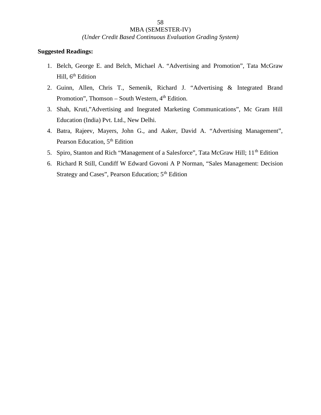*(Under Credit Based Continuous Evaluation Grading System)*

- 1. Belch, George E. and Belch, Michael A. "Advertising and Promotion", Tata McGraw Hill, 6<sup>th</sup> Edition
- 2. Guinn, Allen, Chris T., Semenik, Richard J. "Advertising & Integrated Brand Promotion", Thomson – South Western,  $4<sup>th</sup>$  Edition.
- 3. Shah, Kruti,"Advertising and Inegrated Marketing Communications", Mc Gram Hill Education (India) Pvt. Ltd., New Delhi.
- 4. Batra, Rajeev, Mayers, John G., and Aaker, David A. "Advertising Management", Pearson Education, 5<sup>th</sup> Edition
- 5. Spiro, Stanton and Rich "Management of a Salesforce", Tata McGraw Hill; 11<sup>th</sup> Edition
- 6. Richard R Still, Cundiff W Edward Govoni A P Norman, "Sales Management: Decision Strategy and Cases", Pearson Education; 5<sup>th</sup> Edition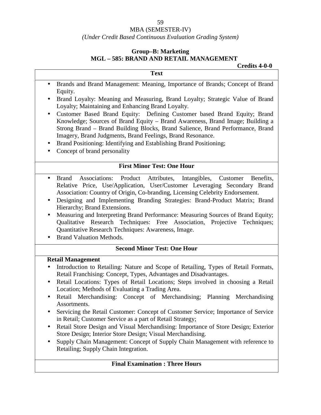#### MBA (SEMESTER-IV)

#### *(Under Credit Based Continuous Evaluation Grading System)*

### **Group–B: Marketing MGL – 585: BRAND AND RETAIL MANAGEMENT**

#### **Credits 4-0-0**

 Brands and Brand Management: Meaning, Importance of Brands; Concept of Brand Equity.

**Text**

- Brand Loyalty: Meaning and Measuring, Brand Loyalty; Strategic Value of Brand Loyalty; Maintaining and Enhancing Brand Loyalty.
- Customer Based Brand Equity: Defining Customer based Brand Equity; Brand Knowledge; Sources of Brand Equity – Brand Awareness, Brand Image; Building a Strong Brand – Brand Building Blocks, Brand Salience, Brand Performance, Brand Imagery, Brand Judgments, Brand Feelings, Brand Resonance.
- Brand Positioning: Identifying and Establishing Brand Positioning;
- Concept of brand personality

### **First Minor Test: One Hour**

- Brand Associations: Product Attributes, Intangibles, Customer Benefits, Relative Price, Use/Application, User/Customer Leveraging Secondary Brand Association: Country of Origin, Co-branding, Licensing Celebrity Endorsement.
- Designing and Implementing Branding Strategies: Brand-Product Matrix; Brand Hierarchy; Brand Extensions.
- Measuring and Interpreting Brand Performance: Measuring Sources of Brand Equity; Qualitative Research Techniques: Free Association, Projective Techniques; Quantitative Research Techniques: Awareness, Image.
- Brand Valuation Methods.

### **Second Minor Test: One Hour**

### **Retail Management**

- Introduction to Retailing: Nature and Scope of Retailing, Types of Retail Formats, Retail Franchising: Concept, Types, Advantages and Disadvantages.
- Retail Locations: Types of Retail Locations; Steps involved in choosing a Retail Location; Methods of Evaluating a Trading Area.
- Retail Merchandising: Concept of Merchandising; Planning Merchandising Assortments.
- Servicing the Retail Customer: Concept of Customer Service; Importance of Service in Retail; Customer Service as a part of Retail Strategy;
- Retail Store Design and Visual Merchandising: Importance of Store Design; Exterior Store Design; Interior Store Design; Visual Merchandising.
- Supply Chain Management: Concept of Supply Chain Management with reference to Retailing; Supply Chain Integration.

### **Final Examination : Three Hours**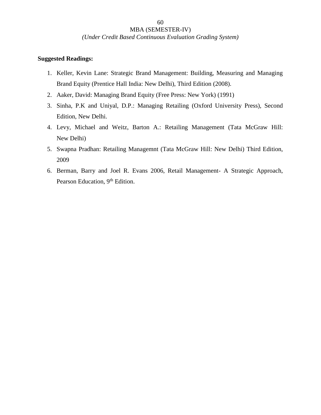#### *(Under Credit Based Continuous Evaluation Grading System)*

60

- 1. Keller, Kevin Lane: Strategic Brand Management: Building, Measuring and Managing Brand Equity (Prentice Hall India: New Delhi), Third Edition (2008).
- 2. Aaker, David: Managing Brand Equity (Free Press: New York) (1991)
- 3. Sinha, P.K and Uniyal, D.P.: Managing Retailing (Oxford University Press), Second Edition, New Delhi.
- 4. Levy, Michael and Weitz, Barton A.: Retailing Management (Tata McGraw Hill: New Delhi)
- 5. Swapna Pradhan: Retailing Managemnt (Tata McGraw Hill: New Delhi) Third Edition, 2009
- 6. Berman, Barry and Joel R. Evans 2006, Retail Management- A Strategic Approach, Pearson Education, 9<sup>th</sup> Edition.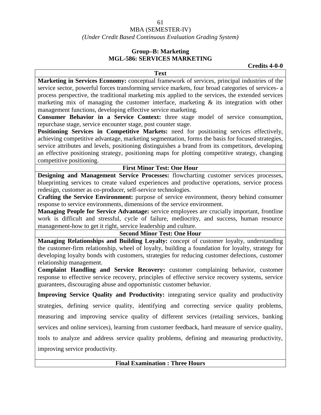#### 61 MBA (SEMESTER-IV) *(Under Credit Based Continuous Evaluation Grading System)*

### **Group–B: Marketing MGL-586: SERVICES MARKETING**

**Credits 4-0-0**

**Text Marketing in Services Economy:** conceptual framework of services, principal industries of the service sector, powerful forces transforming service markets, four broad categories of services- a process perspective, the traditional marketing mix applied to the services, the extended services marketing mix of managing the customer interface, marketing  $\&$  its integration with other management functions, developing effective service marketing.

**Consumer Behavior in a Service Context:** three stage model of service consumption, repurchase stage, service encounter stage, post counter stage.

**Positioning Services in Competitive Markets:** need for positioning services effectively, achieving competitive advantage, marketing segmentation, forms the basis for focused strategies, service attributes and levels, positioning distinguishes a brand from its competitors, developing an effective positioning strategy, positioning maps for plotting competitive strategy, changing competitive positioning.

#### **First Minor Test: One Hour**

**Designing and Management Service Processes:** flowcharting customer services processes, blueprinting services to create valued experiences and productive operations, service process redesign, customer as co-producer, self-service technologies.

**Crafting the Service Environment:** purpose of service environment, theory behind consumer response to service environments, dimensions of the service environment.

**Managing People for Service Advantage:** service employees are crucially important, frontline work is difficult and stressful, cycle of failure, mediocrity, and success, human resource management-how to get it right, service leadership and culture.

#### **Second Minor Test: One Hour**

**Managing Relationships and Building Loyalty:** concept of customer loyalty, understanding the customer-firm relationship, wheel of loyalty, building a foundation for loyalty, strategy for developing loyalty bonds with customers, strategies for reducing customer defections, customer relationship management.

**Complaint Handling and Service Recovery:** customer complaining behavior, customer response to effective service recovery, principles of effective service recovery systems, service guarantees, discouraging abuse and opportunistic customer behavior.

**Improving Service Quality and Productivity:** integrating service quality and productivity strategies, defining service quality, identifying and correcting service quality problems, measuring and improving service quality of different services (retailing services, banking services and online services), learning from customer feedback, hard measure of service quality, tools to analyze and address service quality problems, defining and measuring productivity, improving service productivity.

#### **Final Examination : Three Hours**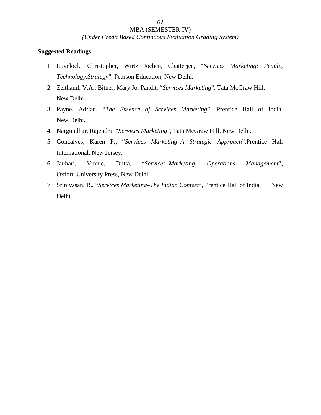*(Under Credit Based Continuous Evaluation Grading System)*

- 1. Lovelock, Christopher, Wirtz Jochen, Chatterjee, "*Services Marketing: People, Technology,Strategy*", Pearson Education, New Delhi.
- 2. Zeithaml, V.A., Bitner, Mary Jo, Pandit, "*Services Marketing*", Tata McGraw Hill, New Delhi.
- 3. Payne, Adrian, "*The Essence of Services Marketing*", Prentice Hall of India, New Delhi.
- 4. Nargundhar, Rajendra, "*Services Marketing*", Tata McGraw Hill, New Delhi.
- 5. Goncalves, Karen P., "*Services Marketing–A Strategic Approach*",Prentice Hall International, New Jersey.
- 6. Jauhari, Vinnie, Dutta, "*Services–Marketing, Operations Management*", Oxford University Press, New Delhi.
- 7. Srinivasan, R., "*Services Marketing–The Indian Context*", Prentice Hall of India, New Delhi.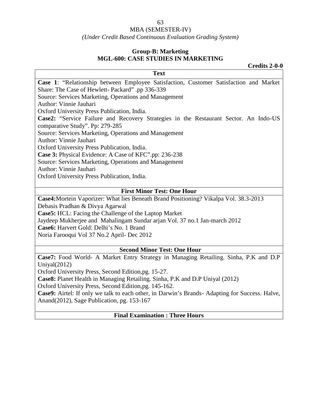#### *(Under Credit Based Continuous Evaluation Grading System)*

### **Group-B: Marketing MGL-600: CASE STUDIES IN MARKETING**

**Credits 2-0-0 Text Case 1**: "Relationship between Employee Satisfaction, Customer Satisfaction and Market Share: The Case of Hewlett- Packard" .pp 336-339 Source: Services Marketing, Operations and Management Author: Vinnie Jauhari Oxford University Press Publication, India. **Case2:** "Service Failure and Recovery Strategies in the Restaurant Sector. An Indo-US comparative Study". Pp: 279-285 Source: Services Marketing, Operations and Management Author: Vinnie Jauhari Oxford University Press Publication, India. **Case 3:** Physical Evidence: A Case of KFC".pp: 236-238 Source: Services Marketing, Operations and Management Author: Vinnie Jauhari Oxford University Press Publication, India. **First Minor Test: One Hour**

**Case4:**Mortein Vaporizer: What lies Beneath Brand Positioning? Vikalpa Vol. 38.3-2013 Debasis Pradhan & Divya Agarwal **Case5:** HCL: Facing the Challenge of the Laptop Market Jaydeep Mukherjee and Mahalingam Sundar arjan Vol. 37 no.1 Jan-march 2012 **Case6:** Harvert Gold: Delhi's No. 1 Brand Noria Farooqui Vol 37 No.2 April- Dec 2012

#### **Second Minor Test: One Hour**

**Case7:** Food World- A Market Entry Strategy in Managing Retailing. Sinha, P.K and D.P Uniyal(2012)

Oxford University Press, Second Edition,pg. 15-27.

**Case8:** Planet Health in Managing Retailing. Sinha, P.K and D.P Uniyal (2012)

Oxford University Press, Second Edition,pg. 145-162.

**Case9:** Airtel: If only we talk to each other, in Darwin's Brands- Adapting for Success. Halve, Anand(2012), Sage Publication, pg. 153-167

**Final Examination : Three Hours**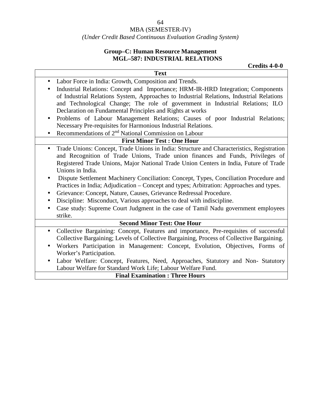### *(Under Credit Based Continuous Evaluation Grading System)*

### **Group–C: Human Resource Management MGL–587: INDUSTRIAL RELATIONS**

**Credits 4-0-0**

|           | <b>Text</b>                                                                               |
|-----------|-------------------------------------------------------------------------------------------|
| $\bullet$ | Labor Force in India: Growth, Composition and Trends.                                     |
| $\bullet$ | Industrial Relations: Concept and Importance; HRM-IR-HRD Integration; Components          |
|           | of Industrial Relations System, Approaches to Industrial Relations, Industrial Relations  |
|           | and Technological Change; The role of government in Industrial Relations; ILO             |
|           | Declaration on Fundamental Principles and Rights at works                                 |
|           | Problems of Labour Management Relations; Causes of poor Industrial Relations;             |
|           | Necessary Pre-requisites for Harmonious Industrial Relations.                             |
|           | Recommendations of 2 <sup>nd</sup> National Commission on Labour                          |
|           | <b>First Minor Test: One Hour</b>                                                         |
|           | Trade Unions: Concept, Trade Unions in India: Structure and Characteristics, Registration |
|           | and Recognition of Trade Unions, Trade union finances and Funds, Privileges of            |
|           | Registered Trade Unions, Major National Trade Union Centers in India, Future of Trade     |
|           | Unions in India.                                                                          |
| $\bullet$ | Dispute Settlement Machinery Conciliation: Concept, Types, Conciliation Procedure and     |
|           | Practices in India; Adjudication – Concept and types; Arbitration: Approaches and types.  |
| $\bullet$ | Grievance: Concept, Nature, Causes, Grievance Redressal Procedure.                        |
| $\bullet$ | Discipline: Misconduct, Various approaches to deal with indiscipline.                     |
|           | Case study: Supreme Court Judgment in the case of Tamil Nadu government employees         |
|           | strike.                                                                                   |
|           | <b>Second Minor Test: One Hour</b>                                                        |
| $\bullet$ | Collective Bargaining: Concept, Features and importance, Pre-requisites of successful     |
|           | Collective Bargaining; Levels of Collective Bargaining, Process of Collective Bargaining. |
|           | Workers Participation in Management: Concept, Evolution, Objectives, Forms of             |
|           | Worker's Participation.                                                                   |
|           | Labor Welfare: Concept, Features, Need, Approaches, Statutory and Non-Statutory           |
|           | Labour Welfare for Standard Work Life; Labour Welfare Fund.                               |
|           | <b>Final Examination: Three Hours</b>                                                     |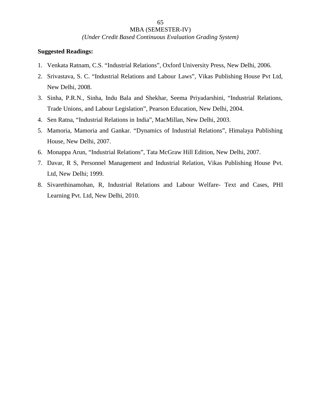*(Under Credit Based Continuous Evaluation Grading System)*

- 1. Venkata Ratnam, C.S. "Industrial Relations", Oxford University Press, New Delhi, 2006.
- 2. Srivastava, S. C. "Industrial Relations and Labour Laws", Vikas Publishing House Pvt Ltd, New Delhi, 2008.
- 3. Sinha, P.R.N., Sinha, Indu Bala and Shekhar, Seema Priyadarshini, "Industrial Relations, Trade Unions, and Labour Legislation", Pearson Education, New Delhi, 2004.
- 4. Sen Ratna, "Industrial Relations in India", MacMillan, New Delhi, 2003.
- 5. Mamoria, Mamoria and Gankar. "Dynamics of Industrial Relations", Himalaya Publishing House, New Delhi, 2007.
- 6. Monappa Arun, "Industrial Relations", Tata McGraw Hill Edition, New Delhi, 2007.
- 7. Davar, R S, Personnel Management and Industrial Relation, Vikas Publishing House Pvt. Ltd, New Delhi; 1999.
- 8. Sivarethinamohan, R, Industrial Relations and Labour Welfare- Text and Cases, PHI Learning Pvt. Ltd, New Delhi, 2010.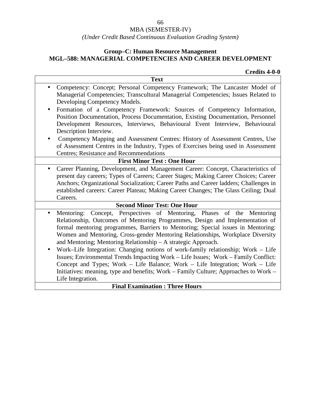### *(Under Credit Based Continuous Evaluation Grading System)*

### **Group–C: Human Resource Management MGL–588: MANAGERIAL COMPETENCIES AND CAREER DEVELOPMENT**

### **Credits 4-0-0**

|                                            | <b>Text</b>                                                                                                                                                                                                                                                                                                                                                                                   |
|--------------------------------------------|-----------------------------------------------------------------------------------------------------------------------------------------------------------------------------------------------------------------------------------------------------------------------------------------------------------------------------------------------------------------------------------------------|
| $\bullet$<br>Developing Competency Models. | Competency: Concept; Personal Competency Framework; The Lancaster Model of<br>Managerial Competencies; Transcultural Managerial Competencies; Issues Related to                                                                                                                                                                                                                               |
| $\bullet$<br>Description Interview.        | Formation of a Competency Framework: Sources of Competency Information,<br>Position Documentation, Process Documentation, Existing Documentation, Personnel<br>Development Resources, Interviews, Behavioural Event Interview, Behavioural                                                                                                                                                    |
| Centres; Resistance and Recommendations    | Competency Mapping and Assessment Centres: History of Assessment Centres, Use<br>of Assessment Centres in the Industry, Types of Exercises being used in Assessment                                                                                                                                                                                                                           |
|                                            | <b>First Minor Test: One Hour</b>                                                                                                                                                                                                                                                                                                                                                             |
| $\bullet$<br>Careers.                      | Career Planning, Development, and Management Career: Concept, Characteristics of<br>present day careers; Types of Careers; Career Stages; Making Career Choices; Career<br>Anchors; Organizational Socialization; Career Paths and Career ladders; Challenges in<br>established careers: Career Plateau; Making Career Changes; The Glass Ceiling; Dual                                       |
|                                            | <b>Second Minor Test: One Hour</b>                                                                                                                                                                                                                                                                                                                                                            |
| $\bullet$                                  | Mentoring: Concept, Perspectives of Mentoring, Phases of the Mentoring<br>Relationship, Outcomes of Mentoring Programmes, Design and Implementation of<br>formal mentoring programmes, Barriers to Mentoring; Special issues in Mentoring:<br>Women and Mentoring, Cross-gender Mentoring Relationships, Workplace Diversity<br>and Mentoring; Mentoring Relationship - A strategic Approach. |
| $\bullet$                                  | Work-Life Integration: Changing notions of work-family relationship; Work – Life<br>Issues; Environmental Trends Impacting Work – Life Issues; Work – Family Conflict:<br>Concept and Types; Work - Life Balance; Work - Life Integration; Work - Life                                                                                                                                        |
| Life Integration.                          | Initiatives: meaning, type and benefits; Work - Family Culture; Approaches to Work -                                                                                                                                                                                                                                                                                                          |
|                                            | <b>Final Examination: Three Hours</b>                                                                                                                                                                                                                                                                                                                                                         |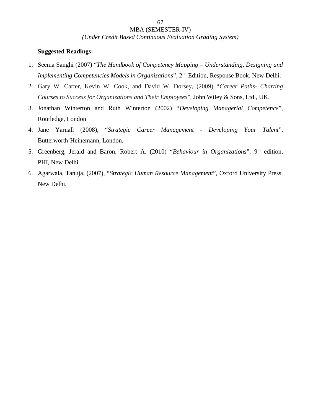*(Under Credit Based Continuous Evaluation Grading System)*

- 1. Seema Sanghi (2007) "*The Handbook of Competency Mapping – Understanding, Designing and Implementing Competencies Models in Organizations*", 2<sup>nd</sup> Edition, Response Book, New Delhi.
- 2. Gary W. Carter, Kevin W. Cook, and David W. Dorsey, (2009) "*Career Paths- Charting Courses to Success for Organizations and Their Employees*", John Wiley & Sons, Ltd., UK.
- 3. Jonathan Winterton and Ruth Winterton (2002) "*Developing Managerial Competence*", Routledge, London
- 4. Jane Yarnall (2008), "*Strategic Career Management - Developing Your Talent*", Butterworth-Heinemann, London.
- 5. Greenberg, Jerald and Baron, Robert A. (2010) "Behaviour in Organizations", 9<sup>th</sup> edition, PHI, New Delhi.
- 6. Agarwala, Tanuja, (2007), "*Strategic Human Resource Management*", Oxford University Press, New Delhi.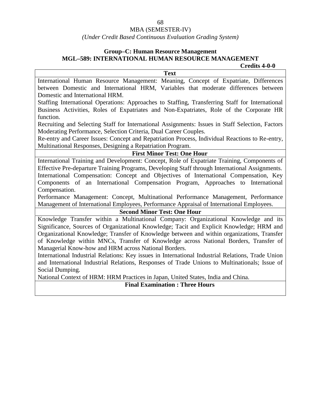#### MBA (SEMESTER-IV)

#### *(Under Credit Based Continuous Evaluation Grading System)*

# **Group–C: Human Resource Management MGL–589: INTERNATIONAL HUMAN RESOURCE MANAGEMENT**

**Text**

**Credits 4-0-0**

International Human Resource Management: Meaning, Concept of Expatriate, Differences between Domestic and International HRM, Variables that moderate differences between Domestic and International HRM.

Staffing International Operations: Approaches to Staffing, Transferring Staff for International Business Activities, Roles of Expatriates and Non-Expatriates, Role of the Corporate HR function.

Recruiting and Selecting Staff for International Assignments: Issues in Staff Selection, Factors Moderating Performance, Selection Criteria, Dual Career Couples.

Re-entry and Career Issues: Concept and Repatriation Process, Individual Reactions to Re-entry, Multinational Responses, Designing a Repatriation Program.

#### **First Minor Test: One Hour**

International Training and Development: Concept, Role of Expatriate Training, Components of Effective Pre-departure Training Programs, Developing Staff through International Assignments. International Compensation: Concept and Objectives of International Compensation, Key Components of an International Compensation Program, Approaches to International Compensation.

Performance Management: Concept, Multinational Performance Management, Performance Management of International Employees, Performance Appraisal of International Employees.

#### **Second Minor Test: One Hour**

Knowledge Transfer within a Multinational Company: Organizational Knowledge and its Significance, Sources of Organizational Knowledge; Tacit and Explicit Knowledge; HRM and Organizational Knowledge; Transfer of Knowledge between and within organizations, Transfer of Knowledge within MNCs, Transfer of Knowledge across National Borders, Transfer of Managerial Know-how and HRM across National Borders.

International Industrial Relations: Key issues in International Industrial Relations, Trade Union and International Industrial Relations, Responses of Trade Unions to Multinationals; Issue of Social Dumping.

National Context of HRM: HRM Practices in Japan, United States, India and China.

**Final Examination : Three Hours**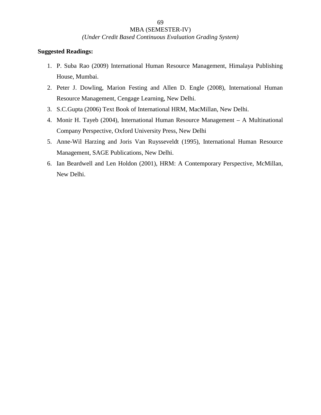*(Under Credit Based Continuous Evaluation Grading System)*

- 1. P. Suba Rao (2009) International Human Resource Management, Himalaya Publishing House, Mumbai.
- 2. Peter J. Dowling, Marion Festing and Allen D. Engle (2008), International Human Resource Management, Cengage Learning, New Delhi.
- 3. S.C.Gupta (2006) Text Book of International HRM, MacMillan, New Delhi.
- 4. Monir H. Tayeb (2004), International Human Resource Management A Multinational Company Perspective, Oxford University Press, New Delhi
- 5. Anne-Wil Harzing and Joris Van Ruysseveldt (1995), International Human Resource Management, SAGE Publications, New Delhi.
- 6. Ian Beardwell and Len Holdon (2001), HRM: A Contemporary Perspective, McMillan, New Delhi.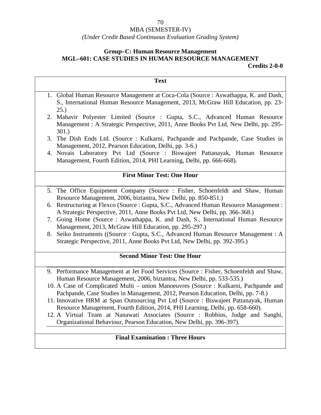### *(Under Credit Based Continuous Evaluation Grading System)*

### **Group–C: Human Resource Management MGL–601: CASE STUDIES IN HUMAN RESOURCE MANAGEMENT Credits 2-0-0**

| <b>Text</b>                                                                                                                                                                                                                                               |  |
|-----------------------------------------------------------------------------------------------------------------------------------------------------------------------------------------------------------------------------------------------------------|--|
| 1. Global Human Resource Management at Coca-Cola (Source: Aswathappa, K. and Dash,<br>S., International Human Resource Management, 2013, McGraw Hill Education, pp. 23-<br>25.)                                                                           |  |
| Mahavir Polyester Limited (Source: Gupta, S.C., Advanced Human Resource<br>2.<br>Management : A Strategic Perspective, 2011, Anne Books Pvt Ltd, New Delhi, pp. 295-<br>301.)                                                                             |  |
| 3. The Dish Ends Ltd. (Source: Kulkarni, Pachpande and Pachpande, Case Studies in<br>Management, 2012, Pearson Education, Delhi, pp. 3-6.)                                                                                                                |  |
| 4. Novais Laboratory Pvt Ltd (Source : Biswajeet Pattanayak, Human Resource<br>Management, Fourth Edition, 2014, PHI Learning, Delhi, pp. 666-668).                                                                                                       |  |
| <b>First Minor Test: One Hour</b>                                                                                                                                                                                                                         |  |
| 5. The Office Equipment Company (Source: Fisher, Schoenfeldt and Shaw, Human<br>Resource Management, 2006, biztantra, New Delhi, pp. 850-851.)                                                                                                            |  |
| 6. Restructuring at Flexco (Source : Gupta, S.C., Advanced Human Resource Management :<br>A Strategic Perspective, 2011, Anne Books Pvt Ltd, New Delhi, pp. 366-368.)                                                                                     |  |
| Going Home (Source: Aswathappa, K. and Dash, S., International Human Resource<br>7.<br>Management, 2013, McGraw Hill Education, pp. 295-297.)                                                                                                             |  |
| 8. Seiko Instruments ((Source: Gupta, S.C., Advanced Human Resource Management: A<br>Strategic Perspective, 2011, Anne Books Pvt Ltd, New Delhi, pp. 392-395.)                                                                                            |  |
| <b>Second Minor Test: One Hour</b>                                                                                                                                                                                                                        |  |
| 9. Performance Management at Jet Food Services (Source : Fisher, Schoenfeldt and Shaw,<br>Human Resource Management, 2006, biztantra, New Delhi, pp. 533-535.)<br>10. A Case of Complicated Multi – union Manoeuvres (Source: Kulkarni, Pachpande and     |  |
| Pachpande, Case Studies in Management, 2012, Pearson Education, Delhi, pp. 7-8.)<br>11. Innovative HRM at Span Outsourcing Pvt Ltd (Source : Biswajeet Pattanayak, Human<br>Resource Management, Fourth Edition, 2014, PHI Learning, Delhi, pp. 658-660). |  |
| 12. A Virtual Team at Nanawati Associates (Source: Robbins, Judge and Sanghi,<br>Organizational Behaviour, Pearson Education, New Delhi, pp. 396-397).                                                                                                    |  |
| <b>Final Examination: Three Hours</b>                                                                                                                                                                                                                     |  |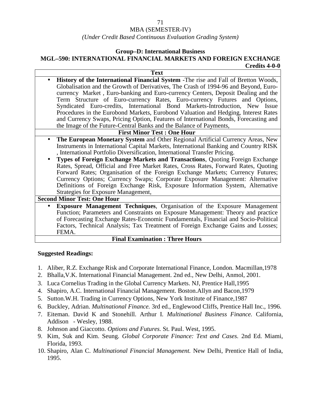#### MBA (SEMESTER-IV)

#### *(Under Credit Based Continuous Evaluation Grading System)*

#### **Group–D: International Business**

#### **MGL–590: INTERNATIONAL FINANCIAL MARKETS AND FOREIGN EXCHANGE Credits 4-0-0**

**Text History of the International Financial System** -The rise and Fall of Bretton Woods, Globalisation and the Growth of Derivatives, The Crash of 1994-96 and Beyond, Euro currency Market , Euro-banking and Euro-currency Centers, Deposit Dealing and the Term Structure of Euro-currency Rates, Euro-currency Futures and Options, Syndicated Euro-credits, International Bond Markets-Introduction, New Issue Procedures in the Eurobond Markets, Eurobond Valuation and Hedging, Interest Rates and Currency Swaps, Pricing Option, Features of International Bonds, Forecasting and the Image of the Future-Central Banks and the Balance of Payments,

### **First Minor Test : One Hour**

- **The European Monetary System** and Other Regional Artificial Currency Areas, New Instruments in International Capital Markets, International Banking and Country RISK , International Portfolio Diversification, International Transfer Pricing.
- **Types of Foreign Exchange Markets and Transactions**, Quoting Foreign Exchange Rates, Spread, Official and Free Market Rates, Cross Rates, Forward Rates, Quoting Forward Rates; Organisation of the Foreign Exchange Markets; Currency Futures; Currency Options; Currency Swaps; Corporate Exposure Management: Alternative Definitions of Foreign Exchange Risk, Exposure Information System, Alternative Strategies for Exposure Management,

**Second Minor Test: One Hour**

 **Exposure Management Techniques**, Organisation of the Exposure Management Function; Parameters and Constraints on Exposure Management: Theory and practice of Forecasting Exchange Rates-Economic Fundamentals, Financial and Socio-Political Factors, Technical Analysis; Tax Treatment of Foreign Exchange Gains and Losses; FEMA.

#### **Final Examination : Three Hours**

- 1. Aliber, R.Z. Exchange Risk and Corporate International Finance, London. Macmillan,1978
- 2. Bhalla,V.K. International Financial Management. 2nd ed., New Delhi, Anmol, 2001.
- 3. Luca Cornelius Trading in the Global Currency Markets. NJ, Prentice Hall,1995
- 4. Shapiro, A.C. International Financial Management. Boston.Allyn and Bacon,1979
- 5. Sutton.W.H. Trading in Currency Options, New York Institute of Finance,1987
- 6. Buckley, Adrian. *Multinational Finance.* 3rd ed., Englewood Cliffs, Prentice Hall Inc., 1996.
- 7. Eiteman. David K and Stonehill. Arthur I. *Multinational Business Finance.* California, Addison - Wesley, 1988.
- 8. Johnson and Giaccotto. *Options and Futures.* St. Paul. West, 1995.
- 9. Kim, Suk and Kim. Seung. *Global Corporate Finance: Text and Cases.* 2nd Ed. Miami, Florida, 1993.
- 10. Shapiro, Alan C. *Multinational Financial Management.* New Delhi, Prentice Hall of India, 1995.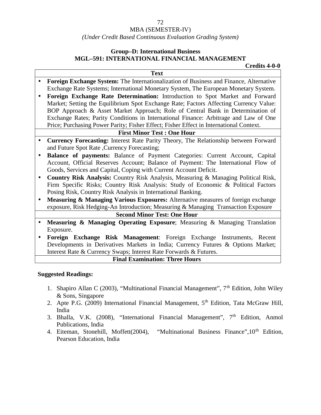## MBA (SEMESTER-IV)

#### *(Under Credit Based Continuous Evaluation Grading System)*

## **Group–D: International Business MGL–591: INTERNATIONAL FINANCIAL MANAGEMENT**

**Credits 4-0-0**

|           | <b>Text</b>                                                                                 |
|-----------|---------------------------------------------------------------------------------------------|
|           | Foreign Exchange System: The Internationalization of Business and Finance, Alternative      |
|           | Exchange Rate Systems; International Monetary System, The European Monetary System.         |
|           | Foreign Exchange Rate Determination: Introduction to Spot Market and Forward                |
|           | Market; Setting the Equilibrium Spot Exchange Rate; Factors Affecting Currency Value:       |
|           | BOP Approach & Asset Market Approach; Role of Central Bank in Determination of              |
|           | Exchange Rates; Parity Conditions in International Finance: Arbitrage and Law of One        |
|           | Price; Purchasing Power Parity; Fisher Effect; Fisher Effect in International Context.      |
|           | <b>First Minor Test: One Hour</b>                                                           |
| $\bullet$ | <b>Currency Forecasting:</b> Interest Rate Parity Theory, The Relationship between Forward  |
|           | and Future Spot Rate , Currency Forecasting;                                                |
| $\bullet$ | Balance of payments: Balance of Payment Categories: Current Account, Capital                |
|           | Account, Official Reserves Account; Balance of Payment: The International Flow of           |
|           | Goods, Services and Capital, Coping with Current Account Deficit.                           |
| $\bullet$ | Country Risk Analysis: Country Risk Analysis, Measuring & Managing Political Risk,          |
|           | Firm Specific Risks; Country Risk Analysis: Study of Economic & Political Factors           |
|           | Posing Risk, Country Risk Analysis in International Banking.                                |
| $\bullet$ | <b>Measuring &amp; Managing Various Exposures:</b> Alternative measures of foreign exchange |
|           | exposure, Risk Hedging-An Introduction; Measuring & Managing Transaction Exposure           |
|           | <b>Second Minor Test: One Hour</b>                                                          |
|           | <b>Measuring &amp; Managing Operating Exposure</b> ; Measuring & Managing Translation       |
|           | Exposure.                                                                                   |
| $\bullet$ | Foreign Exchange Risk Management: Foreign Exchange Instruments, Recent                      |
|           | Developments in Derivatives Markets in India; Currency Futures & Options Market;            |
|           | Interest Rate & Currency Swaps; Interest Rate Forwards & Futures.                           |

#### **Final Examination: Three Hours**

- 1. Shapiro Allan C (2003), "Multinational Financial Management",  $7<sup>th</sup>$  Edition, John Wiley & Sons, Singapore
- 2. Apte P.G. (2009) International Financial Management, 5<sup>th</sup> Edition, Tata McGraw Hill, India
- 3. Bhalla, V.K. (2008), "International Financial Management",  $7<sup>th</sup>$  Edition, Anmol Publications, India
- 4. Eiteman, Stonehill, Moffett(2004), "Multinational Business Finance", 10<sup>th</sup> Edition, Pearson Education, India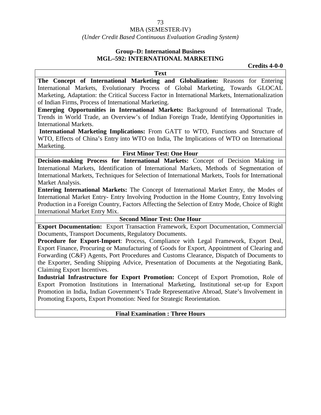## MBA (SEMESTER-IV)

## *(Under Credit Based Continuous Evaluation Grading System)*

## **Group–D: International Business MGL–592: INTERNATIONAL MARKETING**

**Credits 4-0-0**

**The Concept of International Marketing and Globalization:** Reasons for Entering International Markets, Evolutionary Process of Global Marketing, Towards GLOCAL Marketing, Adaptation: the Critical Success Factor in International Markets, Internationalization of Indian Firms, Process of International Marketing.

**Text**

**Emerging Opportunities in International Markets:** Background of International Trade, Trends in World Trade, an Overview's of Indian Foreign Trade, Identifying Opportunities in International Markets.

**International Marketing Implications:** From GATT to WTO, Functions and Structure of WTO, Effects of China's Entry into WTO on India, The Implications of WTO on International Marketing.

#### **First Minor Test: One Hour**

**Decision-making Process for International Markets:** Concept of Decision Making in International Markets, Identification of International Markets, Methods of Segmentation of International Markets, Techniques for Selection of International Markets, Tools for International Market Analysis.

**Entering International Markets:** The Concept of International Market Entry, the Modes of International Market Entry- Entry Involving Production in the Home Country, Entry Involving Production in a Foreign Country, Factors Affecting the Selection of Entry Mode, Choice of Right International Market Entry Mix.

#### **Second Minor Test: One Hour**

**Export Documentation:** Export Transaction Framework, Export Documentation, Commercial Documents, Transport Documents, Regulatory Documents.

**Procedure for Export-Import**: Process, Compliance with Legal Framework, Export Deal, Export Finance, Procuring or Manufacturing of Goods for Export, Appointment of Clearing and Forwarding (C&F) Agents, Port Procedures and Customs Clearance, Dispatch of Documents to the Exporter, Sending Shipping Advice, Presentation of Documents at the Negotiating Bank, Claiming Export Incentives.

**Industrial Infrastructure for Export Promotion:** Concept of Export Promotion, Role of Export Promotion Institutions in International Marketing, Institutional set-up for Export Promotion in India, Indian Government's Trade Representative Abroad, State's Involvement in Promoting Exports, Export Promotion: Need for Strategic Reorientation.

#### **Final Examination : Three Hours**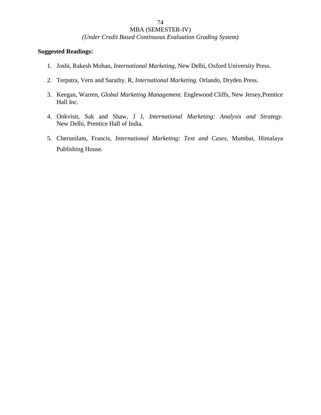*(Under Credit Based Continuous Evaluation Grading System)*

- 1. Joshi, Rakesh Mohan, *International Marketing*, New Delhi, Oxford University Press.
- 2. Terpstra, Vern and Sarathy. R, *International Marketing.* Orlando, Dryden Press.
- 3. Keegan, Warren, *Global Marketing Management.* Englewood Cliffs, New Jersey,Prentice Hall Inc.
- 4. Onkvisit, Sak and Shaw, J J, *International Marketing: Analysis and Strategy.* New Delhi, Prentice Hall of India.
- 5. Cherunilam, Francis, *International Marketing: Text and Cases,* Mumbai, Himalaya Publishing House.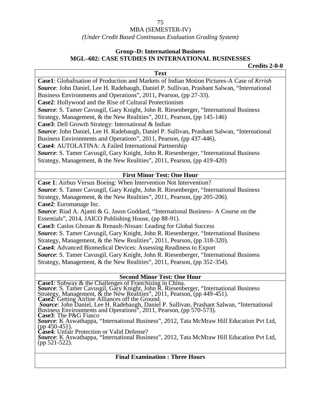*(Under Credit Based Continuous Evaluation Grading System)*

## **Group–D: International Business MGL–602: CASE STUDIES IN INTERNATIONAL BUSINESSES**

**Credits 2-0-0**

| <b>Text</b>                                                                                                                                                                                                                            |  |  |  |  |
|----------------------------------------------------------------------------------------------------------------------------------------------------------------------------------------------------------------------------------------|--|--|--|--|
| Case1: Globalisation of Production and Markets of Indian Motion Pictures-A Case of Krrish                                                                                                                                              |  |  |  |  |
| Source: John Daniel, Lee H. Radebaugh, Daniel P. Sullivan, Prashant Salwan, "International                                                                                                                                             |  |  |  |  |
| Business Environments and Operations", 2011, Pearson, (pp 27-33).                                                                                                                                                                      |  |  |  |  |
| Case2: Hollywood and the Rise of Cultural Protectionism                                                                                                                                                                                |  |  |  |  |
| Source: S. Tamer Cavusgil, Gary Knight, John R. Riesenberger, "International Business                                                                                                                                                  |  |  |  |  |
| Strategy, Management, & the New Realities", 2011, Pearson, (pp 145-146)                                                                                                                                                                |  |  |  |  |
| Case3: Dell Growth Strategy: International & Indian                                                                                                                                                                                    |  |  |  |  |
| Source: John Daniel, Lee H. Radebaugh, Daniel P. Sullivan, Prashant Salwan, "International                                                                                                                                             |  |  |  |  |
| Business Environments and Operations", 2011, Pearson, (pp 437-446).                                                                                                                                                                    |  |  |  |  |
| Case4: AUTOLATINA: A Failed International Partnership                                                                                                                                                                                  |  |  |  |  |
| Source: S. Tamer Cavusgil, Gary Knight, John R. Riesenberger, "International Business                                                                                                                                                  |  |  |  |  |
| Strategy, Management, & the New Realities", 2011, Pearson, (pp 419-420)                                                                                                                                                                |  |  |  |  |
|                                                                                                                                                                                                                                        |  |  |  |  |
| <b>First Minor Test: One Hour</b>                                                                                                                                                                                                      |  |  |  |  |
| Case 1: Airbus Versus Boeing: When Intervention Not Intervention?                                                                                                                                                                      |  |  |  |  |
| Source: S. Tamer Cavusgil, Gary Knight, John R. Riesenberger, "International Business                                                                                                                                                  |  |  |  |  |
| Strategy, Management, & the New Realities", 2011, Pearson, (pp 205-206).                                                                                                                                                               |  |  |  |  |
| Case2: Euromanage Inc.                                                                                                                                                                                                                 |  |  |  |  |
| Source: Riad A. Ajami & G. Jason Goddard, "International Business- A Course on the                                                                                                                                                     |  |  |  |  |
| Essentials", 2014, JAICO Publishing House, (pp 88-91).                                                                                                                                                                                 |  |  |  |  |
| Case3: Caslos Ghosan & Renault-Nissan: Leading for Global Success                                                                                                                                                                      |  |  |  |  |
| Source: S. Tamer Cavusgil, Gary Knight, John R. Riesenberger, "International Business                                                                                                                                                  |  |  |  |  |
| Strategy, Management, & the New Realities", 2011, Pearson, (pp 318-320).                                                                                                                                                               |  |  |  |  |
| Case4: Advanced Biomedical Devices: Assessing Readiness to Export                                                                                                                                                                      |  |  |  |  |
| Source: S. Tamer Cavusgil, Gary Knight, John R. Riesenberger, "International Business                                                                                                                                                  |  |  |  |  |
| Strategy, Management, & the New Realities", 2011, Pearson, (pp 352-354).                                                                                                                                                               |  |  |  |  |
|                                                                                                                                                                                                                                        |  |  |  |  |
| <b>Second Minor Test: One Hour</b>                                                                                                                                                                                                     |  |  |  |  |
|                                                                                                                                                                                                                                        |  |  |  |  |
|                                                                                                                                                                                                                                        |  |  |  |  |
| Case1: Subway & the Challenges of Franchising in China.<br>Source: S. Tamer Cavusgil, Gary Knight, John R. Riesenberger, "International Business<br>Strategy, Management, & the New Realities", 2011, Pearson, (pp 449-451).<br>Case2: |  |  |  |  |
| <b>Source:</b> John Daniel, Lee H. Radebaugh, Daniel P. Sullivan, Prashant Salwan, "International Business Environments and Operations", 2011, Pearson, (pp 570-573).                                                                  |  |  |  |  |
| Case3: The P&G Fiasco                                                                                                                                                                                                                  |  |  |  |  |
| Source: K Aswathappa, "International Business", 2012. Tata McMraw Hill Education Pyt Ltd.                                                                                                                                              |  |  |  |  |

*Source*: K Aswathappa, "International Business", 2012, Tata McMraw Hill Education Pvt Ltd, (pp 450-451). **Case4**: Unfair Protection or Valid Defense?

*Source*: K Aswathappa, "International Business", 2012, Tata McMraw Hill Education Pvt Ltd, (pp 521-522).

## **Final Examination : Three Hours**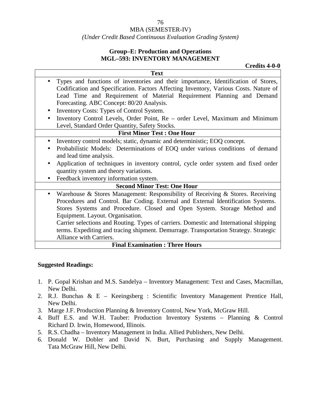#### *(Under Credit Based Continuous Evaluation Grading System)*

## **Group–E: Production and Operations MGL–593: INVENTORY MANAGEMENT**

**Credits 4-0-0**

| <b>Text</b>                                                                                 |
|---------------------------------------------------------------------------------------------|
| Types and functions of inventories and their importance, Identification of Stores,          |
| Codification and Specification. Factors Affecting Inventory, Various Costs. Nature of       |
| Lead Time and Requirement of Material Requirement Planning and Demand                       |
| Forecasting. ABC Concept: 80/20 Analysis.                                                   |
| Inventory Costs: Types of Control System.<br>$\bullet$                                      |
| Inventory Control Levels, Order Point, Re - order Level, Maximum and Minimum                |
| Level, Standard Order Quantity, Safety Stocks.                                              |
| <b>First Minor Test: One Hour</b>                                                           |
| Inventory control models; static, dynamic and deterministic; EOQ concept.                   |
| Probabilistic Models: Determinations of EOQ under various conditions of demand              |
| and lead time analysis.                                                                     |
| Application of techniques in inventory control, cycle order system and fixed order          |
| quantity system and theory variations.                                                      |
| Feedback inventory information system.                                                      |
| <b>Second Minor Test: One Hour</b>                                                          |
| Warehouse & Stores Management: Responsibility of Receiving & Stores. Receiving<br>$\bullet$ |
| Procedures and Control. Bar Coding. External and External Identification Systems.           |
| Stores Systems and Procedure. Closed and Open System. Storage Method and                    |
| Equipment. Layout. Organisation.                                                            |
| Carrier selections and Routing. Types of carriers. Domestic and International shipping      |
| terms. Expediting and tracing shipment. Demurrage. Transportation Strategy. Strategic       |
| Alliance with Carriers.                                                                     |
| <b>Final Examination: Three Hours</b>                                                       |

#### **Suggested Readings:**

- 1. P. Gopal Krishan and M.S. Sandelya Inventory Management: Text and Cases, Macmillan, New Delhi.
- 2. R.J. Bunchas & E Keeingsberg : Scientific Inventory Management Prentice Hall, New Delhi.
- 3. Marge J.F. Production Planning & Inventory Control, New York, McGraw Hill.
- 4. Buff E.S. and W.H. Tauber: Production Inventory Systems Planning & Control Richard D. Irwin, Homewood, Illinois.
- 5. R.S. Chadha Inventory Management in India. Allied Publishers, New Delhi.
- 6. Donald W. Dobler and David N. Burt, Purchasing and Supply Management. Tata McGraw Hill, New Delhi.

76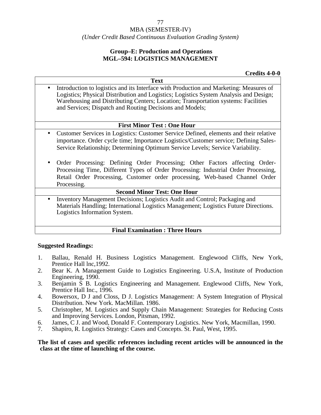## *(Under Credit Based Continuous Evaluation Grading System)*

## **Group–E: Production and Operations MGL–594: LOGISTICS MANAGEMENT**

**Credits 4-0-0**

**Text** Introduction to logistics and its Interface with Production and Marketing: Measures of Logistics; Physical Distribution and Logistics; Logistics System Analysis and Design; Warehousing and Distributing Centers; Location; Transportation systems: Facilities and Services; Dispatch and Routing Decisions and Models;

#### **First Minor Test : One Hour**

- Customer Services in Logistics: Customer Service Defined, elements and their relative importance. Order cycle time; Importance Logistics/Customer service; Defining Sales- Service Relationship; Determining Optimum Service Levels; Service Variability.
- Order Processing: Defining Order Processing; Other Factors affecting Order- Processing Time, Different Types of Order Processing: Industrial Order Processing, Retail Order Processing, Customer order processing, Web-based Channel Order Processing.

#### **Second Minor Test: One Hour**

 Inventory Management Decisions; Logistics Audit and Control; Packaging and Materials Handling; International Logistics Management; Logistics Future Directions. Logistics Information System.

## **Final Examination : Three Hours**

#### **Suggested Readings:**

- 1. Ballau, Renald H. Business Logistics Management. Englewood Cliffs, New York, Prentice Hall lnc,1992.
- 2. Bear K. A Management Guide to Logistics Engineering. U.S.A, Institute of Production Engineering, 1990.
- 3. Benjamin S B. Logistics Engineering and Management. Englewood Cliffs, New York, Prentice Hall Inc., 1996.
- 4. Bowersox, D J and Closs, D J. Logistics Management: A System Integration of Physical Distribution. New York. MacMillan. 1986.
- 5. Christopher, M. Logistics and Supply Chain Management: Strategies for Reducing Costs and Improving Services. London, Pitsman, 1992.
- 6. James, C J. and Wood, Donald F. Contemporary Logistics. New York, Macmillan, 1990.
- 7. Shapiro, R. Logistics Strategy: Cases and Concepts. St. Paul, West, 1995.

**The list of cases and specific references including recent articles will be announced in the class at the time of launching of the course.**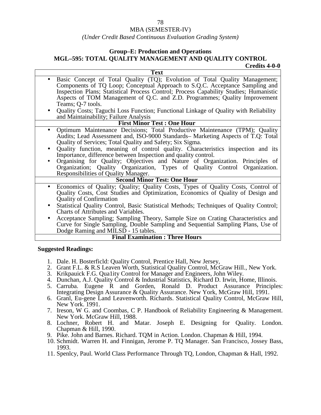#### *(Under Credit Based Continuous Evaluation Grading System)*

#### **Group–E: Production and Operations MGL–595: TOTAL QUALITY MANAGEMENT AND QUALITY CONTROL Credits 4-0-0**

**Text** Basic Concept of Total Quality (TQ); Evolution of Total Quality Management; Components of TQ Loop; Conceptual Approach to S.Q.C. Acceptance Sampling and Inspection Plans; Statistical Process Control; Process Capability Studies; Humanistic Aspects of TOM Management of Q.C. and Z.D. Programmes; Quality Improvement Teams; Q-7 tools. Quality Costs; Taguchi Loss Function; Functional Linkage of Quality with Reliability and Maintainability; Failure Analysis **First Minor Test : One Hour** Optimum Maintenance Decisions; Total Productive Maintenance (TPM); Quality Audits; Lead Assessment and, ISO-9000 Standards– Marketing Aspects of T.Q: Total Quality of Services; Total Quality and Safety; Six Sigma. Quality function, meaning of control quality. Characteristics inspection and its Importance, difference between Inspection and quality control. Organising for Quality; Objectives and Nature of Organization. Principles of Organization; Quality Organization, Types of Quality Control Organization. Responsibilities of Quality Manager. **Second Minor Test: One Hour** Economics of Quality; Quality; Quality Costs, Types of Quality Costs, Control of Quality Costs, Cost Studies and Optimization, Economics of Quality of Design and Quality of Confirmation Statistical Quality Control, Basic Statistical Methods; Techniques of Quality Control; Charts of Attributes and Variables. Acceptance Sampling; Sampling Theory, Sample Size on Crating Characteristics and Curve for Single Sampling, Double Sampling and Sequential Sampling Plans, Use of Dodge Raming and MILSD - 15 tables.

#### **Final Examination : Three Hours**

- 1. Dale. H. Bosterficld: Quality Control, Prentice Hall, New Jersey,
- 2. Grant F.L. & R.S Leaven Worth, Statistical Quality Control, McGraw Hill., New York.
- 3. Krikpauick F.G. Qua1ity Control for Manager and Engineers, John Wiley.
- 4. Dunchan, A.J. Quality Control & Industrial Statistics, Richard D. Irwin, Home, Illinois.
- 5. Carruba. Eugene R and Gorden, Ronald D. Product Assurance Principles: Integrating Design Assurance & Quality Assurance. New York, McGraw Hill, 1991.
- 6. Granl, Eu-gene Land Leavenworth. Richards. Statistical Quality Control, McGraw Hill, New York. 1991.
- 7. Ireson, W G. and Coombas, C P. Handbook of Reliability Engineering & Management. New York. McGraw Hill, 1988.
- 8. Lochner, Robert H. and Matar. Joseph E. Designing for Quality. London. Chapman & Hill, 1990.
- 9. Pike. John and Barnes. Richard. TQM in Action. London. Chapman & Hill, 1994.
- 10. Schmidt. Warren H. and Finnigan, Jerome P. TQ Manager. San Francisco, Jossey Bass, 1993.
- 11. Spenlcy, Paul. World Class Performance Through TQ, London, Chapman & Hall, 1992.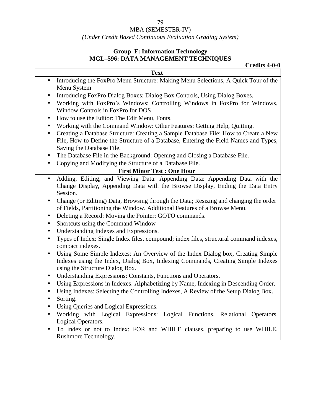## MBA (SEMESTER-IV)

## *(Under Credit Based Continuous Evaluation Grading System)*

## **Group–F: Information Technology MGL–596: DATA MANAGEMENT TECHNIQUES**

|                                                                                       |                                                                                                                                                                             | Credits 4-0-0 |  |
|---------------------------------------------------------------------------------------|-----------------------------------------------------------------------------------------------------------------------------------------------------------------------------|---------------|--|
|                                                                                       | <b>Text</b>                                                                                                                                                                 |               |  |
| $\bullet$<br>Menu System                                                              | Introducing the FoxPro Menu Structure: Making Menu Selections, A Quick Tour of the                                                                                          |               |  |
| Window Controls in FoxPro for DOS                                                     | Introducing FoxPro Dialog Boxes: Dialog Box Controls, Using Dialog Boxes.<br>Working with FoxPro's Windows: Controlling Windows in FoxPro for Windows,                      |               |  |
|                                                                                       | How to use the Editor: The Edit Menu, Fonts.                                                                                                                                |               |  |
| Working with the Command Window: Other Features: Getting Help, Quitting.<br>$\bullet$ |                                                                                                                                                                             |               |  |
| $\bullet$<br>Saving the Database File.                                                | Creating a Database Structure: Creating a Sample Database File: How to Create a New<br>File, How to Define the Structure of a Database, Entering the Field Names and Types, |               |  |
|                                                                                       | The Database File in the Background: Opening and Closing a Database File.                                                                                                   |               |  |
| $\bullet$                                                                             | Copying and Modifying the Structure of a Database File.                                                                                                                     |               |  |
|                                                                                       | <b>First Minor Test: One Hour</b>                                                                                                                                           |               |  |
| $\bullet$<br>Session.                                                                 | Adding, Editing, and Viewing Data: Appending Data: Appending Data with the<br>Change Display, Appending Data with the Browse Display, Ending the Data Entry                 |               |  |
|                                                                                       | Change (or Editing) Data, Browsing through the Data; Resizing and changing the order<br>of Fields, Partitioning the Window. Additional Features of a Browse Menu.           |               |  |
| $\bullet$                                                                             | Deleting a Record: Moving the Pointer: GOTO commands.                                                                                                                       |               |  |
| Shortcuts using the Command Window<br>$\bullet$                                       |                                                                                                                                                                             |               |  |
| $\bullet$                                                                             | Understanding Indexes and Expressions.                                                                                                                                      |               |  |
| $\bullet$<br>compact indexes.                                                         | Types of Index: Single Index files, compound; index files, structural command indexes,                                                                                      |               |  |
| using the Structure Dialog Box.                                                       | Using Some Simple Indexes: An Overview of the Index Dialog box, Creating Simple<br>Indexes using the Index, Dialog Box, Indexing Commands, Creating Simple Indexes          |               |  |
| $\bullet$                                                                             | Understanding Expressions: Constants, Functions and Operators.                                                                                                              |               |  |
| $\bullet$<br>Sorting.<br>$\bullet$                                                    | Using Expressions in Indexes: Alphabetizing by Name, Indexing in Descending Order.<br>Using Indexes: Selecting the Controlling Indexes, A Review of the Setup Dialog Box.   |               |  |

- Using Queries and Logical Expressions.
- Working with Logical Expressions: Logical Functions, Relational Operators, Logical Operators.
- To Index or not to Index: FOR and WHILE clauses, preparing to use WHILE, Rushmore Technology.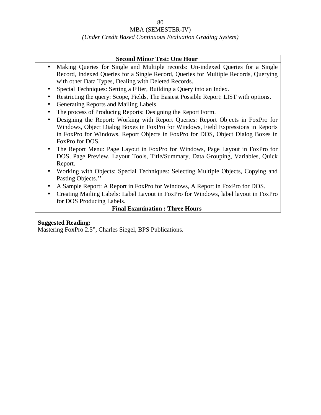## *(Under Credit Based Continuous Evaluation Grading System)*

#### **Second Minor Test: One Hour**

- Making Queries for Single and Multiple records: Un-indexed Queries for a Single Record, Indexed Queries for a Single Record, Queries for Multiple Records, Querying with other Data Types, Dealing with Deleted Records.
- Special Techniques: Setting a Filter, Building a Query into an Index.
- Restricting the query: Scope, Fields, The Easiest Possible Report: LIST with options.
- Generating Reports and Mailing Labels.
- The process of Producing Reports: Designing the Report Form.
- Designing the Report: Working with Report Queries: Report Objects in FoxPro for Windows, Object Dialog Boxes in FoxPro for Windows, Field Expressions in Reports in FoxPro for Windows, Report Objects in FoxPro for DOS, Object Dialog Boxes in FoxPro for DOS.
- The Report Menu: Page Layout in FoxPro for Windows, Page Layout in FoxPro for DOS, Page Preview, Layout Tools, Title/Summary, Data Grouping, Variables, Quick Report.
- Working with Objects: Special Techniques: Selecting Multiple Objects, Copying and Pasting Objects."
- A Sample Report: A Report in FoxPro for Windows, A Report in FoxPro for DOS.
- Creating Mailing Labels: Label Layout in FoxPro for Windows, label layout in FoxPro for DOS Producing Labels.

## **Final Examination : Three Hours**

#### **Suggested Reading:**

Mastering FoxPro 2.5", Charles Siegel, BPS Publications.

80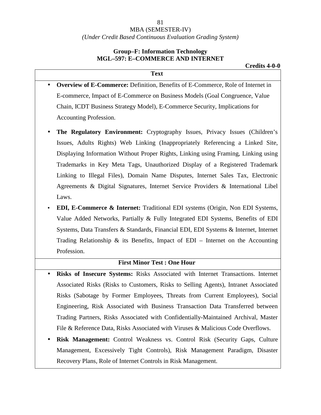## MBA (SEMESTER-IV) *(Under Credit Based Continuous Evaluation Grading System)*

## **Group–F: Information Technology MGL–597: E–COMMERCE AND INTERNET**

**Text**

- **Overview of E-Commerce:** Definition, Benefits of E-Commerce, Role of Internet in E-commerce, Impact of E-Commerce on Business Models (Goal Congruence, Value Chain, ICDT Business Strategy Model), E-Commerce Security, Implications for Accounting Profession.
	- **The Regulatory Environment:** Cryptography Issues, Privacy Issues (Children's Issues, Adults Rights) Web Linking (Inappropriately Referencing a Linked Site, Displaying Information Without Proper Rights, Linking using Framing, Linking using Trademarks in Key Meta Tags, Unauthorized Display of a Registered Trademark Linking to Illegal Files), Domain Name Disputes, Internet Sales Tax, Electronic Agreements & Digital Signatures, Internet Service Providers & International Libel Laws.
	- **EDI, E-Commerce & Internet:** Traditional EDI systems (Origin, Non EDI Systems, Value Added Networks, Partially & Fully Integrated EDI Systems, Benefits of EDI Systems, Data Transfers & Standards, Financial EDI, EDI Systems & Internet, Internet Trading Relationship  $\&$  its Benefits, Impact of EDI – Internet on the Accounting Profession.

## **First Minor Test : One Hour**

- **Risks of Insecure Systems:** Risks Associated with Internet Transactions. Internet Associated Risks (Risks to Customers, Risks to Selling Agents), Intranet Associated Risks (Sabotage by Former Employees, Threats from Current Employees), Social Engineering, Risk Associated with Business Transaction Data Transferred between Trading Partners, Risks Associated with Confidentially-Maintained Archival, Master File & Reference Data, Risks Associated with Viruses & Malicious Code Overflows.
- **Risk Management:** Control Weakness vs. Control Risk (Security Gaps, Culture Management, Excessively Tight Controls), Risk Management Paradigm, Disaster Recovery Plans, Role of Internet Controls in Risk Management.

#### 81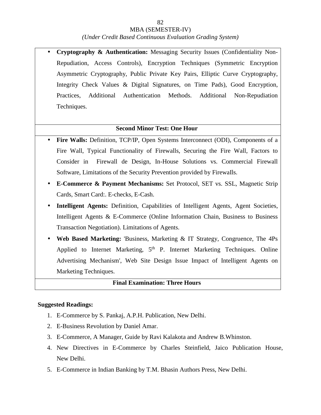#### *(Under Credit Based Continuous Evaluation Grading System)*

 **Cryptography & Authentication:** Messaging Security Issues (Confidentiality Non- Repudiation, Access Controls), Encryption Techniques (Symmetric Encryption Asymmetric Cryptography, Public Private Key Pairs, Elliptic Curve Cryptography, Integrity Check Values & Digital Signatures, on Time Pads), Good Encryption, Practices, Additional Authentication Methods. Additional Non-Repudiation Techniques.

#### **Second Minor Test: One Hour**

- **Fire Walls:** Definition, TCP/IP, Open Systems Interconnect (ODI), Components of a Fire Wall, Typical Functionality of Firewalls, Securing the Fire Wall, Factors to Consider in Firewall de Design, In-House Solutions vs. Commercial Firewall Software, Limitations of the Security Prevention provided by FirewaIls.
- **E-Commerce & Payment Mechanisms:** Set Protocol, SET vs. SSL, Magnetic Strip Cards, Smart Card:. E-checks, E-Cash.
- **Intelligent Agents:** Definition, Capabilities of Intelligent Agents, Agent Societies, Intelligent Agents & E-Commerce (Online Information Chain, Business to Business Transaction Negotiation). Limitations of Agents.
- **Web Based Marketing:** 'Business, Marketing & IT Strategy, Congruence, The 4Ps Applied to Internet Marketing,  $5<sup>th</sup>$  P. Internet Marketing Techniques. Online Advertising Mechanism', Web Site Design Issue Impact of Intelligent Agents on Marketing Techniques.

#### **Final Examination: Three Hours**

- 1. E-Commerce by S. Pankaj, A.P.H. Publication, New Delhi.
- 2. E-Business Revolution by Daniel Amar.
- 3. E-Commerce, A Manager, Guide by Ravi Kalakota and Andrew B.Whinston.
- 4. New Directives in E-Commerce by Charles Steinfield, Jaico Publication House, New Delhi.
- 5. E-Commerce in Indian Banking by T.M. Bhasin Authors Press, New Delhi.